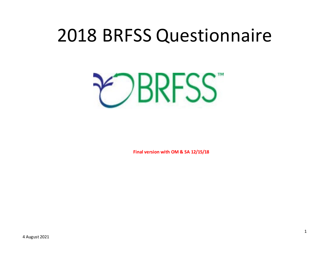# 2018 BRFSS Questionnaire

**EDBRFSS** 

**Final version with OM & SA 12/15/18**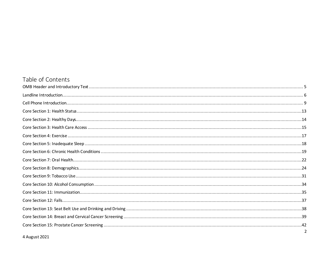# Table of Contents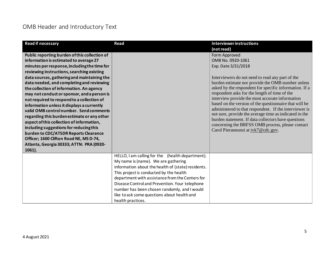# <span id="page-4-0"></span>OMB Header and Introductory Text

| <b>Read if necessary</b>                      | <b>Read</b>                                        | <b>Interviewer instructions</b>                                                                                  |
|-----------------------------------------------|----------------------------------------------------|------------------------------------------------------------------------------------------------------------------|
|                                               |                                                    | (not read)                                                                                                       |
| Public reporting burden of this collection of |                                                    | Form Approved                                                                                                    |
| information is estimated to average 27        |                                                    | OMB No. 0920-1061                                                                                                |
| minutes per response, including the time for  |                                                    | Exp. Date 3/31/2018                                                                                              |
| reviewing instructions, searching existing    |                                                    |                                                                                                                  |
| data sources, gathering and maintaining the   |                                                    | Interviewers do not need to read any part of the                                                                 |
| data needed, and completing and reviewing     |                                                    | burden estimate nor provide the OMB number unless                                                                |
| the collection of information. An agency      |                                                    | asked by the respondent for specific information. If a                                                           |
| may not conduct or sponsor, and a person is   |                                                    | respondent asks for the length of time of the                                                                    |
| not required to respond to a collection of    |                                                    | interview provide the most accurate information                                                                  |
| information unless it displays a currently    |                                                    | based on the version of the questionnaire that will be                                                           |
| valid OMB control number. Send comments       |                                                    | administered to that respondent. If the interviewer is<br>not sure, provide the average time as indicated in the |
| regarding this burden estimate or any other   |                                                    | burden statement. If data collectors have questions                                                              |
| aspect of this collection of information,     |                                                    | concerning the BRFSS OMB process, please contact                                                                 |
| including suggestions for reducing this       |                                                    | Carol Pierannunzi at ivk7@cdc.gov.                                                                               |
| burden to CDC/ATSDR Reports Clearance         |                                                    |                                                                                                                  |
| Officer; 1600 Clifton Road NE, MS D-74,       |                                                    |                                                                                                                  |
| Atlanta, Georgia 30333; ATTN: PRA (0920-      |                                                    |                                                                                                                  |
| 1061).                                        |                                                    |                                                                                                                  |
|                                               | HELLO, I am calling for the (health department).   |                                                                                                                  |
|                                               | My name is (name). We are gathering                |                                                                                                                  |
|                                               | information about the health of (state) residents. |                                                                                                                  |
|                                               | This project is conducted by the health            |                                                                                                                  |
|                                               | department with assistance from the Centers for    |                                                                                                                  |
|                                               | Disease Control and Prevention. Your telephone     |                                                                                                                  |
|                                               | number has been chosen randomly, and I would       |                                                                                                                  |
|                                               | like to ask some questions about health and        |                                                                                                                  |
|                                               | health practices.                                  |                                                                                                                  |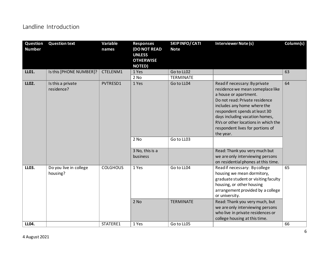## <span id="page-5-0"></span>Landline Introduction

| Question<br><b>Number</b> | <b>Question text</b>               | Variable<br>names | <b>Responses</b><br><b>DO NOT READ</b><br><b>UNLESS</b><br><b>OTHERWISE</b><br><b>NOTED)</b> | <b>SKIPINFO/CATI</b><br><b>Note</b> | <b>Interviewer Note (s)</b>                                                                                                                                                                                                                                                                                            | Column(s) |
|---------------------------|------------------------------------|-------------------|----------------------------------------------------------------------------------------------|-------------------------------------|------------------------------------------------------------------------------------------------------------------------------------------------------------------------------------------------------------------------------------------------------------------------------------------------------------------------|-----------|
| LL01.                     | Is this [PHONE NUMBER]?            | CTELENM1          | 1 Yes                                                                                        | Go to LL02                          |                                                                                                                                                                                                                                                                                                                        | 63        |
|                           |                                    |                   | 2 No                                                                                         | <b>TERMINATE</b>                    |                                                                                                                                                                                                                                                                                                                        |           |
| LL02.                     | Is this a private<br>residence?    | PVTRESD1          | 1 Yes<br>2 No                                                                                | Go to LL04<br>Go to LL03            | Read if necessary: By private<br>residence we mean someplace like<br>a house or apartment.<br>Do not read: Private residence<br>includes any home where the<br>respondent spends at least 30<br>days including vacation homes,<br>RVs or other locations in which the<br>respondent lives for portions of<br>the year. | 64        |
|                           |                                    |                   |                                                                                              |                                     |                                                                                                                                                                                                                                                                                                                        |           |
|                           |                                    |                   | 3 No, this is a<br>business                                                                  |                                     | Read: Thank you very much but<br>we are only interviewing persons<br>on residential phones at this time.                                                                                                                                                                                                               |           |
| LL03.                     | Do you live in college<br>housing? | <b>COLGHOUS</b>   | 1 Yes                                                                                        | Go to LL04                          | Read if necessary: By college<br>housing we mean dormitory,<br>graduate student or visiting faculty<br>housing, or other housing<br>arrangement provided by a college<br>or university.                                                                                                                                | 65        |
|                           |                                    |                   | 2 No                                                                                         | <b>TERMINATE</b>                    | Read: Thank you very much, but<br>we are only interviewing persons<br>who live in private residences or<br>college housing at this time.                                                                                                                                                                               |           |
| LL04.                     |                                    | STATERE1          | 1 Yes                                                                                        | Go to LL05                          |                                                                                                                                                                                                                                                                                                                        | 66        |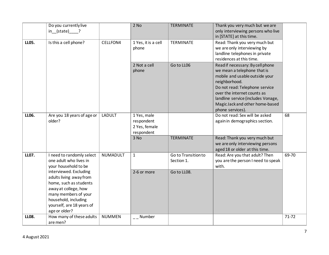|              | Do you currently live<br>in (state) ?                                                                                                                                                             |               | $2$ No                                                   | <b>TERMINATE</b>                  | Thank you very much but we are<br>only interviewing persons who live                                                                                                                                                                                                             |           |
|--------------|---------------------------------------------------------------------------------------------------------------------------------------------------------------------------------------------------|---------------|----------------------------------------------------------|-----------------------------------|----------------------------------------------------------------------------------------------------------------------------------------------------------------------------------------------------------------------------------------------------------------------------------|-----------|
| <b>LL05.</b> | Is this a cell phone?                                                                                                                                                                             | CELLFON4      | 1 Yes, it is a cell<br>phone                             | TERMINATE                         | in [STATE] at this time.<br>Read: Thank you very much but<br>we are only interviewing by<br>landline telephones in private<br>residences at this time.                                                                                                                           |           |
|              |                                                                                                                                                                                                   |               | 2 Not a cell<br>phone                                    | Go to LL06                        | Read if necessary: By cell phone<br>we mean a telephone that is<br>mobile and usable outside your<br>neighborhood.<br>Do not read: Telephone service<br>over the internet counts as<br>landline service (includes Vonage,<br>Magic Jack and other home-based<br>phone services). |           |
| LL06.        | Are you 18 years of age or<br>older?                                                                                                                                                              | <b>LADULT</b> | 1 Yes, male<br>respondent<br>2 Yes, female<br>respondent |                                   | Do not read: Sex will be asked<br>again in demographics section.                                                                                                                                                                                                                 | 68        |
|              |                                                                                                                                                                                                   |               | 3 No                                                     | <b>TERMINATE</b>                  | Read: Thank you very much but<br>we are only interviewing persons<br>aged 18 or older at this time.                                                                                                                                                                              |           |
| <b>LL07.</b> | I need to randomly select<br>one adult who lives in<br>your household to be                                                                                                                       | NUMADULT      | $\mathbf{1}$                                             | Go to Transition to<br>Section 1. | Read: Are you that adult? Then<br>you are the person I need to speak<br>with.                                                                                                                                                                                                    | 69-70     |
|              | interviewed. Excluding<br>adults living away from<br>home, such as students<br>away at college, how<br>many members of your<br>household, including<br>yourself, are 18 years of<br>age or older? |               | 2-6 or more                                              | Go to LL08.                       |                                                                                                                                                                                                                                                                                  |           |
| <b>LL08.</b> | How many of these adults<br>are men?                                                                                                                                                              | <b>NUMMEN</b> | $\overline{a}$ Number                                    |                                   |                                                                                                                                                                                                                                                                                  | $71 - 72$ |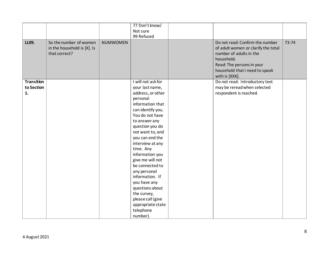|                   |                                                                        |                 | 77 Don't know/     |                                                                                                                                                                                                  |       |
|-------------------|------------------------------------------------------------------------|-----------------|--------------------|--------------------------------------------------------------------------------------------------------------------------------------------------------------------------------------------------|-------|
|                   |                                                                        |                 | Not sure           |                                                                                                                                                                                                  |       |
|                   |                                                                        |                 | 99 Refused         |                                                                                                                                                                                                  |       |
| LL09.             | So the number of women<br>in the household is [X]. Is<br>that correct? | <b>NUMWOMEN</b> |                    | Do not read: Confirm the number<br>of adult women or clarify the total<br>number of adults in the<br>household.<br>Read: The persons in your<br>household that I need to speak<br>with is [XXX]. | 73-74 |
| <b>Transition</b> |                                                                        |                 | I will not ask for | Do not read: Introductory text                                                                                                                                                                   |       |
| to Section        |                                                                        |                 | your last name,    | may be reread when selected                                                                                                                                                                      |       |
| 1.                |                                                                        |                 | address, or other  | respondent is reached.                                                                                                                                                                           |       |
|                   |                                                                        |                 | personal           |                                                                                                                                                                                                  |       |
|                   |                                                                        |                 | information that   |                                                                                                                                                                                                  |       |
|                   |                                                                        |                 | can identify you.  |                                                                                                                                                                                                  |       |
|                   |                                                                        |                 | You do not have    |                                                                                                                                                                                                  |       |
|                   |                                                                        |                 | to answer any      |                                                                                                                                                                                                  |       |
|                   |                                                                        |                 | question you do    |                                                                                                                                                                                                  |       |
|                   |                                                                        |                 | not want to, and   |                                                                                                                                                                                                  |       |
|                   |                                                                        |                 | you can end the    |                                                                                                                                                                                                  |       |
|                   |                                                                        |                 | interview at any   |                                                                                                                                                                                                  |       |
|                   |                                                                        |                 | time. Any          |                                                                                                                                                                                                  |       |
|                   |                                                                        |                 | information you    |                                                                                                                                                                                                  |       |
|                   |                                                                        |                 | give me will not   |                                                                                                                                                                                                  |       |
|                   |                                                                        |                 | be connected to    |                                                                                                                                                                                                  |       |
|                   |                                                                        |                 | any personal       |                                                                                                                                                                                                  |       |
|                   |                                                                        |                 | information. If    |                                                                                                                                                                                                  |       |
|                   |                                                                        |                 | you have any       |                                                                                                                                                                                                  |       |
|                   |                                                                        |                 | questions about    |                                                                                                                                                                                                  |       |
|                   |                                                                        |                 | the survey,        |                                                                                                                                                                                                  |       |
|                   |                                                                        |                 | please call (give  |                                                                                                                                                                                                  |       |
|                   |                                                                        |                 | appropriate state  |                                                                                                                                                                                                  |       |
|                   |                                                                        |                 | telephone          |                                                                                                                                                                                                  |       |
|                   |                                                                        |                 | number).           |                                                                                                                                                                                                  |       |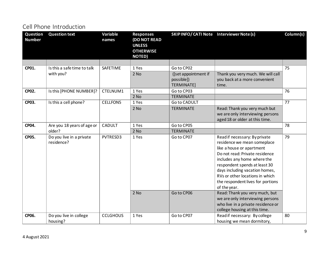## <span id="page-8-0"></span>Cell Phone Introduction

| Question<br><b>Number</b> | <b>Question text</b>                   | Variable<br>names | <b>Responses</b><br><b>(DO NOT READ</b><br><b>UNLESS</b><br><b>OTHERWISE</b><br><b>NOTED)</b> | SKIPINFO/CATI Note Interviewer Note (s)          |                                                                                                                                                                                                                                                                                                                                                         | Column(s) |
|---------------------------|----------------------------------------|-------------------|-----------------------------------------------------------------------------------------------|--------------------------------------------------|---------------------------------------------------------------------------------------------------------------------------------------------------------------------------------------------------------------------------------------------------------------------------------------------------------------------------------------------------------|-----------|
|                           |                                        |                   |                                                                                               |                                                  |                                                                                                                                                                                                                                                                                                                                                         |           |
| CP01.                     | Is this a safe time to talk            | <b>SAFETIME</b>   | 1 Yes                                                                                         | Go to CP02                                       |                                                                                                                                                                                                                                                                                                                                                         | 75        |
|                           | with you?                              |                   | $2$ No                                                                                        | ([set appointment if<br>possible])<br>TERMINATE] | Thank you very much. We will call<br>you back at a more convenient<br>time.                                                                                                                                                                                                                                                                             |           |
| <b>CP02.</b>              | Is this [PHONE NUMBER]?                | CTELNUM1          | 1 Yes                                                                                         | Go to CP03                                       |                                                                                                                                                                                                                                                                                                                                                         | 76        |
|                           |                                        |                   | $2$ No                                                                                        | <b>TERMINATE</b>                                 |                                                                                                                                                                                                                                                                                                                                                         |           |
| CP03.                     | Is this a cell phone?                  | <b>CELLFON5</b>   | 1 Yes                                                                                         | Go to CADULT                                     |                                                                                                                                                                                                                                                                                                                                                         | 77        |
|                           |                                        |                   | 2 No                                                                                          | <b>TERMINATE</b>                                 | Read: Thank you very much but<br>we are only interviewing persons<br>aged 18 or older at this time.                                                                                                                                                                                                                                                     |           |
| CP04.                     | Are you 18 years of age or             | CADULT            | 1 Yes                                                                                         | Go to CP05                                       |                                                                                                                                                                                                                                                                                                                                                         | 78        |
|                           | older?                                 |                   | 2 No                                                                                          | <b>TERMINATE</b>                                 |                                                                                                                                                                                                                                                                                                                                                         |           |
| <b>CP05.</b>              | Do you live in a private<br>residence? | PVTRESD3          | 1 Yes<br>$2$ No                                                                               | Go to CP07<br>Go to CP06                         | Read if necessary: By private<br>residence we mean someplace<br>like a house or apartment<br>Do not read: Private residence<br>includes any home where the<br>respondent spends at least 30<br>days including vacation homes,<br>RVs or other locations in which<br>the respondent lives for portions<br>of the year.<br>Read: Thank you very much, but | 79        |
|                           |                                        |                   |                                                                                               |                                                  | we are only interviewing persons<br>who live in a private residence or<br>college housing at this time.                                                                                                                                                                                                                                                 |           |
| CP06.                     | Do you live in college<br>housing?     | <b>CCLGHOUS</b>   | 1 Yes                                                                                         | Go to CP07                                       | Read if necessary: By college<br>housing we mean dormitory,                                                                                                                                                                                                                                                                                             | 80        |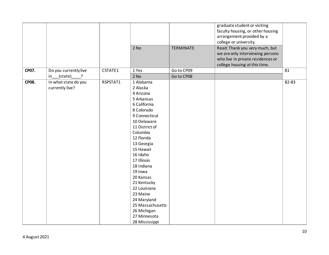|              |                                      |          |                  |                  | graduate student or visiting      |           |
|--------------|--------------------------------------|----------|------------------|------------------|-----------------------------------|-----------|
|              |                                      |          |                  |                  |                                   |           |
|              |                                      |          |                  |                  | faculty housing, or other housing |           |
|              |                                      |          |                  |                  | arrangement provided by a         |           |
|              |                                      |          |                  |                  | college or university.            |           |
|              |                                      |          | $2$ No           | <b>TERMINATE</b> | Read: Thank you very much, but    |           |
|              |                                      |          |                  |                  | we are only interviewing persons  |           |
|              |                                      |          |                  |                  | who live in private residences or |           |
|              |                                      |          |                  |                  | college housing at this time.     |           |
| CP07.        | Do you currently live                | CSTATE1  | 1 Yes            | Go to CP09       |                                   | 81        |
|              | $_{\_\_}$ (state)<br>$\cdot$ ?<br>in |          | 2 No             | Go to CP08       |                                   |           |
| <b>CP08.</b> | In what state do you                 | RSPSTAT1 | 1 Alabama        |                  |                                   | $82 - 83$ |
|              | currently live?                      |          | 2 Alaska         |                  |                                   |           |
|              |                                      |          | 4 Arizona        |                  |                                   |           |
|              |                                      |          | 5 Arkansas       |                  |                                   |           |
|              |                                      |          | 6 California     |                  |                                   |           |
|              |                                      |          | 8 Colorado       |                  |                                   |           |
|              |                                      |          | 9 Connecticut    |                  |                                   |           |
|              |                                      |          | 10 Delaware      |                  |                                   |           |
|              |                                      |          |                  |                  |                                   |           |
|              |                                      |          | 11 District of   |                  |                                   |           |
|              |                                      |          | Columbia         |                  |                                   |           |
|              |                                      |          | 12 Florida       |                  |                                   |           |
|              |                                      |          | 13 Georgia       |                  |                                   |           |
|              |                                      |          | 15 Hawaii        |                  |                                   |           |
|              |                                      |          | 16 Idaho         |                  |                                   |           |
|              |                                      |          | 17 Illinois      |                  |                                   |           |
|              |                                      |          | 18 Indiana       |                  |                                   |           |
|              |                                      |          | 19 Iowa          |                  |                                   |           |
|              |                                      |          | 20 Kansas        |                  |                                   |           |
|              |                                      |          | 21 Kentucky      |                  |                                   |           |
|              |                                      |          | 22 Louisiana     |                  |                                   |           |
|              |                                      |          | 23 Maine         |                  |                                   |           |
|              |                                      |          | 24 Maryland      |                  |                                   |           |
|              |                                      |          | 25 Massachusetts |                  |                                   |           |
|              |                                      |          |                  |                  |                                   |           |
|              |                                      |          | 26 Michigan      |                  |                                   |           |
|              |                                      |          | 27 Minnesota     |                  |                                   |           |
|              |                                      |          | 28 Mississippi   |                  |                                   |           |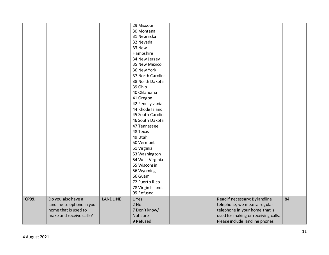|       |                            |                 | 29 Missouri       |                                     |    |
|-------|----------------------------|-----------------|-------------------|-------------------------------------|----|
|       |                            |                 | 30 Montana        |                                     |    |
|       |                            |                 | 31 Nebraska       |                                     |    |
|       |                            |                 | 32 Nevada         |                                     |    |
|       |                            |                 | 33 New            |                                     |    |
|       |                            |                 | Hampshire         |                                     |    |
|       |                            |                 | 34 New Jersey     |                                     |    |
|       |                            |                 | 35 New Mexico     |                                     |    |
|       |                            |                 | 36 New York       |                                     |    |
|       |                            |                 | 37 North Carolina |                                     |    |
|       |                            |                 | 38 North Dakota   |                                     |    |
|       |                            |                 | 39 Ohio           |                                     |    |
|       |                            |                 | 40 Oklahoma       |                                     |    |
|       |                            |                 | 41 Oregon         |                                     |    |
|       |                            |                 | 42 Pennsylvania   |                                     |    |
|       |                            |                 | 44 Rhode Island   |                                     |    |
|       |                            |                 | 45 South Carolina |                                     |    |
|       |                            |                 | 46 South Dakota   |                                     |    |
|       |                            |                 | 47 Tennessee      |                                     |    |
|       |                            |                 | 48 Texas          |                                     |    |
|       |                            |                 | 49 Utah           |                                     |    |
|       |                            |                 | 50 Vermont        |                                     |    |
|       |                            |                 | 51 Virginia       |                                     |    |
|       |                            |                 | 53 Washington     |                                     |    |
|       |                            |                 | 54 West Virginia  |                                     |    |
|       |                            |                 | 55 Wisconsin      |                                     |    |
|       |                            |                 | 56 Wyoming        |                                     |    |
|       |                            |                 | 66 Guam           |                                     |    |
|       |                            |                 | 72 Puerto Rico    |                                     |    |
|       |                            |                 | 78 Virgin Islands |                                     |    |
|       |                            |                 | 99 Refused        |                                     |    |
| CP09. | Do you also have a         | <b>LANDLINE</b> | 1 Yes             | Read if necessary: By landline      | 84 |
|       | landline telephone in your |                 | $2$ No            | telephone, we mean a regular        |    |
|       | home that is used to       |                 | 7 Don't know/     | telephone in your home that is      |    |
|       | make and receive calls?    |                 | Not sure          | used for making or receiving calls. |    |
|       |                            |                 | 9 Refused         | Please include landline phones      |    |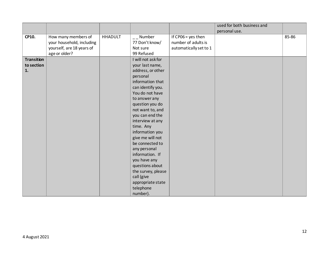|                   |                           |                |                                 |                        | used for both business and |       |
|-------------------|---------------------------|----------------|---------------------------------|------------------------|----------------------------|-------|
|                   |                           |                |                                 |                        | personal use.              |       |
| CP10.             | How many members of       | <b>HHADULT</b> | $\overline{\phantom{a}}$ Number | If $CPO6 = yes$ then   |                            | 85-86 |
|                   | your household, including |                | 77 Don't know/                  | number of adults is    |                            |       |
|                   | yourself, are 18 years of |                | Not sure                        | automatically set to 1 |                            |       |
|                   | age or older?             |                | 99 Refused                      |                        |                            |       |
| <b>Transition</b> |                           |                | I will not ask for              |                        |                            |       |
| to section        |                           |                | your last name,                 |                        |                            |       |
| 1.                |                           |                | address, or other               |                        |                            |       |
|                   |                           |                | personal                        |                        |                            |       |
|                   |                           |                | information that                |                        |                            |       |
|                   |                           |                | can identify you.               |                        |                            |       |
|                   |                           |                | You do not have                 |                        |                            |       |
|                   |                           |                | to answer any                   |                        |                            |       |
|                   |                           |                | question you do                 |                        |                            |       |
|                   |                           |                | not want to, and                |                        |                            |       |
|                   |                           |                | you can end the                 |                        |                            |       |
|                   |                           |                | interview at any                |                        |                            |       |
|                   |                           |                | time. Any                       |                        |                            |       |
|                   |                           |                | information you                 |                        |                            |       |
|                   |                           |                | give me will not                |                        |                            |       |
|                   |                           |                | be connected to                 |                        |                            |       |
|                   |                           |                | any personal                    |                        |                            |       |
|                   |                           |                | information. If                 |                        |                            |       |
|                   |                           |                | you have any                    |                        |                            |       |
|                   |                           |                | questions about                 |                        |                            |       |
|                   |                           |                | the survey, please              |                        |                            |       |
|                   |                           |                | call (give                      |                        |                            |       |
|                   |                           |                | appropriate state               |                        |                            |       |
|                   |                           |                | telephone                       |                        |                            |       |
|                   |                           |                | number).                        |                        |                            |       |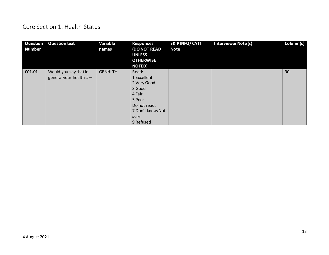## <span id="page-12-0"></span>Core Section 1: Health Status

| Question<br><b>Number</b> | <b>Question text</b>                             | Variable<br>names | <b>Responses</b><br><b>(DO NOT READ</b><br><b>UNLESS</b><br><b>OTHERWISE</b><br><b>NOTED)</b>                              | <b>SKIPINFO/CATI</b><br><b>Note</b> | <b>Interviewer Note (s)</b> | Column(s) |
|---------------------------|--------------------------------------------------|-------------------|----------------------------------------------------------------------------------------------------------------------------|-------------------------------------|-----------------------------|-----------|
| CO1.01                    | Would you say that in<br>general your health is- | <b>GENHLTH</b>    | Read:<br>1 Excellent<br>2 Very Good<br>3 Good<br>4 Fair<br>5 Poor<br>Do not read:<br>7 Don't know/Not<br>sure<br>9 Refused |                                     |                             | 90        |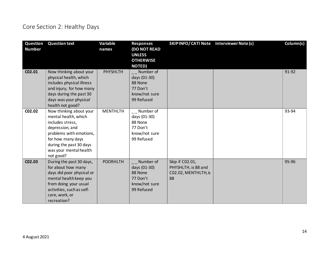# <span id="page-13-0"></span>Core Section 2: Healthy Days

| Question<br><b>Number</b> | <b>Question text</b>                                                                                                                                                                                     | Variable<br>names | <b>Responses</b><br><b>(DO NOT READ</b><br><b>UNLESS</b><br><b>OTHERWISE</b><br><b>NOTED)</b> | SKIP INFO/ CATI Note Interviewer Note (s)                            | Column(s) |
|---------------------------|----------------------------------------------------------------------------------------------------------------------------------------------------------------------------------------------------------|-------------------|-----------------------------------------------------------------------------------------------|----------------------------------------------------------------------|-----------|
| CO2.01                    | Now thinking about your<br>physical health, which<br>includes physical illness<br>and injury, for how many<br>days during the past 30<br>days was your physical<br>health not good?                      | PHYSHLTH          | Number of<br>days (01-30)<br>88 None<br>77 Don't<br>know/not sure<br>99 Refused               |                                                                      | 91-92     |
| CO2.02                    | Now thinking about your<br>mental health, which<br>includes stress,<br>depression, and<br>problems with emotions,<br>for how many days<br>during the past 30 days<br>was your mental health<br>not good? | <b>MENTHLTH</b>   | __ Number of<br>days (01-30)<br>88 None<br>77 Don't<br>know/not sure<br>99 Refused            |                                                                      | 93-94     |
| CO2.03                    | During the past 30 days,<br>for about how many<br>days did poor physical or<br>mental health keep you<br>from doing your usual<br>activities, such as self-<br>care, work, or<br>recreation?             | <b>POORHLTH</b>   | Number of<br>days (01-30)<br>88 None<br>77 Don't<br>know/not sure<br>99 Refused               | Skip if C02.01,<br>PHYSHLTH, is 88 and<br>C02.02, MENTHLTH, is<br>88 | 95-96     |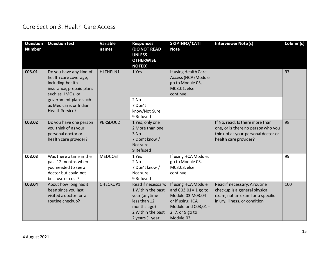# <span id="page-14-0"></span>Core Section 3: Health Care Access

| Question<br><b>Number</b> | <b>Question text</b>                                                                                                 | Variable<br>names | <b>Responses</b><br><b>(DO NOT READ</b><br><b>UNLESS</b><br><b>OTHERWISE</b><br><b>NOTED)</b>                                   | <b>SKIPINFO/CATI</b><br><b>Note</b>                                                                                                             | Interviewer Note (s)                                                                                                                  | Column(s) |
|---------------------------|----------------------------------------------------------------------------------------------------------------------|-------------------|---------------------------------------------------------------------------------------------------------------------------------|-------------------------------------------------------------------------------------------------------------------------------------------------|---------------------------------------------------------------------------------------------------------------------------------------|-----------|
| C03.01                    | Do you have any kind of<br>health care coverage,<br>including health<br>insurance, prepaid plans<br>such as HMOs, or | HLTHPLN1          | 1 Yes                                                                                                                           | If using Health Care<br>Access (HCA) Module<br>go to Module 03,<br>M03.01, else<br>continue                                                     |                                                                                                                                       | 97        |
|                           | government plans such<br>as Medicare, or Indian<br>Health Service?                                                   |                   | 2 No<br>7 Don't<br>know/Not Sure<br>9 Refused                                                                                   |                                                                                                                                                 |                                                                                                                                       |           |
| C03.02                    | Do you have one person<br>you think of as your<br>personal doctor or<br>health care provider?                        | PERSDOC2          | 1 Yes, only one<br>2 More than one<br>3 No<br>7 Don't know /<br>Not sure<br>9 Refused                                           |                                                                                                                                                 | If No, read: Is there more than<br>one, or is there no person who you<br>think of as your personal doctor or<br>health care provider? | 98        |
| C03.03                    | Was there a time in the<br>past 12 months when<br>you needed to see a<br>doctor but could not<br>because of cost?    | <b>MEDCOST</b>    | 1 Yes<br>2 No<br>7 Don't know /<br>Not sure<br>9 Refused                                                                        | If using HCA Module,<br>go to Module 03,<br>M03.03, else<br>continue.                                                                           |                                                                                                                                       | 99        |
| C03.04                    | About how long has it<br>been since you last<br>visited a doctor for a<br>routine checkup?                           | CHECKUP1          | Read if necessary:<br>1 Within the past<br>year (anytime<br>less than 12<br>months ago)<br>2 Within the past<br>2 years (1 year | If using HCA Module<br>and $C03.01 = 1$ go to<br>Module 03 M03.04<br>or if using HCA<br>Module and $CO3,01 =$<br>2, 7, or 9 go to<br>Module 03, | Read if necessary: A routine<br>checkup is a general physical<br>exam, not an exam for a specific<br>injury, illness, or condition.   | 100       |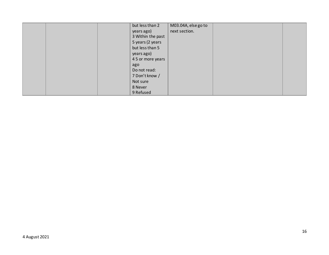|  | but less than 2   | M03.04A, else go to |  |
|--|-------------------|---------------------|--|
|  | years ago)        | next section.       |  |
|  | 3 Within the past |                     |  |
|  | 5 years (2 years  |                     |  |
|  | but less than 5   |                     |  |
|  | years ago)        |                     |  |
|  | 4 5 or more years |                     |  |
|  | ago               |                     |  |
|  | Do not read:      |                     |  |
|  | 7 Don't know /    |                     |  |
|  | Not sure          |                     |  |
|  | 8 Never           |                     |  |
|  | 9 Refused         |                     |  |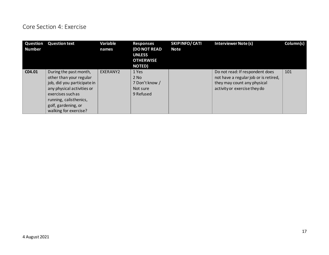#### <span id="page-16-0"></span>Core Section 4: Exercise

| Question<br><b>Number</b> | <b>Question text</b>                                                                                                                                                                                          | Variable<br>names | <b>Responses</b><br><b>(DO NOT READ</b><br><b>UNLESS</b><br><b>OTHERWISE</b><br><b>NOTED)</b> | SKIPINFO/CATI<br><b>Note</b> | <b>Interviewer Note (s)</b>                                                                                                             | Column(s) |
|---------------------------|---------------------------------------------------------------------------------------------------------------------------------------------------------------------------------------------------------------|-------------------|-----------------------------------------------------------------------------------------------|------------------------------|-----------------------------------------------------------------------------------------------------------------------------------------|-----------|
| C04.01                    | During the past month,<br>other than your regular<br>job, did you participate in<br>any physical activities or<br>exercises such as<br>running, calisthenics,<br>golf, gardening, or<br>walking for exercise? | EXERANY2          | 1 Yes<br>$2$ No<br>7 Don't know /<br>Not sure<br>9 Refused                                    |                              | Do not read: If respondent does<br>not have a regular job or is retired,<br>they may count any physical<br>activity or exercise they do | 101       |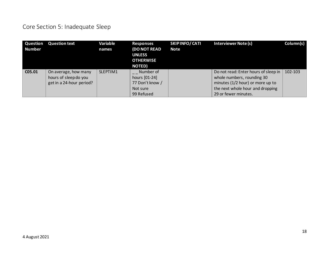# <span id="page-17-0"></span>Core Section 5: Inadequate Sleep

| Question<br><b>Number</b> | <b>Question text</b>                                                      | Variable<br>names | <b>Responses</b><br><b>(DO NOT READ</b><br><b>UNLESS</b><br><b>OTHERWISE</b><br><b>NOTED)</b> | SKIPINFO/CATI<br><b>Note</b> | <b>Interviewer Note (s)</b>                                                                            | Column(s) |
|---------------------------|---------------------------------------------------------------------------|-------------------|-----------------------------------------------------------------------------------------------|------------------------------|--------------------------------------------------------------------------------------------------------|-----------|
| C05.01                    | On average, how many<br>hours of sleep do you<br>get in a 24-hour period? | SLEPTIM1          | Number of<br>hours [01-24]<br>77 Don't know /                                                 |                              | Do not read: Enter hours of sleep in<br>whole numbers, rounding 30<br>minutes (1/2 hour) or more up to | 102-103   |
|                           |                                                                           |                   | Not sure<br>99 Refused                                                                        |                              | the next whole hour and dropping<br>29 or fewer minutes.                                               |           |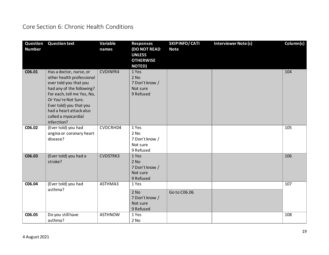## <span id="page-18-0"></span>Core Section 6: Chronic Health Conditions

| Question<br><b>Number</b> | <b>Question text</b>                                                                                                                                                                                                                                         | Variable<br>names | <b>Responses</b><br><b>(DO NOT READ</b><br><b>UNLESS</b><br><b>OTHERWISE</b><br><b>NOTED)</b> | SKIPINFO/CATI<br><b>Note</b> | <b>Interviewer Note (s)</b> | Column(s) |
|---------------------------|--------------------------------------------------------------------------------------------------------------------------------------------------------------------------------------------------------------------------------------------------------------|-------------------|-----------------------------------------------------------------------------------------------|------------------------------|-----------------------------|-----------|
| C06.01                    | Has a doctor, nurse, or<br>other health professional<br>ever told you that you<br>had any of the following?<br>For each, tell me Yes, No,<br>Or You're Not Sure.<br>Ever told) you that you<br>had a heart attack also<br>called a myocardial<br>infarction? | <b>CVDINFR4</b>   | 1 Yes<br>$2$ No<br>7 Don't know /<br>Not sure<br>9 Refused                                    |                              |                             | 104       |
| C06.02                    | (Ever told) you had<br>angina or coronary heart<br>disease?                                                                                                                                                                                                  | CVDCRHD4          | 1 Yes<br>2 No<br>7 Don't know /<br>Not sure<br>9 Refused                                      |                              |                             | 105       |
| C06.03                    | (Ever told) you had a<br>stroke?                                                                                                                                                                                                                             | CVDSTRK3          | 1 Yes<br>$2$ No<br>7 Don't know /<br>Not sure<br>9 Refused                                    |                              |                             | 106       |
| C06.04                    | (Ever told) you had<br>asthma?                                                                                                                                                                                                                               | ASTHMA3           | 1 Yes<br>$2$ No<br>7 Don't know /<br>Not sure<br>9 Refused                                    | Go to C06.06                 |                             | 107       |
| C06.05                    | Do you still have<br>asthma?                                                                                                                                                                                                                                 | <b>ASTHNOW</b>    | 1 Yes<br>$2$ No                                                                               |                              |                             | 108       |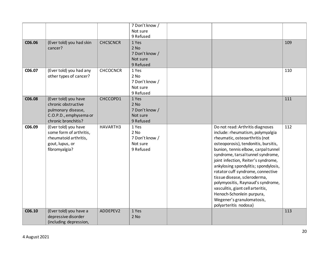|        |                                                                                                                    |                 | 7 Don't know /<br>Not sure<br>9 Refused                    |                                                                                                                                                                                                                                                                                                                                                                                                                                                                                                                                             |     |
|--------|--------------------------------------------------------------------------------------------------------------------|-----------------|------------------------------------------------------------|---------------------------------------------------------------------------------------------------------------------------------------------------------------------------------------------------------------------------------------------------------------------------------------------------------------------------------------------------------------------------------------------------------------------------------------------------------------------------------------------------------------------------------------------|-----|
| C06.06 | (Ever told) you had skin<br>cancer?                                                                                | <b>CHCSCNCR</b> | 1 Yes<br>$2$ No<br>7 Don't know /<br>Not sure<br>9 Refused |                                                                                                                                                                                                                                                                                                                                                                                                                                                                                                                                             | 109 |
| C06.07 | (Ever told) you had any<br>other types of cancer?                                                                  | <b>CHCOCNCR</b> | 1 Yes<br>2 No<br>7 Don't know /<br>Not sure<br>9 Refused   |                                                                                                                                                                                                                                                                                                                                                                                                                                                                                                                                             | 110 |
| C06.08 | (Ever told) you have<br>chronic obstructive<br>pulmonary disease,<br>C.O.P.D., emphysema or<br>chronic bronchitis? | CHCCOPD1        | 1 Yes<br>$2$ No<br>7 Don't know /<br>Not sure<br>9 Refused |                                                                                                                                                                                                                                                                                                                                                                                                                                                                                                                                             | 111 |
| C06.09 | (Ever told) you have<br>some form of arthritis,<br>rheumatoid arthritis,<br>gout, lupus, or<br>fibromyalgia?       | HAVARTH3        | 1 Yes<br>$2$ No<br>7 Don't know /<br>Not sure<br>9 Refused | Do not read: Arthritis diagnoses<br>include: rheumatism, polymyalgia<br>rheumatic, osteoarthritis (not<br>osteoporosis), tendonitis, bursitis,<br>bunion, tennis elbow, carpal tunnel<br>syndrome, tarsal tunnel syndrome,<br>joint infection, Reiter's syndrome,<br>ankylosing spondylitis; spondylosis,<br>rotator cuff syndrome, connective<br>tissue disease, scleroderma,<br>polymyositis, Raynaud's syndrome,<br>vasculitis, giant cell arteritis,<br>Henoch-Schonlein purpura,<br>Wegener's granulomatosis,<br>polyarteritis nodosa) | 112 |
| C06.10 | (Ever told) you have a<br>depressive disorder<br>(including depression,                                            | ADDEPEV2        | 1 Yes<br>2 No                                              |                                                                                                                                                                                                                                                                                                                                                                                                                                                                                                                                             | 113 |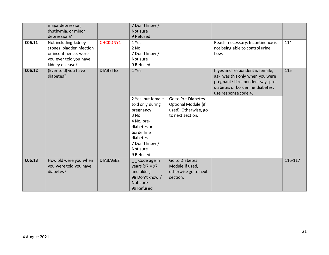|        | major depression,<br>dysthymia, or minor<br>depression)?                                                                |                 | 7 Don't know /<br>Not sure<br>9 Refused                                                                                                                               |                                                                                       |                                                                                                                                                                       |         |
|--------|-------------------------------------------------------------------------------------------------------------------------|-----------------|-----------------------------------------------------------------------------------------------------------------------------------------------------------------------|---------------------------------------------------------------------------------------|-----------------------------------------------------------------------------------------------------------------------------------------------------------------------|---------|
| C06.11 | Not including kidney<br>stones, bladder infection<br>or incontinence, were<br>you ever told you have<br>kidney disease? | <b>CHCKDNY1</b> | 1 Yes<br>$2$ No<br>7 Don't know /<br>Not sure<br>9 Refused                                                                                                            |                                                                                       | Read if necessary: Incontinence is<br>not being able to control urine<br>flow.                                                                                        | 114     |
| C06.12 | (Ever told) you have<br>diabetes?                                                                                       | DIABETE3        | 1 Yes<br>2 Yes, but female<br>told only during<br>pregnancy<br>3 No<br>4 No, pre-<br>diabetes or<br>borderline<br>diabetes<br>7 Don't know /<br>Not sure<br>9 Refused | Go to Pre-Diabetes<br>Optional Module (if<br>used). Otherwise, go<br>to next section. | If yes and respondent is female,<br>ask: was this only when you were<br>pregnant? If respondent says pre-<br>diabetes or borderline diabetes,<br>use response code 4. | 115     |
| C06.13 | How old were you when<br>you were told you have<br>diabetes?                                                            | DIABAGE2        | $\overline{\phantom{a}}$ Code age in<br>years $[97 = 97]$<br>and older]<br>98 Don't know /<br>Not sure<br>99 Refused                                                  | Go to Diabetes<br>Module if used,<br>otherwise go to next<br>section.                 |                                                                                                                                                                       | 116-117 |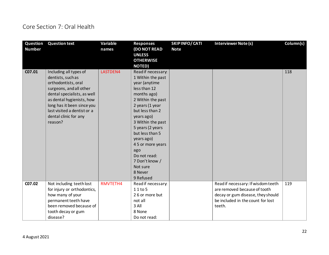## <span id="page-21-0"></span>Core Section 7: Oral Health

| Question<br><b>Number</b> | <b>Question text</b>                                                                                                                                                                                                                                       | Variable<br>names | <b>Responses</b><br><b>(DO NOT READ</b><br><b>UNLESS</b><br><b>OTHERWISE</b><br><b>NOTED)</b>                                                                                                                                                                                                                                                | SKIPINFO/CATI<br><b>Note</b> | Interviewer Note (s)                                                                                                                                   | Column(s) |
|---------------------------|------------------------------------------------------------------------------------------------------------------------------------------------------------------------------------------------------------------------------------------------------------|-------------------|----------------------------------------------------------------------------------------------------------------------------------------------------------------------------------------------------------------------------------------------------------------------------------------------------------------------------------------------|------------------------------|--------------------------------------------------------------------------------------------------------------------------------------------------------|-----------|
| C07.01                    | Including all types of<br>dentists, such as<br>orthodontists, oral<br>surgeons, and all other<br>dental specialists, as well<br>as dental hygienists, how<br>long has it been since you<br>last visited a dentist or a<br>dental clinic for any<br>reason? | LASTDEN4          | Read if necessary:<br>1 Within the past<br>year (anytime<br>less than 12<br>months ago)<br>2 Within the past<br>2 years (1 year<br>but less than 2<br>years ago)<br>3 Within the past<br>5 years (2 years<br>but less than 5<br>years ago)<br>4 5 or more years<br>ago<br>Do not read:<br>7 Don't know /<br>Not sure<br>8 Never<br>9 Refused |                              |                                                                                                                                                        | 118       |
| C07.02                    | Not including teeth lost<br>for injury or orthodontics,<br>how many of your<br>permanent teeth have<br>been removed because of<br>tooth decay or gum<br>disease?                                                                                           | RMVTETH4          | Read if necessary:<br>11 to 5<br>26 or more but<br>not all<br>3 All<br>8 None<br>Do not read:                                                                                                                                                                                                                                                |                              | Read if necessary: If wisdom teeth<br>are removed because of tooth<br>decay or gum disease, they should<br>be included in the count for lost<br>teeth. | 119       |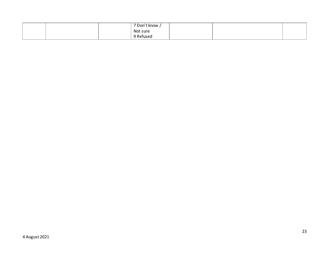|  |  | 7 Don't know, |  |  |
|--|--|---------------|--|--|
|  |  | Not sure      |  |  |
|  |  | etuser'       |  |  |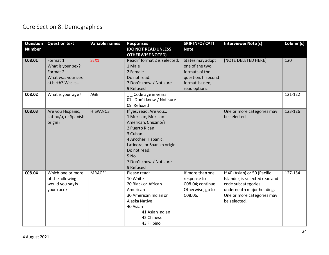# <span id="page-23-0"></span>Core Section 8: Demographics

| Question<br><b>Number</b> | <b>Question text</b>                                                                 | Variable names | <b>Responses</b><br>(DO NOT READ UNLESS                                                                                                                                                                               | <b>SKIPINFO/CATI</b><br><b>Note</b>                                                                             | <b>Interviewer Note (s)</b>                                                                                                                                     | Column(s) |
|---------------------------|--------------------------------------------------------------------------------------|----------------|-----------------------------------------------------------------------------------------------------------------------------------------------------------------------------------------------------------------------|-----------------------------------------------------------------------------------------------------------------|-----------------------------------------------------------------------------------------------------------------------------------------------------------------|-----------|
| C08.01                    | Format 1:<br>What is your sex?<br>Format 2:<br>What was your sex<br>at birth? Was it | SEX1           | <b>OTHERWISE NOTED)</b><br>Read if format 2 is selected:<br>1 Male<br>2 Female<br>Do not read:<br>7 Don't know / Not sure<br>9 Refused                                                                                | States may adopt<br>one of the two<br>formats of the<br>question. If second<br>format is used,<br>read options. | [NOTE DELETED HERE]                                                                                                                                             | 120       |
| C08.02                    | What is your age?                                                                    | <b>AGE</b>     | __ Code age in years<br>07 Don't know / Not sure<br>09 Refused                                                                                                                                                        |                                                                                                                 |                                                                                                                                                                 | 121-122   |
| C08.03                    | Are you Hispanic,<br>Latino/a, or Spanish<br>origin?                                 | HISPANC3       | If yes, read: Are you<br>1 Mexican, Mexican<br>American, Chicano/a<br>2 Puerto Rican<br>3 Cuban<br>4 Another Hispanic,<br>Latino/a, or Spanish origin<br>Do not read:<br>5 No<br>7 Don't know / Not sure<br>9 Refused |                                                                                                                 | One or more categories may<br>be selected.                                                                                                                      | 123-126   |
| C08.04                    | Which one or more<br>of the following<br>would you say is<br>your race?              | MRACE1         | Please read:<br>10 White<br>20 Black or African<br>American<br>30 American Indian or<br>Alaska Native<br>40 Asian<br>41 Asian Indian<br>42 Chinese<br>43 Filipino                                                     | If more than one<br>responseto<br>C08.04; continue.<br>Otherwise, goto<br>C08.06.                               | If 40 (Asian) or 50 (Pacific<br>Islander) is selected read and<br>code subcategories<br>underneath major heading.<br>One or more categories may<br>be selected. | 127-154   |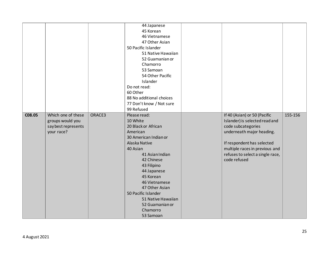|        |                     |        | 44 Japanese              |                                  |         |
|--------|---------------------|--------|--------------------------|----------------------------------|---------|
|        |                     |        | 45 Korean                |                                  |         |
|        |                     |        | 46 Vietnamese            |                                  |         |
|        |                     |        | 47 Other Asian           |                                  |         |
|        |                     |        | 50 Pacific Islander      |                                  |         |
|        |                     |        | 51 Native Hawaiian       |                                  |         |
|        |                     |        | 52 Guamanian or          |                                  |         |
|        |                     |        | Chamorro                 |                                  |         |
|        |                     |        | 53 Samoan                |                                  |         |
|        |                     |        | 54 Other Pacific         |                                  |         |
|        |                     |        | Islander                 |                                  |         |
|        |                     |        | Do not read:             |                                  |         |
|        |                     |        | 60 Other                 |                                  |         |
|        |                     |        | 88 No additional choices |                                  |         |
|        |                     |        | 77 Don't know / Not sure |                                  |         |
|        |                     |        | 99 Refused               |                                  |         |
| C08.05 | Which one of these  | ORACE3 | Please read:             | If 40 (Asian) or 50 (Pacific     | 155-156 |
|        | groups would you    |        | 10 White                 | Islander) is selected read and   |         |
|        | say best represents |        | 20 Black or African      | code subcategories               |         |
|        | your race?          |        | American                 | underneath major heading.        |         |
|        |                     |        | 30 American Indian or    |                                  |         |
|        |                     |        | Alaska Native            | If respondent has selected       |         |
|        |                     |        | 40 Asian                 | multiple races in previous and   |         |
|        |                     |        | 41 Asian Indian          | refuses to select a single race, |         |
|        |                     |        | 42 Chinese               | code refused                     |         |
|        |                     |        | 43 Filipino              |                                  |         |
|        |                     |        | 44 Japanese              |                                  |         |
|        |                     |        | 45 Korean                |                                  |         |
|        |                     |        |                          |                                  |         |
|        |                     |        | 46 Vietnamese            |                                  |         |
|        |                     |        | 47 Other Asian           |                                  |         |
|        |                     |        | 50 Pacific Islander      |                                  |         |
|        |                     |        | 51 Native Hawaiian       |                                  |         |
|        |                     |        | 52 Guamanian or          |                                  |         |
|        |                     |        | Chamorro                 |                                  |         |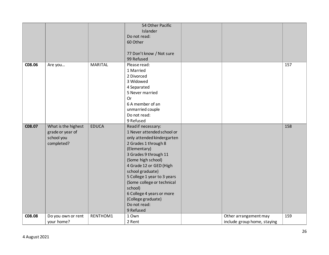|        |                     |                | 54 Other Pacific            |                             |     |
|--------|---------------------|----------------|-----------------------------|-----------------------------|-----|
|        |                     |                | <b>Islander</b>             |                             |     |
|        |                     |                | Do not read:                |                             |     |
|        |                     |                | 60 Other                    |                             |     |
|        |                     |                |                             |                             |     |
|        |                     |                | 77 Don't know / Not sure    |                             |     |
|        |                     |                | 99 Refused                  |                             |     |
| C08.06 | Are you             | <b>MARITAL</b> | Please read:                |                             | 157 |
|        |                     |                | 1 Married                   |                             |     |
|        |                     |                | 2 Divorced                  |                             |     |
|        |                     |                | 3 Widowed                   |                             |     |
|        |                     |                | 4 Separated                 |                             |     |
|        |                     |                | 5 Never married             |                             |     |
|        |                     |                | <b>Or</b>                   |                             |     |
|        |                     |                | 6 A member of an            |                             |     |
|        |                     |                | unmarried couple            |                             |     |
|        |                     |                | Do not read:                |                             |     |
|        |                     |                | 9 Refused                   |                             |     |
| C08.07 | What is the highest | <b>EDUCA</b>   | Read if necessary:          |                             | 158 |
|        | grade or year of    |                | 1 Never attended school or  |                             |     |
|        | school you          |                | only attended kindergarten  |                             |     |
|        | completed?          |                | 2 Grades 1 through 8        |                             |     |
|        |                     |                | (Elementary)                |                             |     |
|        |                     |                | 3 Grades 9 through 11       |                             |     |
|        |                     |                | (Some high school)          |                             |     |
|        |                     |                | 4 Grade 12 or GED (High     |                             |     |
|        |                     |                | school graduate)            |                             |     |
|        |                     |                | 5 College 1 year to 3 years |                             |     |
|        |                     |                | (Some college or technical  |                             |     |
|        |                     |                | school)                     |                             |     |
|        |                     |                | 6 College 4 years or more   |                             |     |
|        |                     |                | (College graduate)          |                             |     |
|        |                     |                | Do not read:                |                             |     |
|        |                     |                | 9 Refused                   |                             |     |
| C08.08 | Do you own or rent  | RENTHOM1       | 1 Own                       | Other arrangement may       | 159 |
|        | your home?          |                | 2 Rent                      | include group home, staying |     |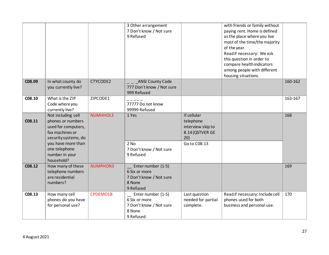|        |                                                                                                           |          | 3 Other arrangement<br>7 Don't know / Not sure<br>9 Refused                           |                                                                         | with friends or family without<br>paying rent. Home is defined<br>as the place where you live<br>most of the time/the majority<br>of the year.<br>Read if necessary: We ask<br>this question in order to<br>compare health indicators<br>among people with different<br>housing situations. |         |
|--------|-----------------------------------------------------------------------------------------------------------|----------|---------------------------------------------------------------------------------------|-------------------------------------------------------------------------|---------------------------------------------------------------------------------------------------------------------------------------------------------------------------------------------------------------------------------------------------------------------------------------------|---------|
| C08.09 | In what county do<br>you currently live?                                                                  | CTYCODE2 | <b>ANSI County Code</b><br>777 Don't know / Not sure<br>999 Refused                   |                                                                         |                                                                                                                                                                                                                                                                                             | 160-162 |
| C08.10 | What is the ZIP<br>Code where you<br>currently live?                                                      | ZIPCODE1 | 77777 Do not know<br>99999 Refused                                                    |                                                                         |                                                                                                                                                                                                                                                                                             | 163-167 |
| C08.11 | Not including cell<br>phones or numbers<br>used for computers,<br>fax machines or<br>security systems, do | NUMHHOL3 | 1 Yes                                                                                 | If cellular<br>telephone<br>interview skip to<br>8.14 (QSTVER GE<br>20) |                                                                                                                                                                                                                                                                                             | 168     |
|        | you have more than<br>one telephone<br>number in your<br>household?                                       |          | $2$ No<br>7 Don't know / Not sure<br>9 Refused                                        | Go to C08.13                                                            |                                                                                                                                                                                                                                                                                             |         |
| C08.12 | How many of these<br>telephone numbers<br>are residential<br>numbers?                                     | NUMPHON3 | Enter number (1-5)<br>6 Six or more<br>7 Don't know / Not sure<br>8 None<br>9 Refused |                                                                         |                                                                                                                                                                                                                                                                                             | 169     |
| C08.13 | How many cell<br>phones do you have<br>for personal use?                                                  | CPDEMO1B | Enter number (1-5)<br>6 Six or more<br>7 Don't know / Not sure<br>8 None<br>9 Refused | Last question<br>needed for partial<br>complete.                        | Read if necessary: Include cell<br>phones used for both<br>business and personal use.                                                                                                                                                                                                       | 170     |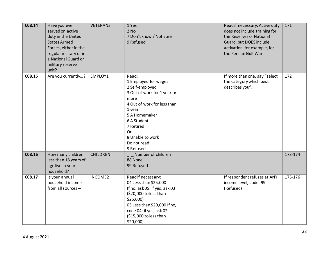| C08.14 | Have you ever<br>served on active<br>duty in the United<br><b>States Armed</b><br>Forces, either in the<br>regular military or in<br>a National Guard or<br>military reserve<br>unit? | VETERAN3        | 1 Yes<br>$2$ No<br>7 Don't know / Not sure<br>9 Refused                                                                                                                                                                                     | Read if necessary: Active duty<br>does not include training for<br>the Reserves or National<br>Guard, but DOES include<br>activation, for example, for<br>the Persian Gulf War. | 171     |
|--------|---------------------------------------------------------------------------------------------------------------------------------------------------------------------------------------|-----------------|---------------------------------------------------------------------------------------------------------------------------------------------------------------------------------------------------------------------------------------------|---------------------------------------------------------------------------------------------------------------------------------------------------------------------------------|---------|
| C08.15 | Are you currently?                                                                                                                                                                    | EMPLOY1         | Read:<br>1 Employed for wages<br>2 Self-employed<br>3 Out of work for 1 year or<br>more<br>4 Out of work for less than<br>1 year<br>5 A Homemaker<br>6 A Student<br>7 Retired<br><b>Or</b><br>8 Unable to work<br>Do not read:<br>9 Refused | If more than one, say "select<br>the category which best<br>describes you".                                                                                                     | 172     |
| C08.16 | How many children<br>less than 18 years of<br>age live in your<br>household?                                                                                                          | <b>CHILDREN</b> | _ _ Number of children<br>88 None<br>99 Refused                                                                                                                                                                                             |                                                                                                                                                                                 | 173-174 |
| C08.17 | Is your annual<br>household income<br>from all sources-                                                                                                                               | INCOME2         | Read if necessary:<br>04 Less than \$25,000<br>If no, ask 05; if yes, ask 03<br>(\$20,000 to less than<br>\$25,000<br>03 Less than \$20,000 If no,<br>code 04; if yes, ask 02<br>(\$15,000 to less than<br>\$20,000                         | If respondent refuses at ANY<br>income level, code '99'<br>(Refused)                                                                                                            | 175-176 |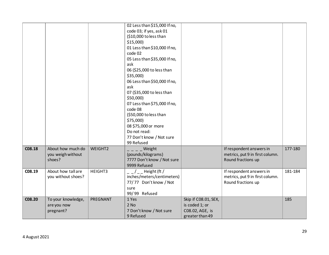|        |                    |          | 02 Less than \$15,000 If no, |                      |                                 |         |
|--------|--------------------|----------|------------------------------|----------------------|---------------------------------|---------|
|        |                    |          | code 03; if yes, ask 01      |                      |                                 |         |
|        |                    |          | (\$10,000 to less than       |                      |                                 |         |
|        |                    |          | $$15,000$ )                  |                      |                                 |         |
|        |                    |          | 01 Less than \$10,000 If no, |                      |                                 |         |
|        |                    |          | code 02                      |                      |                                 |         |
|        |                    |          | 05 Less than \$35,000 If no, |                      |                                 |         |
|        |                    |          | ask                          |                      |                                 |         |
|        |                    |          | 06 (\$25,000 to less than    |                      |                                 |         |
|        |                    |          | \$35,000                     |                      |                                 |         |
|        |                    |          | 06 Less than \$50,000 If no, |                      |                                 |         |
|        |                    |          | ask                          |                      |                                 |         |
|        |                    |          | 07 (\$35,000 to less than    |                      |                                 |         |
|        |                    |          | \$50,000                     |                      |                                 |         |
|        |                    |          | 07 Less than \$75,000 If no, |                      |                                 |         |
|        |                    |          | code 08                      |                      |                                 |         |
|        |                    |          | (\$50,000 to less than       |                      |                                 |         |
|        |                    |          | \$75,000)                    |                      |                                 |         |
|        |                    |          | 08 \$75,000 or more          |                      |                                 |         |
|        |                    |          | Do not read:                 |                      |                                 |         |
|        |                    |          | 77 Don't know / Not sure     |                      |                                 |         |
|        |                    |          | 99 Refused                   |                      |                                 |         |
| C08.18 | About how much do  | WEIGHT2  | Weight                       |                      | If respondent answers in        | 177-180 |
|        | you weigh without  |          | (pounds/kilograms)           |                      | metrics, put 9 in first column. |         |
|        | shoes?             |          | 7777 Don't know / Not sure   |                      | Round fractions up              |         |
|        |                    |          | 9999 Refused                 |                      |                                 |         |
| C08.19 | About how tall are | HEIGHT3  | $_{-}/_{--}$ Height (ft /    |                      | If respondent answers in        | 181-184 |
|        | you without shoes? |          | inches/meters/centimeters)   |                      | metrics, put 9 in first column. |         |
|        |                    |          | 77/77 Don't know / Not       |                      | Round fractions up              |         |
|        |                    |          | sure                         |                      |                                 |         |
|        |                    |          | 99/99 Refused                |                      |                                 |         |
| C08.20 | To your knowledge, | PREGNANT | 1 Yes                        | Skip if C08.01, SEX, |                                 | 185     |
|        | are you now        |          | $2$ No                       | is coded 1; or       |                                 |         |
|        | pregnant?          |          | 7 Don't know / Not sure      | C08.02, AGE, is      |                                 |         |
|        |                    |          | 9 Refused                    | greater than 49      |                                 |         |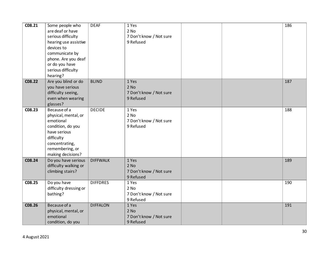| C08.21 | Some people who<br>are deaf or have<br>serious difficulty<br>hearing use assistive<br>devices to<br>communicate by<br>phone. Are you deaf<br>or do you have<br>serious difficulty<br>hearing? | <b>DEAF</b>     | 1 Yes<br>$2$ No<br>7 Don't know / Not sure<br>9 Refused |  | 186 |
|--------|-----------------------------------------------------------------------------------------------------------------------------------------------------------------------------------------------|-----------------|---------------------------------------------------------|--|-----|
| C08.22 | Are you blind or do<br>you have serious<br>difficulty seeing,<br>even when wearing<br>glasses?                                                                                                | <b>BLIND</b>    | 1 Yes<br>$2$ No<br>7 Don't know / Not sure<br>9 Refused |  | 187 |
| C08.23 | Because of a<br>physical, mental, or<br>emotional<br>condition, do you<br>have serious<br>difficulty<br>concentrating,<br>remembering, or<br>making decisions?                                | <b>DECIDE</b>   | 1 Yes<br>2 No<br>7 Don't know / Not sure<br>9 Refused   |  | 188 |
| C08.24 | Do you have serious<br>difficulty walking or<br>climbing stairs?                                                                                                                              | <b>DIFFWALK</b> | 1 Yes<br>$2$ No<br>7 Don't know / Not sure<br>9 Refused |  | 189 |
| C08.25 | Do you have<br>difficulty dressing or<br>bathing?                                                                                                                                             | <b>DIFFDRES</b> | 1 Yes<br>2 No<br>7 Don't know / Not sure<br>9 Refused   |  | 190 |
| C08.26 | Because of a<br>physical, mental, or<br>emotional<br>condition, do you                                                                                                                        | <b>DIFFALON</b> | 1 Yes<br>$2$ No<br>7 Don't know / Not sure<br>9 Refused |  | 191 |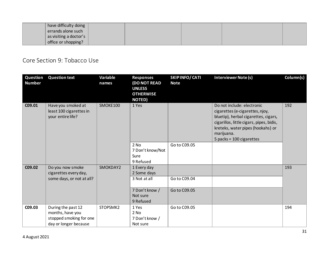| have difficulty doing          |  |  |  |
|--------------------------------|--|--|--|
| errands alone such             |  |  |  |
| as visiting a doctor's $\vert$ |  |  |  |
| office or shopping?            |  |  |  |

#### <span id="page-30-0"></span>Core Section 9: Tobacco Use

| Question<br><b>Number</b>                                                    | <b>Question text</b>                                                                       | Variable<br>names | <b>Responses</b><br><b>(DO NOT READ</b><br><b>UNLESS</b><br><b>OTHERWISE</b><br><b>NOTED)</b> | <b>SKIPINFO/CATI</b><br><b>Note</b>                                                                                                                                                                                                | <b>Interviewer Note (s)</b> | Column(s) |
|------------------------------------------------------------------------------|--------------------------------------------------------------------------------------------|-------------------|-----------------------------------------------------------------------------------------------|------------------------------------------------------------------------------------------------------------------------------------------------------------------------------------------------------------------------------------|-----------------------------|-----------|
| C09.01<br>Have you smoked at<br>least 100 cigarettes in<br>your entire life? | SMOKE100                                                                                   | 1 Yes             |                                                                                               | Do not include: electronic<br>cigarettes (e-cigarettes, njoy,<br>bluetip), herbal cigarettes, cigars,<br>cigarillos, little cigars, pipes, bidis,<br>kreteks, water pipes (hookahs) or<br>marijuana.<br>5 packs = $100$ cigarettes | 192                         |           |
|                                                                              |                                                                                            |                   | 2 No<br>7 Don't know/Not<br>Sure<br>9 Refused                                                 | Go to C09.05                                                                                                                                                                                                                       |                             |           |
| C09.02                                                                       | Do you now smoke<br>cigarettes every day,<br>some days, or not at all?                     | SMOKDAY2          | 1 Every day<br>2 Some days<br>3 Not at all<br>7 Don't know /                                  | Go to C09.04<br>Go to C09.05                                                                                                                                                                                                       |                             | 193       |
|                                                                              |                                                                                            |                   | Not sure<br>9 Refused                                                                         |                                                                                                                                                                                                                                    |                             |           |
| C09.03                                                                       | During the past 12<br>months, have you<br>stopped smoking for one<br>day or longer because | STOPSMK2          | 1 Yes<br>2 No<br>7 Don't know /<br>Not sure                                                   | Go to C09.05                                                                                                                                                                                                                       |                             | 194       |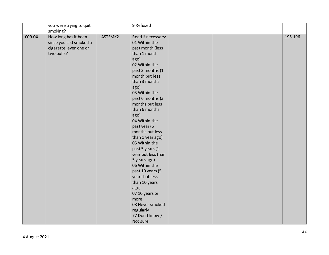|        | you were trying to quit |          | 9 Refused          |  |         |
|--------|-------------------------|----------|--------------------|--|---------|
|        | smoking?                |          |                    |  |         |
| C09.04 | How long has it been    | LASTSMK2 | Read if necessary: |  | 195-196 |
|        | since you last smoked a |          | 01 Within the      |  |         |
|        | cigarette, even one or  |          | past month (less   |  |         |
|        | two puffs?              |          | than 1 month       |  |         |
|        |                         |          | ago)               |  |         |
|        |                         |          | 02 Within the      |  |         |
|        |                         |          | past 3 months (1   |  |         |
|        |                         |          | month but less     |  |         |
|        |                         |          | than 3 months      |  |         |
|        |                         |          | ago)               |  |         |
|        |                         |          | 03 Within the      |  |         |
|        |                         |          | past 6 months (3   |  |         |
|        |                         |          | months but less    |  |         |
|        |                         |          | than 6 months      |  |         |
|        |                         |          | ago)               |  |         |
|        |                         |          | 04 Within the      |  |         |
|        |                         |          | past year (6       |  |         |
|        |                         |          | months but less    |  |         |
|        |                         |          | than 1 year ago)   |  |         |
|        |                         |          | 05 Within the      |  |         |
|        |                         |          | past 5 years (1    |  |         |
|        |                         |          | year but less than |  |         |
|        |                         |          | 5 years ago)       |  |         |
|        |                         |          | 06 Within the      |  |         |
|        |                         |          | past 10 years (5   |  |         |
|        |                         |          | years but less     |  |         |
|        |                         |          | than 10 years      |  |         |
|        |                         |          | ago)               |  |         |
|        |                         |          | 07 10 years or     |  |         |
|        |                         |          | more               |  |         |
|        |                         |          | 08 Never smoked    |  |         |
|        |                         |          | regularly          |  |         |
|        |                         |          | 77 Don't know /    |  |         |
|        |                         |          | Not sure           |  |         |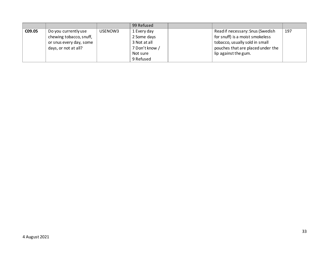|        |                         |         | 99 Refused     |                                   |     |
|--------|-------------------------|---------|----------------|-----------------------------------|-----|
| C09.05 | Do you currently use    | USENOW3 | 1 Every day    | Read if necessary: Snus (Swedish  | 197 |
|        | chewing tobacco, snuff, |         | 2 Some days    | for snuff) is a moist smokeless   |     |
|        | or snus every day, some |         | 3 Not at all   | tobacco, usually sold in small    |     |
|        | days, or not at all?    |         | 7 Don't know / | pouches that are placed under the |     |
|        |                         |         | Not sure       | lip against the gum.              |     |
|        |                         |         | 9 Refused      |                                   |     |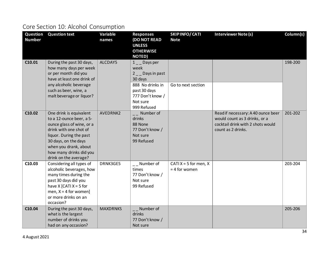# <span id="page-33-0"></span>Core Section 10: Alcohol Consumption

| Question      | <b>Question text</b>                                                                                                                                                                                                                       | Variable        | <b>Responses</b>                                                                                                                          | <b>SKIPINFO/CATI</b>                       | <b>Interviewer Note (s)</b>                                                                                                    | Column(s) |
|---------------|--------------------------------------------------------------------------------------------------------------------------------------------------------------------------------------------------------------------------------------------|-----------------|-------------------------------------------------------------------------------------------------------------------------------------------|--------------------------------------------|--------------------------------------------------------------------------------------------------------------------------------|-----------|
| <b>Number</b> |                                                                                                                                                                                                                                            | names           | <b>(DO NOT READ</b><br><b>UNLESS</b><br><b>OTHERWISE</b><br><b>NOTED)</b>                                                                 | <b>Note</b>                                |                                                                                                                                |           |
| C10.01        | During the past 30 days,<br>how many days per week<br>or per month did you<br>have at least one drink of<br>any alcoholic beverage<br>such as beer, wine, a<br>malt beverage or liquor?                                                    | ALCDAY5         | $1 \_$ Days per<br>week<br>2 _ Days in past<br>30 days<br>888 No drinks in<br>past 30 days<br>777 Don't know /<br>Not sure<br>999 Refused | Go to next section                         |                                                                                                                                | 198-200   |
| C10.02        | One drink is equivalent<br>to a 12-ounce beer, a 5-<br>ounce glass of wine, or a<br>drink with one shot of<br>liquor. During the past<br>30 days, on the days<br>when you drank, about<br>how many drinks did you<br>drink on the average? | AVEDRNK2        | $\overline{\phantom{a}}$ Number of<br>drinks<br>88 None<br>77 Don't know /<br>Not sure<br>99 Refused                                      |                                            | Read if necessary: A 40 ounce beer<br>would count as 3 drinks, or a<br>cocktail drink with 2 shots would<br>count as 2 drinks. | 201-202   |
| C10.03        | Considering all types of<br>alcoholic beverages, how<br>many times during the<br>past 30 days did you<br>have $X$ [CATI $X = 5$ for<br>men, $X = 4$ for women]<br>or more drinks on an<br>occasion?                                        | DRNK3GE5        | $\overline{\phantom{a}}$ Number of<br>times<br>77 Don't know /<br>Not sure<br>99 Refused                                                  | CATI $X = 5$ for men, X<br>$= 4$ for women |                                                                                                                                | 203-204   |
| C10.04        | During the past 30 days,<br>what is the largest<br>number of drinks you<br>had on any occasion?                                                                                                                                            | <b>MAXDRNKS</b> | Number of<br>drinks<br>77 Don't know /<br>Not sure                                                                                        |                                            |                                                                                                                                | 205-206   |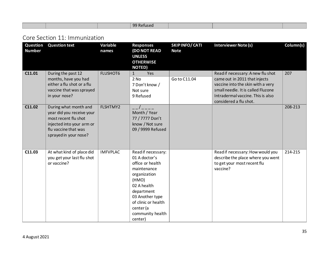#### <span id="page-34-0"></span>Core Section 11: Immunization

| Question<br><b>Number</b> | <b>Question text</b>                                                                                                                                     | Variable<br>names | <b>Responses</b><br><b>(DO NOT READ</b><br><b>UNLESS</b><br><b>OTHERWISE</b><br><b>NOTED)</b>                                                                                                                      | SKIPINFO/CATI<br><b>Note</b> | <b>Interviewer Note (s)</b>                                                                                                                                                                                  | Column(s) |
|---------------------------|----------------------------------------------------------------------------------------------------------------------------------------------------------|-------------------|--------------------------------------------------------------------------------------------------------------------------------------------------------------------------------------------------------------------|------------------------------|--------------------------------------------------------------------------------------------------------------------------------------------------------------------------------------------------------------|-----------|
| C11.01                    | During the past 12<br>months, have you had<br>either a flu shot or a flu<br>vaccine that was sprayed<br>in your nose?                                    | <b>FLUSHOT6</b>   | Yes<br>$\mathbf{1}$<br>2 No<br>7 Don't know /<br>Not sure<br>9 Refused                                                                                                                                             | Go to C11.04                 | Read if necessary: A new flu shot<br>came out in 2011 that injects<br>vaccine into the skin with a very<br>small needle. It is called Fluzone<br>Intradermal vaccine. This is also<br>considered a flu shot. | 207       |
| C11.02                    | During what month and<br>year did you receive your<br>most recent flu shot<br>injected into your arm or<br>flu vaccine that was<br>sprayed in your nose? | FLSHTMY2          | Month / Year<br>77 / 7777 Don't<br>know / Not sure<br>09 / 9999 Refused                                                                                                                                            |                              |                                                                                                                                                                                                              | 208-213   |
| C11.03                    | At what kind of place did<br>you get your last flu shot<br>or vaccine?                                                                                   | <b>IMFVPLAC</b>   | Read if necessary:<br>01 A doctor's<br>office or health<br>maintenance<br>organization<br>(HMO)<br>02 A health<br>department<br>03 Another type<br>of clinic or health<br>center (a<br>community health<br>center) |                              | Read if necessary: How would you<br>describe the place where you went<br>to get your most recent flu<br>vaccine?                                                                                             | 214-215   |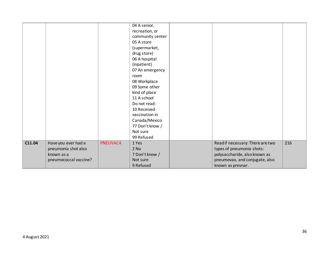|        |                       |          | 04 A senior,<br>recreation, or<br>community center<br>05 A store |                                  |     |
|--------|-----------------------|----------|------------------------------------------------------------------|----------------------------------|-----|
|        |                       |          | (supermarket,                                                    |                                  |     |
|        |                       |          | drug store)                                                      |                                  |     |
|        |                       |          | 06 A hospital                                                    |                                  |     |
|        |                       |          | (inpatient)                                                      |                                  |     |
|        |                       |          | 07 An emergency                                                  |                                  |     |
|        |                       |          | room                                                             |                                  |     |
|        |                       |          | 08 Workplace                                                     |                                  |     |
|        |                       |          | 09 Some other                                                    |                                  |     |
|        |                       |          | kind of place                                                    |                                  |     |
|        |                       |          | 11 A school                                                      |                                  |     |
|        |                       |          | Do not read:                                                     |                                  |     |
|        |                       |          | 10 Received                                                      |                                  |     |
|        |                       |          | vaccination in                                                   |                                  |     |
|        |                       |          | Canada/Mexico                                                    |                                  |     |
|        |                       |          | 77 Don't know /                                                  |                                  |     |
|        |                       |          | Not sure                                                         |                                  |     |
|        |                       |          | 99 Refused                                                       |                                  |     |
| C11.04 | Have you ever had a   | PNEUVAC4 | 1 Yes                                                            | Read if necessary: There are two | 216 |
|        | pneumonia shot also   |          | $2$ No                                                           | types of pneumonia shots:        |     |
|        | known as a            |          | 7 Don't know /                                                   | polysaccharide, also known as    |     |
|        | pneumococcal vaccine? |          | Not sure                                                         | pneumovax, and conjugate, also   |     |
|        |                       |          | 9 Refused                                                        | known as prevnar.                |     |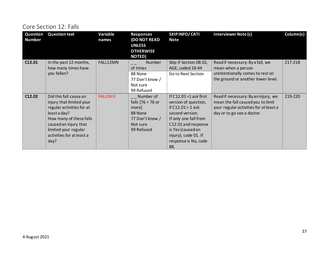#### Core Section 12: Falls

| Question<br><b>Number</b> | <b>Question text</b>                                                                                                                                                                                             | Variable<br>names | <b>Responses</b><br><b>(DO NOT READ</b><br><b>UNLESS</b><br><b>OTHERWISE</b><br><b>NOTED)</b>       | <b>SKIPINFO/CATI</b><br><b>Note</b>                                                                                                                                                                                     | <b>Interviewer Note (s)</b>                                                                                                                      | Column(s) |
|---------------------------|------------------------------------------------------------------------------------------------------------------------------------------------------------------------------------------------------------------|-------------------|-----------------------------------------------------------------------------------------------------|-------------------------------------------------------------------------------------------------------------------------------------------------------------------------------------------------------------------------|--------------------------------------------------------------------------------------------------------------------------------------------------|-----------|
| C12.01                    | In the past 12 months,<br>how many times have<br>you fallen?                                                                                                                                                     | FALL12MN          | <b>Number</b><br>of times<br>88 None<br>77 Don't know /<br>Not sure<br>99 Refused                   | Skip if Section 08.02,<br>AGE, coded 18-44<br>Go to Next Section                                                                                                                                                        | Read if necessary: By a fall, we<br>mean when a person<br>unintentionally comes to rest on<br>the ground or another lower level.                 | 217-218   |
| C12.02                    | Did this fall cause an<br>injury that limited your<br>regular activities for at<br>least a day?<br>How many of these falls<br>caused an injury that<br>limited your regular<br>activities for at least a<br>day? | <b>FALLINJ3</b>   | __ Number of<br>falls $[76 = 76$ or<br>more<br>88 None<br>77 Don't know /<br>Not sure<br>99 Refused | If $C12.01 = 1$ ask first<br>version of question,<br>if $C12.01 > 1$ ask<br>second version.<br>If only one fall from<br>C12.01 and response<br>is Yes (caused an<br>injury); code 01. If<br>response is No, code<br>88. | Read if necessary: By an injury, we<br>mean the fall caused you to limit<br>your regular activities for at least a<br>day or to go see a doctor. | 219-220   |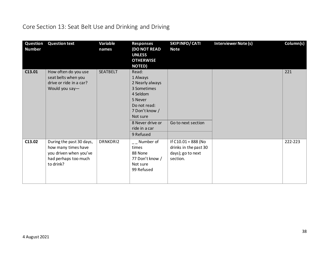# Core Section 13: Seat Belt Use and Drinking and Driving

| Question<br><b>Number</b> | <b>Question text</b>                                                                                           | Variable<br>names | <b>Responses</b><br><b>(DO NOT READ</b><br><b>UNLESS</b><br><b>OTHERWISE</b><br><b>NOTED)</b>                                                                              | SKIP INFO/ CATI<br><b>Note</b>                                                  | <b>Interviewer Note (s)</b> | Column(s) |
|---------------------------|----------------------------------------------------------------------------------------------------------------|-------------------|----------------------------------------------------------------------------------------------------------------------------------------------------------------------------|---------------------------------------------------------------------------------|-----------------------------|-----------|
| C13.01                    | How often do you use<br>seat belts when you<br>drive or ride in a car?<br>Would you say-                       | <b>SEATBELT</b>   | Read:<br>1 Always<br>2 Nearly always<br>3 Sometimes<br>4 Seldom<br>5 Never<br>Do not read:<br>7 Don't know /<br>Not sure<br>8 Never drive or<br>ride in a car<br>9 Refused | Go to next section                                                              |                             | 221       |
| C13.02                    | During the past 30 days,<br>how many times have<br>you driven when you've<br>had perhaps too much<br>to drink? | DRNKDRI2          | $\overline{a}$ Number of<br>times<br>88 None<br>77 Don't know /<br>Not sure<br>99 Refused                                                                                  | If $C10.01 = 888$ (No<br>drinks in the past 30<br>days); go to next<br>section. |                             | 222-223   |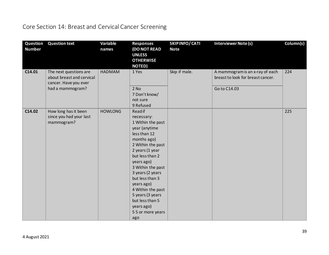### Core Section 14: Breast and Cervical Cancer Screening

| Question<br><b>Number</b> | <b>Question text</b>                                                                             | Variable<br>names | <b>Responses</b><br><b>(DO NOT READ</b><br><b>UNLESS</b><br><b>OTHERWISE</b><br><b>NOTED)</b>                                                                                                                                                                                                                                                      | SKIPINFO/CATI<br><b>Note</b> | Interviewer Note (s)                                                                 | Column(s) |
|---------------------------|--------------------------------------------------------------------------------------------------|-------------------|----------------------------------------------------------------------------------------------------------------------------------------------------------------------------------------------------------------------------------------------------------------------------------------------------------------------------------------------------|------------------------------|--------------------------------------------------------------------------------------|-----------|
| C14.01                    | The next questions are<br>about breast and cervical<br>cancer. Have you ever<br>had a mammogram? | <b>HADMAM</b>     | 1 Yes<br>$2$ No<br>7 Don't know/<br>not sure<br>9 Refused                                                                                                                                                                                                                                                                                          | Skip if male.                | A mammogram is an x-ray of each<br>breast to look for breast cancer.<br>Go to C14.03 | 224       |
| C14.02                    | How long has it been<br>since you had your last<br>mammogram?                                    | <b>HOWLONG</b>    | Read if<br>necessary:<br>1 Within the past<br>year (anytime<br>less than 12<br>months ago)<br>2 Within the past<br>2 years (1 year<br>but less than 2<br>years ago)<br>3 Within the past<br>3 years (2 years<br>but less than 3<br>years ago)<br>4 Within the past<br>5 years (3 years<br>but less than 5<br>years ago)<br>55 or more years<br>ago |                              |                                                                                      | 225       |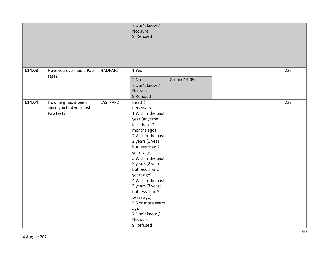|        |                                                              |          | 7 Don't know /<br>Not sure<br>9 Refused                                                                                                                                                                                                                                                                                                                                                       |              |     |
|--------|--------------------------------------------------------------|----------|-----------------------------------------------------------------------------------------------------------------------------------------------------------------------------------------------------------------------------------------------------------------------------------------------------------------------------------------------------------------------------------------------|--------------|-----|
| C14.03 | Have you ever had a Pap<br>test?                             | HADPAP2  | 1 Yes<br>$2$ No<br>7 Don't know /<br>Not sure<br>9 Refused                                                                                                                                                                                                                                                                                                                                    | Go to C14.05 | 226 |
| C14.04 | How long has it been<br>since you had your last<br>Pap test? | LASTPAP2 | Read if<br>necessary:<br>1 Within the past<br>year (anytime<br>less than 12<br>months ago)<br>2 Within the past<br>2 years (1 year<br>but less than 2<br>years ago)<br>3 Within the past<br>3 years (2 years<br>but less than 3<br>years ago)<br>4 Within the past<br>5 years (3 years<br>but less than 5<br>years ago)<br>55 or more years<br>ago<br>7 Don't know /<br>Not sure<br>9 Refused |              | 227 |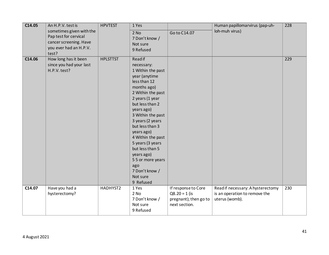| C14.05 | An H.P.V. test is<br>sometimes given with the<br>Pap test for cervical | <b>HPVTEST</b>  | 1 Yes<br>$2$ No<br>7 Don't know /                                                                                                                                                                                                                                                                                                                                                                    | Go to C14.07                                                                     | Human papillomarvirus (pap-uh-<br>loh-muh virus)                                     | 228 |
|--------|------------------------------------------------------------------------|-----------------|------------------------------------------------------------------------------------------------------------------------------------------------------------------------------------------------------------------------------------------------------------------------------------------------------------------------------------------------------------------------------------------------------|----------------------------------------------------------------------------------|--------------------------------------------------------------------------------------|-----|
|        | cancer screening. Have<br>you ever had an H.P.V.<br>test?              |                 | Not sure<br>9 Refused                                                                                                                                                                                                                                                                                                                                                                                |                                                                                  |                                                                                      |     |
| C14.06 | How long has it been<br>since you had your last<br>H.P.V. test?        | <b>HPLSTTST</b> | <b>Read if</b><br>necessary:<br>1 Within the past<br>year (anytime<br>less than 12<br>months ago)<br>2 Within the past<br>2 years (1 year<br>but less than 2<br>years ago)<br>3 Within the past<br>3 years (2 years<br>but less than 3<br>years ago)<br>4 Within the past<br>5 years (3 years<br>but less than 5<br>years ago)<br>55 or more years<br>ago<br>7 Don't know /<br>Not sure<br>9 Refused |                                                                                  |                                                                                      | 229 |
| C14.07 | Have you had a<br>hysterectomy?                                        | HADHYST2        | 1 Yes<br>$2$ No<br>7 Don't know /<br>Not sure<br>9 Refused                                                                                                                                                                                                                                                                                                                                           | If response to Core<br>$Q8.20 = 1$ (is<br>pregnant); then go to<br>next section. | Read if necessary: A hysterectomy<br>is an operation to remove the<br>uterus (womb). | 230 |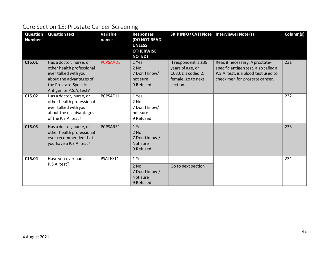### Core Section 15: Prostate Cancer Screening

| <b>Question</b><br><b>Number</b> | <b>Question text</b>                                                                                                                                        | Variable<br>names | <b>Responses</b><br><b>(DO NOT READ</b><br><b>UNLESS</b><br><b>OTHERWISE</b><br><b>NOTED</b> ) | SKIP INFO/CATI Note Interviewer Note (s)                                                         |                                                                                                                                                  | Column(s) |
|----------------------------------|-------------------------------------------------------------------------------------------------------------------------------------------------------------|-------------------|------------------------------------------------------------------------------------------------|--------------------------------------------------------------------------------------------------|--------------------------------------------------------------------------------------------------------------------------------------------------|-----------|
| C15.01                           | Has a doctor, nurse, or<br>other health professional<br>ever talked with you<br>about the advantages of<br>the Prostate-Specific<br>Antigen or P.S.A. test? | PCPSAAD3          | 1 Yes<br>$2$ No<br>7 Don't know/<br>not sure<br>9 Refused                                      | If respondent is ≤39<br>years of age, or<br>C08.01 is coded 2,<br>female, go to next<br>section. | Read if necessary: A prostate-<br>specific antigen test, also called a<br>P.S.A. test, is a blood test used to<br>check men for prostate cancer. | 231       |
| C <sub>15.02</sub>               | Has a doctor, nurse, or<br>other health professional<br>ever talked with you<br>about the disadvantages<br>of the P.S.A. test?                              | PCPSADI1          | 1 Yes<br>2 No<br>7 Don't know/<br>not sure<br>9 Refused                                        |                                                                                                  |                                                                                                                                                  | 232       |
| C <sub>15.03</sub>               | Has a doctor, nurse, or<br>other health professional<br>ever recommended that<br>you have a P.S.A. test?                                                    | PCPSARE1          | 1 Yes<br>$2$ No<br>7 Don't know /<br>Not sure<br>9 Refused                                     |                                                                                                  |                                                                                                                                                  | 233       |
| C15.04                           | Have you ever had a<br>P.S.A. test?                                                                                                                         | PSATEST1          | 1 Yes<br>$2$ No<br>7 Don't know /<br>Not sure<br>9 Refused                                     | Go to next section                                                                               |                                                                                                                                                  | 234       |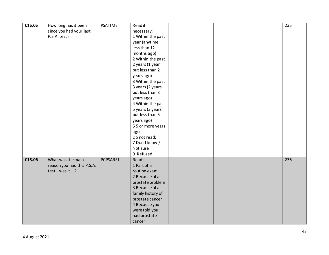| C15.05 | How long has it been       | <b>PSATIME</b> | Read if           |  | 235 |
|--------|----------------------------|----------------|-------------------|--|-----|
|        | since you had your last    |                | necessary:        |  |     |
|        | P.S.A. test?               |                | 1 Within the past |  |     |
|        |                            |                | year (anytime     |  |     |
|        |                            |                | less than 12      |  |     |
|        |                            |                |                   |  |     |
|        |                            |                | months ago)       |  |     |
|        |                            |                | 2 Within the past |  |     |
|        |                            |                | 2 years (1 year   |  |     |
|        |                            |                | but less than 2   |  |     |
|        |                            |                | years ago)        |  |     |
|        |                            |                | 3 Within the past |  |     |
|        |                            |                | 3 years (2 years  |  |     |
|        |                            |                | but less than 3   |  |     |
|        |                            |                | years ago)        |  |     |
|        |                            |                | 4 Within the past |  |     |
|        |                            |                | 5 years (3 years  |  |     |
|        |                            |                | but less than 5   |  |     |
|        |                            |                | years ago)        |  |     |
|        |                            |                | 55 or more years  |  |     |
|        |                            |                | ago               |  |     |
|        |                            |                | Do not read:      |  |     |
|        |                            |                | 7 Don't know /    |  |     |
|        |                            |                | Not sure          |  |     |
|        |                            |                | 9 Refused         |  |     |
| C15.06 | What was the main          | PCPSARS1       | Read:             |  | 236 |
|        | reason you had this P.S.A. |                | 1 Part of a       |  |     |
|        | test-was it ?              |                | routine exam      |  |     |
|        |                            |                | 2 Because of a    |  |     |
|        |                            |                | prostate problem  |  |     |
|        |                            |                | 3 Because of a    |  |     |
|        |                            |                | family history of |  |     |
|        |                            |                | prostate cancer   |  |     |
|        |                            |                |                   |  |     |
|        |                            |                | 4 Because you     |  |     |
|        |                            |                | were told you     |  |     |
|        |                            |                | had prostate      |  |     |
|        |                            |                | cancer            |  |     |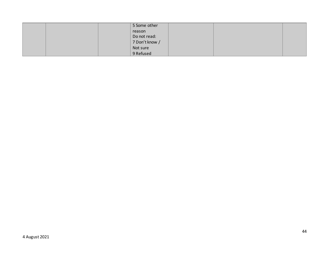|  | 5 Some other   |  |  |
|--|----------------|--|--|
|  | reason         |  |  |
|  | Do not read:   |  |  |
|  | 7 Don't know / |  |  |
|  | Not sure       |  |  |
|  | 9 Refused      |  |  |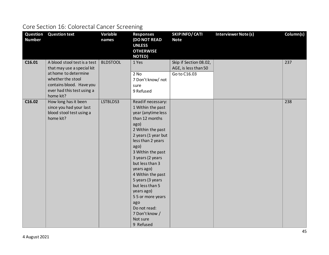### Core Section 16: Colorectal Cancer Screening

| Question<br><b>Number</b> | <b>Question text</b>                                                                                                                                                           | Variable<br>names | <b>Responses</b><br><b>(DO NOT READ</b><br><b>UNLESS</b><br><b>OTHERWISE</b><br><b>NOTED)</b>                                                                                                                                                                                                                                                                                                              | <b>SKIPINFO/CATI</b><br><b>Note</b>                            | <b>Interviewer Note (s)</b> | Column(s) |
|---------------------------|--------------------------------------------------------------------------------------------------------------------------------------------------------------------------------|-------------------|------------------------------------------------------------------------------------------------------------------------------------------------------------------------------------------------------------------------------------------------------------------------------------------------------------------------------------------------------------------------------------------------------------|----------------------------------------------------------------|-----------------------------|-----------|
| C16.01                    | A blood stool test is a test<br>that may use a special kit<br>at home to determine<br>whether the stool<br>contains blood. Have you<br>ever had this test using a<br>home kit? | <b>BLDSTOOL</b>   | 1 Yes<br>2 No<br>7 Don't know/ not<br>sure<br>9 Refused                                                                                                                                                                                                                                                                                                                                                    | Skip if Section 08.02,<br>AGE, is less than 50<br>Go to C16.03 |                             | 237       |
| C16.02                    | How long has it been<br>since you had your last<br>blood stool test using a<br>home kit?                                                                                       | LSTBLDS3          | Read if necessary:<br>1 Within the past<br>year (anytime less<br>than 12 months<br>ago)<br>2 Within the past<br>2 years (1 year but<br>less than 2 years<br>ago)<br>3 Within the past<br>3 years (2 years<br>but less than 3<br>years ago)<br>4 Within the past<br>5 years (3 years<br>but less than 5<br>years ago)<br>55 or more years<br>ago<br>Do not read:<br>7 Don't know /<br>Not sure<br>9 Refused |                                                                |                             | 238       |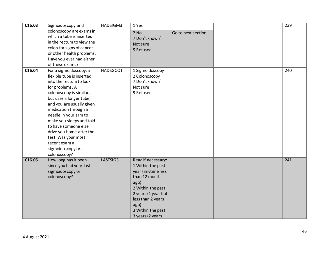| C16.03 | Sigmoidoscopy and         | HADSIGM3 | 1 Yes               |                    | 239 |
|--------|---------------------------|----------|---------------------|--------------------|-----|
|        | colonoscopy are exams in  |          | 2 No                | Go to next section |     |
|        | which a tube is inserted  |          | 7 Don't know /      |                    |     |
|        | in the rectum to view the |          | Not sure            |                    |     |
|        | colon for signs of cancer |          | 9 Refused           |                    |     |
|        | or other health problems. |          |                     |                    |     |
|        | Have you ever had either  |          |                     |                    |     |
|        | of these exams?           |          |                     |                    |     |
| C16.04 | For a sigmoidoscopy, a    | HADSGCO1 | 1 Sigmoidoscopy     |                    | 240 |
|        | flexible tube is inserted |          | 2 Colonoscopy       |                    |     |
|        | into the rectum to look   |          | 7 Don't know /      |                    |     |
|        | for problems. A           |          | Not sure            |                    |     |
|        | colonoscopy is similar,   |          | 9 Refused           |                    |     |
|        | but uses a longer tube,   |          |                     |                    |     |
|        | and you are usually given |          |                     |                    |     |
|        | medication through a      |          |                     |                    |     |
|        | needle in your arm to     |          |                     |                    |     |
|        | make you sleepy and told  |          |                     |                    |     |
|        | to have someone else      |          |                     |                    |     |
|        | drive you home after the  |          |                     |                    |     |
|        | test. Was your most       |          |                     |                    |     |
|        | recent exam a             |          |                     |                    |     |
|        | sigmoidoscopy or a        |          |                     |                    |     |
|        | colonoscopy?              |          |                     |                    |     |
| C16.05 | How long has it been      | LASTSIG3 | Read if necessary:  |                    | 241 |
|        | since you had your last   |          | 1 Within the past   |                    |     |
|        | sigmoidoscopy or          |          | year (anytime less  |                    |     |
|        | colonoscopy?              |          | than 12 months      |                    |     |
|        |                           |          | ago)                |                    |     |
|        |                           |          | 2 Within the past   |                    |     |
|        |                           |          | 2 years (1 year but |                    |     |
|        |                           |          | less than 2 years   |                    |     |
|        |                           |          | ago)                |                    |     |
|        |                           |          | 3 Within the past   |                    |     |
|        |                           |          | 3 years (2 years    |                    |     |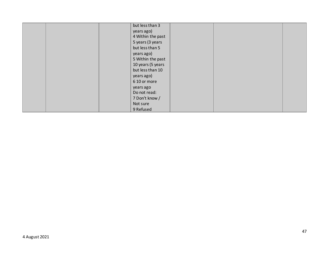| but less than 3   |
|-------------------|
| years ago)        |
| 4 Within the past |
| 5 years (3 years  |
| but less than 5   |
| years ago)        |
| 5 Within the past |
| 10 years (5 years |
| but less than 10  |
| years ago)        |
| 6 10 or more      |
| years ago         |
| Do not read:      |
| 7 Don't know /    |
| Not sure          |
| 9 Refused         |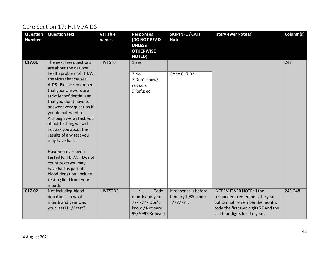# Core Section 17: H.I.V./AIDS

| Question<br><b>Number</b> | <b>Question text</b>                                                                                                                                                                                                                                                                                                                                                                                                                                                                                                                                             | Variable<br>names | <b>Responses</b><br><b>(DO NOT READ</b><br><b>UNLESS</b><br><b>OTHERWISE</b><br><b>NOTED)</b> | <b>SKIPINFO/CATI</b><br><b>Note</b>                      | <b>Interviewer Note (s)</b>                                                                                                                                                  | Column(s) |
|---------------------------|------------------------------------------------------------------------------------------------------------------------------------------------------------------------------------------------------------------------------------------------------------------------------------------------------------------------------------------------------------------------------------------------------------------------------------------------------------------------------------------------------------------------------------------------------------------|-------------------|-----------------------------------------------------------------------------------------------|----------------------------------------------------------|------------------------------------------------------------------------------------------------------------------------------------------------------------------------------|-----------|
| C17.01                    | The next few questions<br>are about the national<br>health problem of H.I.V.,<br>the virus that causes<br>AIDS. Please remember<br>that your answers are<br>strictly confidential and<br>that you don't have to<br>answer every question if<br>you do not want to.<br>Although we will ask you<br>about testing, we will<br>not ask you about the<br>results of any test you<br>may have had.<br>Have you ever been<br>tested for H.I.V.? Do not<br>count tests you may<br>have had as part of a<br>blood donation. Include<br>testing fluid from your<br>mouth. | HIVTST6           | 1 Yes<br>$2$ No<br>7 Don't know/<br>not sure<br>9 Refused                                     | Go to C17.03                                             |                                                                                                                                                                              | 242       |
| C17.02                    | Not including blood<br>donations, in what<br>month and year was<br>your last H.I, V. test?                                                                                                                                                                                                                                                                                                                                                                                                                                                                       | HIVTSTD3          | Code<br>month and year<br>77/7777 Don't<br>know / Not sure<br>99/9999 Refused                 | If response is before<br>January 1985, code<br>"777777". | <b>INTERVIEWER NOTE: If the</b><br>respondent remembers the year<br>but cannot remember the month,<br>code the first two digits 77 and the<br>last four digits for the year. | 243-248   |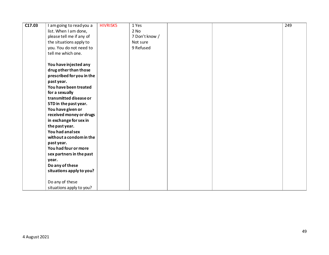| C17.03 | I amgoing to read you a   | <b>HIVRISK5</b> | 1 Yes          |  | 249 |
|--------|---------------------------|-----------------|----------------|--|-----|
|        | list. When I am done,     |                 | 2 No           |  |     |
|        | please tell me if any of  |                 | 7 Don't know / |  |     |
|        | the situations apply to   |                 | Not sure       |  |     |
|        | you. You do not need to   |                 | 9 Refused      |  |     |
|        | tell me which one.        |                 |                |  |     |
|        |                           |                 |                |  |     |
|        | You have injected any     |                 |                |  |     |
|        | drug other than those     |                 |                |  |     |
|        | prescribed for you in the |                 |                |  |     |
|        | past year.                |                 |                |  |     |
|        | You have been treated     |                 |                |  |     |
|        | for a sexually            |                 |                |  |     |
|        | transmitted disease or    |                 |                |  |     |
|        | STD in the past year.     |                 |                |  |     |
|        | You have given or         |                 |                |  |     |
|        | received money or drugs   |                 |                |  |     |
|        | in exchange for sex in    |                 |                |  |     |
|        | the past year.            |                 |                |  |     |
|        | You had analsex           |                 |                |  |     |
|        | without a condom in the   |                 |                |  |     |
|        | past year.                |                 |                |  |     |
|        | You had four or more      |                 |                |  |     |
|        | sex partners in the past  |                 |                |  |     |
|        | year.                     |                 |                |  |     |
|        | Do any of these           |                 |                |  |     |
|        | situations apply to you?  |                 |                |  |     |
|        |                           |                 |                |  |     |
|        | Do any of these           |                 |                |  |     |
|        | situations apply to you?  |                 |                |  |     |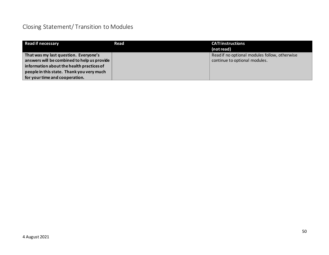### Closing Statement/ Transition to Modules

| <b>Read if necessary</b>                                                                                                                                                                                         | Read | <b>CATI</b> instructions<br>(not read)                                         |
|------------------------------------------------------------------------------------------------------------------------------------------------------------------------------------------------------------------|------|--------------------------------------------------------------------------------|
| That was my last question. Everyone's<br>answers will be combined to help us provide<br>information about the health practices of<br>people in this state. Thank you very much<br>for your time and cooperation. |      | Read if no optional modules follow, otherwise<br>continue to optional modules. |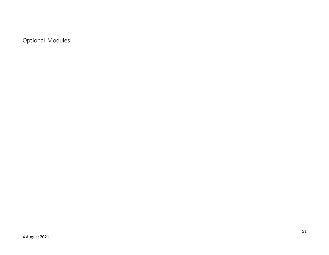Optional Modules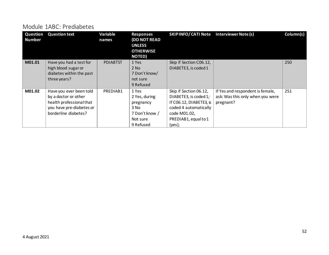#### Module 1ABC: Prediabetes

| Question<br><b>Number</b> | <b>Question text</b>                                                                                                            | Variable<br>names | <b>Responses</b><br><b>(DO NOT READ</b><br><b>UNLESS</b><br><b>OTHERWISE</b><br><b>NOTED)</b> | SKIP INFO/CATI Note Interviewer Note (s)                                                                                                              |                                                                                   | Column(s) |
|---------------------------|---------------------------------------------------------------------------------------------------------------------------------|-------------------|-----------------------------------------------------------------------------------------------|-------------------------------------------------------------------------------------------------------------------------------------------------------|-----------------------------------------------------------------------------------|-----------|
| M01.01                    | Have you had a test for<br>high blood sugar or<br>diabetes within the past<br>three years?                                      | <b>PDIABTST</b>   | 1 Yes<br>$2$ No<br>7 Don't know/<br>not sure<br>9 Refused                                     | Skip if Section C06.12,<br>DIABETE3, is coded 1                                                                                                       |                                                                                   | 250       |
| M01.02                    | Have you ever been told<br>by a doctor or other<br>health professional that<br>you have pre-diabetes or<br>borderline diabetes? | PREDIAB1          | 1 Yes<br>2 Yes, during<br>pregnancy<br>3 No<br>7 Don't know /<br>Not sure<br>9 Refused        | Skip if Section 06.12,<br>DIABETE3, is coded 1;<br>If C06.12, DIABETE3, is<br>coded 4 automatically<br>code M01.02,<br>PREDIAB1, equal to 1<br>(yes); | If Yes and respondent is female,<br>ask: Was this only when you were<br>pregnant? | 251       |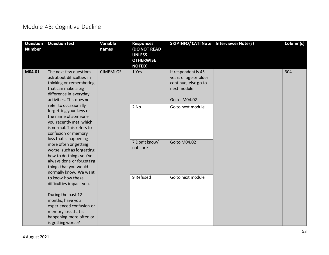### Module 4B: Cognitive Decline

| Question<br><b>Number</b> | <b>Question text</b>                                                                                                                                                                       | Variable<br>names | <b>Responses</b><br><b>(DO NOT READ</b><br><b>UNLESS</b><br><b>OTHERWISE</b><br><b>NOTED)</b> | SKIP INFO/ CATI Note Interviewer Note (s)                                                            | Column(s) |
|---------------------------|--------------------------------------------------------------------------------------------------------------------------------------------------------------------------------------------|-------------------|-----------------------------------------------------------------------------------------------|------------------------------------------------------------------------------------------------------|-----------|
| M04.01                    | The next few questions<br>ask about difficulties in<br>thinking or remembering<br>that can make a big<br>difference in everyday<br>activities. This does not                               | <b>CIMEMLOS</b>   | 1 Yes                                                                                         | If respondent is 45<br>years of age or older<br>continue, else go to<br>next module.<br>Go to M04.02 | 304       |
|                           | refer to occasionally<br>forgetting your keys or<br>the name of someone<br>you recently met, which<br>is normal. This refers to<br>confusion or memory                                     |                   | $2$ No                                                                                        | Go to next module                                                                                    |           |
|                           | loss that is happening<br>more often or getting<br>worse, such as forgetting<br>how to do things you've<br>always done or forgetting<br>things that you would<br>normally know. We want    |                   | 7 Don't know/<br>not sure                                                                     | Go to M04.02                                                                                         |           |
|                           | to know how these<br>difficulties impact you.<br>During the past 12<br>months, have you<br>experienced confusion or<br>memory loss that is<br>happening more often or<br>is getting worse? |                   | 9 Refused                                                                                     | Go to next module                                                                                    |           |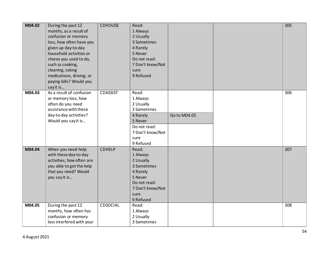| M04.02 | During the past 12<br>months, as a result of<br>confusion or memory<br>loss, how often have you<br>given up day-to-day<br>household activities or<br>chores you used to do,<br>such as cooking,<br>cleaning, taking<br>medications, driving, or<br>paying bills? Would you<br>say it is | <b>CDHOUSE</b>  | Read:<br>1 Always<br>2 Usually<br>3 Sometimes<br>4 Rarely<br>5 Never<br>Do not read:<br>7 Don't know/Not<br>sure<br>9 Refused |              | 305 |
|--------|-----------------------------------------------------------------------------------------------------------------------------------------------------------------------------------------------------------------------------------------------------------------------------------------|-----------------|-------------------------------------------------------------------------------------------------------------------------------|--------------|-----|
| M04.03 | As a result of confusion<br>or memory loss, how<br>often do you need<br>assistance with these<br>day-to-day activities?<br>Would you say it is                                                                                                                                          | <b>CDASSIST</b> | Read:<br>1 Always<br>2 Usually<br>3 Sometimes<br>4 Rarely<br>5 Never<br>Do not read:<br>7 Don't know/Not<br>sure<br>9 Refused | Go to M04.05 | 306 |
| M04.04 | When you need help<br>with these day-to-day<br>activities, how often are<br>you able to get the help<br>that you need? Would<br>you say it is                                                                                                                                           | CDHELP          | Read:<br>1 Always<br>2 Usually<br>3 Sometimes<br>4 Rarely<br>5 Never<br>Do not read:<br>7 Don't know/Not<br>sure<br>9 Refused |              | 307 |
| M04.05 | During the past 12<br>months, how often has<br>confusion or memory<br>loss interfered with your                                                                                                                                                                                         | <b>CDSOCIAL</b> | Read:<br>1 Always<br>2 Usually<br>3 Sometimes                                                                                 |              | 308 |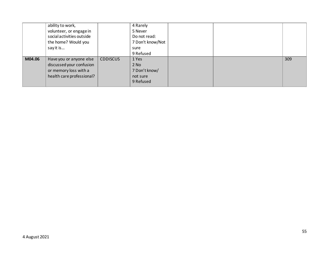|        | ability to work,<br>volunteer, or engage in<br>social activities outside<br>the home? Would you<br>say it is |                 | 4 Rarely<br>5 Never<br>Do not read:<br>7 Don't know/Not<br>sure<br>9 Refused |  |     |
|--------|--------------------------------------------------------------------------------------------------------------|-----------------|------------------------------------------------------------------------------|--|-----|
| M04.06 | Have you or anyone else<br>discussed your confusion<br>or memory loss with a<br>health care professional?    | <b>CDDISCUS</b> | 1 Yes<br>$2$ No<br>7 Don't know/<br>not sure<br>9 Refused                    |  | 309 |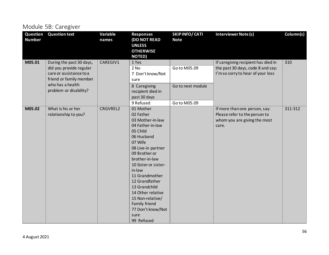### Module 5B: Caregiver

| Question<br><b>Number</b> | <b>Question text</b>                                                                                      | Variable<br>names | <b>Responses</b><br><b>(DO NOT READ</b><br><b>UNLESS</b><br><b>OTHERWISE</b><br><b>NOTED)</b>                                                                                                                                                                                                                                                                         | SKIPINFO/CATI<br><b>Note</b> | <b>Interviewer Note (s)</b>                                                                                   | Column(s) |
|---------------------------|-----------------------------------------------------------------------------------------------------------|-------------------|-----------------------------------------------------------------------------------------------------------------------------------------------------------------------------------------------------------------------------------------------------------------------------------------------------------------------------------------------------------------------|------------------------------|---------------------------------------------------------------------------------------------------------------|-----------|
| M05.01                    | During the past 30 days,<br>did you provide regular<br>care or assistance to a<br>friend or family member | CAREGIV1          | 1 Yes<br>$2$ No<br>7 Don't know/Not<br>sure                                                                                                                                                                                                                                                                                                                           | Go to M05.09                 | If caregiving recipient has died in<br>the past 30 days, code 8 and say:<br>I'm so sorry to hear of your loss | 310       |
|                           | who has a health<br>problem or disability?                                                                |                   | 8 Caregiving<br>recipient died in<br>past 30 days                                                                                                                                                                                                                                                                                                                     | Go to next module            |                                                                                                               |           |
| M05.02                    | What is his or her<br>relationship to you?                                                                | CRGVREL2          | 9 Refused<br>01 Mother<br>02 Father<br>03 Mother-in-law<br>04 Father-in-law<br>05 Child<br>06 Husband<br>07 Wife<br>08 Live-in partner<br>09 Brother or<br>brother-in-law<br>10 Sister or sister-<br>in-law<br>11 Grandmother<br>12 Grandfather<br>13 Grandchild<br>14 Other relative<br>15 Non-relative/<br>Family friend<br>77 Don't know/Not<br>sure<br>99 Refused | Go to M05.09                 | If more than one person, say:<br>Please refer to the person to<br>whom you are giving the most<br>care.       | 311-312   |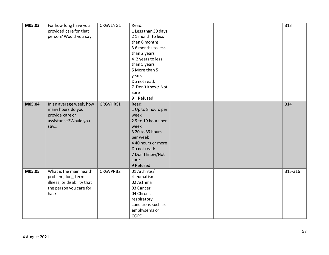| M05.03 | For how long have you<br>provided care for that<br>person? Would you say                                        | CRGVLNG1 | Read:<br>1 Less than 30 days<br>21 month to less<br>than 6 months<br>36 months to less                                                                                            |  | 313     |
|--------|-----------------------------------------------------------------------------------------------------------------|----------|-----------------------------------------------------------------------------------------------------------------------------------------------------------------------------------|--|---------|
|        |                                                                                                                 |          | than 2 years<br>4 2 years to less<br>than 5 years<br>5 More than 5<br>years<br>Do not read:<br>7 Don't Know/ Not<br>Sure                                                          |  |         |
|        |                                                                                                                 |          | 9 Refused                                                                                                                                                                         |  |         |
| M05.04 | In an average week, how<br>many hours do you<br>provide care or<br>assistance? Would you<br>say                 | CRGVHRS1 | Read:<br>1 Up to 8 hours per<br>week<br>29 to 19 hours per<br>week<br>3 20 to 39 hours<br>per week<br>4 40 hours or more<br>Do not read:<br>7 Don't know/Not<br>sure<br>9 Refused |  | 314     |
| M05.05 | What is the main health<br>problem, long-term<br>illness, or disability that<br>the person you care for<br>has? | CRGVPRB2 | 01 Arthritis/<br>rheumatism<br>02 Asthma<br>03 Cancer<br>04 Chronic<br>respiratory<br>conditions such as<br>emphysema or<br>COPD                                                  |  | 315-316 |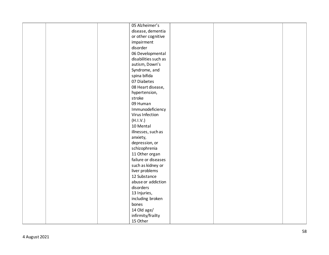| 05 Alzheimer's       |
|----------------------|
| disease, dementia    |
| or other cognitive   |
| impairment           |
| disorder             |
| 06 Developmental     |
| disabilities such as |
| autism, Down's       |
| Syndrome, and        |
| spina bifida         |
| 07 Diabetes          |
| 08 Heart disease,    |
| hypertension,        |
| stroke               |
| 09 Human             |
| Immunodeficiency     |
| Virus Infection      |
| (H.I.V.)             |
| 10 Mental            |
|                      |
| illnesses, such as   |
| anxiety,             |
| depression, or       |
| schizophrenia        |
| 11 Other organ       |
| failure or diseases  |
| such as kidney or    |
| liver problems       |
| 12 Substance         |
| abuse or addiction   |
| disorders            |
| 13 Injuries,         |
| including broken     |
| bones                |
| 14 Old age/          |
| infirmity/frailty    |
| 15 Other             |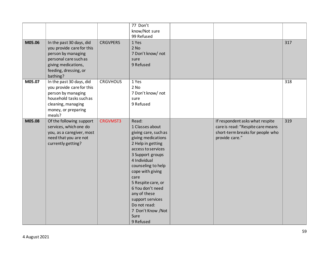|        |                                                                                                                                                                  |                 | 77 Don't<br>know/Not sure<br>99 Refused                                                                                                                                                                                                                                                                                                         |                                                                                                                            |     |
|--------|------------------------------------------------------------------------------------------------------------------------------------------------------------------|-----------------|-------------------------------------------------------------------------------------------------------------------------------------------------------------------------------------------------------------------------------------------------------------------------------------------------------------------------------------------------|----------------------------------------------------------------------------------------------------------------------------|-----|
| M05.06 | In the past 30 days, did<br>you provide care for this<br>person by managing<br>personal care such as<br>giving medications,<br>feeding, dressing, or<br>bathing? | <b>CRGVPERS</b> | 1 Yes<br>$2$ No<br>7 Don't know/ not<br>sure<br>9 Refused                                                                                                                                                                                                                                                                                       |                                                                                                                            | 317 |
| M05.07 | In the past 30 days, did<br>you provide care for this<br>person by managing<br>household tasks such as<br>cleaning, managing<br>money, or preparing<br>meals?    | <b>CRGVHOUS</b> | 1 Yes<br>$2$ No<br>7 Don't know/ not<br>sure<br>9 Refused                                                                                                                                                                                                                                                                                       |                                                                                                                            | 318 |
| M05.08 | Of the following support<br>services, which one do<br>you, as a caregiver, most<br>need that you are not<br>currently getting?                                   | <b>CRGVMST3</b> | Read:<br>1 Classes about<br>giving care, such as<br>giving medications<br>2 Help in getting<br>access to services<br>3 Support groups<br>4 Individual<br>counseling to help<br>cope with giving<br>care<br>5 Respite care, or<br>6 You don't need<br>any of these<br>support services<br>Do not read:<br>7 Don't Know /Not<br>Sure<br>9 Refused | If respondent asks what respite<br>care is read: "Respite care means<br>short-term breaks for people who<br>provide care." | 319 |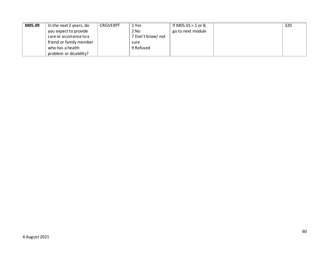| M05.09 | In the next 2 years, do | <b>CRGVEXPT</b> | 1 Yes             | If M05.01 = 1 or 8, | 320 |
|--------|-------------------------|-----------------|-------------------|---------------------|-----|
|        | you expect to provide   |                 | 2 No              | go to next module   |     |
|        | care or assistance to a |                 | 7 Don't know/ not |                     |     |
|        | friend or family member |                 | sure              |                     |     |
|        | who has a health        |                 | 9 Refused         |                     |     |
|        | problem or disability?  |                 |                   |                     |     |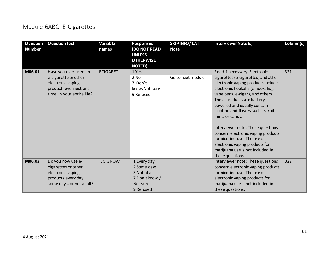### Module 6ABC: E-Cigarettes

| Question<br><b>Number</b> | <b>Question text</b>                                                                                                       | <b>Variable</b><br>names | <b>Responses</b><br><b>(DO NOT READ</b><br><b>UNLESS</b><br><b>OTHERWISE</b><br><b>NOTED)</b> | SKIPINFO/CATI<br><b>Note</b> | <b>Interviewer Note (s)</b>                                                                                                                                                                                                                                                                                                                                                                                                                                                                                    | Column(s) |
|---------------------------|----------------------------------------------------------------------------------------------------------------------------|--------------------------|-----------------------------------------------------------------------------------------------|------------------------------|----------------------------------------------------------------------------------------------------------------------------------------------------------------------------------------------------------------------------------------------------------------------------------------------------------------------------------------------------------------------------------------------------------------------------------------------------------------------------------------------------------------|-----------|
| M06.01                    | Have you ever used an<br>e-cigarette or other<br>electronic vaping<br>product, even just one<br>time, in your entire life? | <b>ECIGARET</b>          | 1 Yes<br>2 No<br>7 Don't<br>know/Not sure<br>9 Refused                                        | Go to next module            | Read if necessary: Electronic<br>cigarettes (e-cigarettes) and other<br>electronic vaping products include<br>electronic hookahs (e-hookahs),<br>vape pens, e-cigars, and others.<br>These products are battery-<br>powered and usually contain<br>nicotine and flavors such as fruit,<br>mint, or candy.<br>Interviewer note: These questions<br>concern electronic vaping products<br>for nicotine use. The use of<br>electronic vaping products for<br>marijuana use is not included in<br>these questions. | 321       |
| M06.02                    | Do you now use e-<br>cigarettes or other<br>electronic vaping<br>products every day,<br>some days, or not at all?          | <b>ECIGNOW</b>           | 1 Every day<br>2 Some days<br>3 Not at all<br>7 Don't know /<br>Not sure<br>9 Refused         |                              | Interviewer note: These questions<br>concern electronic vaping products<br>for nicotine use. The use of<br>electronic vaping products for<br>marijuana use is not included in<br>these questions.                                                                                                                                                                                                                                                                                                              | 322       |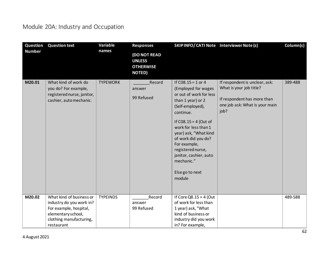# Module 20A: Industry and Occupation

| Question      | <b>Question text</b>                                                                                  | Variable        | <b>Responses</b>                                                          | SKIP INFO/ CATI Note Interviewer Note (s)                                                                                                                                                                                                                                                                                                 |                                                                                                                                    | Column(s) |
|---------------|-------------------------------------------------------------------------------------------------------|-----------------|---------------------------------------------------------------------------|-------------------------------------------------------------------------------------------------------------------------------------------------------------------------------------------------------------------------------------------------------------------------------------------------------------------------------------------|------------------------------------------------------------------------------------------------------------------------------------|-----------|
| <b>Number</b> |                                                                                                       | names           | <b>(DO NOT READ</b><br><b>UNLESS</b><br><b>OTHERWISE</b><br><b>NOTED)</b> |                                                                                                                                                                                                                                                                                                                                           |                                                                                                                                    |           |
| M20.01        | What kind of work do<br>you do? For example,<br>registered nurse, janitor,<br>cashier, auto mechanic. | <b>TYPEWORK</b> | Record<br>answer<br>99 Refused                                            | If $C08.15 = 1$ or 4<br>(Employed for wages<br>or out of work for less<br>than 1 year) or 2<br>(Self-employed),<br>continue.<br>If $CO8.15 = 4$ (Out of<br>work for less than 1<br>year) ask, "What kind<br>of work did you do?<br>For example,<br>registered nurse,<br>janitor, cashier, auto<br>mechanic."<br>Else go to next<br>module | If respondent is unclear, ask:<br>What is your job title?<br>If respondent has more than<br>one job ask: What is your main<br>job? | 389-488   |
| M20.02        | What kind of business or<br>industry do you work in?                                                  | <b>TYPEINDS</b> | Record<br>answer                                                          | If Core $Q8.15 = 4$ (Out<br>of work for less than                                                                                                                                                                                                                                                                                         |                                                                                                                                    | 489-588   |
|               | For example, hospital,<br>elementary school,                                                          |                 | 99 Refused                                                                | 1 year) ask, "What<br>kind of business or                                                                                                                                                                                                                                                                                                 |                                                                                                                                    |           |
|               | clothing manufacturing,                                                                               |                 |                                                                           | industry did you work                                                                                                                                                                                                                                                                                                                     |                                                                                                                                    |           |
|               | restaurant                                                                                            |                 |                                                                           | in? For example,                                                                                                                                                                                                                                                                                                                          |                                                                                                                                    |           |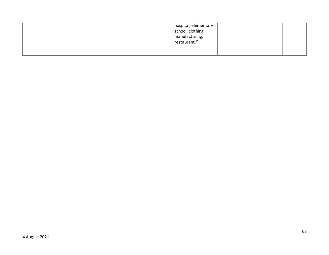|  |  | hospital, elementary<br>school, clothing<br>manufacturing,<br>restaurant." |  |
|--|--|----------------------------------------------------------------------------|--|
|  |  |                                                                            |  |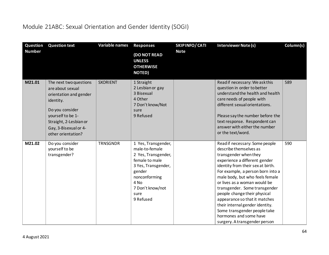### Module 21ABC: Sexual Orientation and Gender Identity (SOGI)

| Question<br><b>Number</b> | <b>Question text</b>                                                                                                                                                                               | Variable names  | <b>Responses</b>                                                                                                                                                                  | SKIPINFO/CATI<br><b>Note</b> | <b>Interviewer Note (s)</b>                                                                                                                                                                                                                                                                                                                                                                                                                                                                     | Column(s) |
|---------------------------|----------------------------------------------------------------------------------------------------------------------------------------------------------------------------------------------------|-----------------|-----------------------------------------------------------------------------------------------------------------------------------------------------------------------------------|------------------------------|-------------------------------------------------------------------------------------------------------------------------------------------------------------------------------------------------------------------------------------------------------------------------------------------------------------------------------------------------------------------------------------------------------------------------------------------------------------------------------------------------|-----------|
|                           |                                                                                                                                                                                                    |                 | (DO NOT READ<br><b>UNLESS</b><br><b>OTHERWISE</b><br><b>NOTED)</b>                                                                                                                |                              |                                                                                                                                                                                                                                                                                                                                                                                                                                                                                                 |           |
| M21.01                    | The next two questions<br>are about sexual<br>orientation and gender<br>identity.<br>Do you consider<br>yourself to be 1-<br>Straight, 2-Lesbian or<br>Gay, 3-Bisexual or 4-<br>other orientation? | <b>SXORIENT</b> | 1 Straight<br>2 Lesbian or gay<br>3 Bisexual<br>4 Other<br>7 Don't know/Not<br>sure<br>9 Refused                                                                                  |                              | Read if necessary: We ask this<br>question in order to better<br>understand the health and health<br>care needs of people with<br>different sexual orientations.<br>Please say the number before the<br>text response. Respondent can<br>answer with either the number<br>or the text/word.                                                                                                                                                                                                     | 589       |
| M21.02                    | Do you consider<br>yourself to be<br>transgender?                                                                                                                                                  | <b>TRNSGNDR</b> | 1 Yes, Transgender,<br>male-to-female<br>2 Yes, Transgender,<br>female to male<br>3 Yes, Transgender,<br>gender<br>nonconforming<br>4 No<br>7 Don't know/not<br>sure<br>9 Refused |                              | Read if necessary: Some people<br>describe themselves as<br>transgender when they<br>experience a different gender<br>identity from their sex at birth.<br>For example, a person born into a<br>male body, but who feels female<br>or lives as a woman would be<br>transgender. Some transgender<br>people change their physical<br>appearance so that it matches<br>their internal gender identity.<br>Some transgender people take<br>hormones and some have<br>surgery. A transgender person | 590       |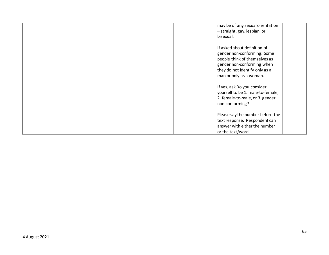|  |  | may be of any sexual orientation<br>- straight, gay, lesbian, or<br>bisexual.                                                                                                           |  |
|--|--|-----------------------------------------------------------------------------------------------------------------------------------------------------------------------------------------|--|
|  |  | If asked about definition of<br>gender non-conforming: Some<br>people think of themselves as<br>gender non-conforming when<br>they do not identify only as a<br>man or only as a woman. |  |
|  |  | If yes, ask Do you consider<br>yourself to be 1. male-to-female,<br>2. female-to-male, or 3. gender<br>non-conforming?                                                                  |  |
|  |  | Please say the number before the<br>text response. Respondent can<br>answer with either the number<br>or the text/word.                                                                 |  |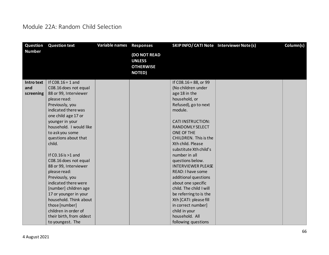#### Module 22A: Random Child Selection

| <b>Question</b> | <b>Question text</b>     | <b>Variable names</b> | <b>Responses</b>                                                   | SKIPINFO/CATI Note Interviewer Note (s) | Column(s) |
|-----------------|--------------------------|-----------------------|--------------------------------------------------------------------|-----------------------------------------|-----------|
| <b>Number</b>   |                          |                       | (DO NOT READ<br><b>UNLESS</b><br><b>OTHERWISE</b><br><b>NOTED)</b> |                                         |           |
| Intro text      | If $C08.16 = 1$ and      |                       |                                                                    | If C08.16 = 88, or 99                   |           |
| and             | C08.16 does not equal    |                       |                                                                    | (No children under                      |           |
| screening       | 88 or 99, Interviewer    |                       |                                                                    | age 18 in the                           |           |
|                 | please read:             |                       |                                                                    | household, or                           |           |
|                 | Previously, you          |                       |                                                                    | Refused), go to next                    |           |
|                 | indicated there was      |                       |                                                                    | module.                                 |           |
|                 | one child age 17 or      |                       |                                                                    |                                         |           |
|                 | younger in your          |                       |                                                                    | <b>CATI INSTRUCTION:</b>                |           |
|                 | household. I would like  |                       |                                                                    | <b>RANDOMLY SELECT</b>                  |           |
|                 | to askyou some           |                       |                                                                    | ONE OF THE                              |           |
|                 | questions about that     |                       |                                                                    | <b>CHILDREN.</b> This is the            |           |
|                 | child.                   |                       |                                                                    | Xth child. Please                       |           |
|                 |                          |                       |                                                                    | substitute Xth child's                  |           |
|                 | If $CO.16$ is $>1$ and   |                       |                                                                    | number in all                           |           |
|                 | C08.16 does not equal    |                       |                                                                    | questions below.                        |           |
|                 | 88 or 99, Interviewer    |                       |                                                                    | <b>INTERVIEWER PLEASE</b>               |           |
|                 | please read:             |                       |                                                                    | READ: I have some                       |           |
|                 | Previously, you          |                       |                                                                    | additional questions                    |           |
|                 | indicated there were     |                       |                                                                    | about one specific                      |           |
|                 | [number] children age    |                       |                                                                    | child. The child I will                 |           |
|                 | 17 or younger in your    |                       |                                                                    | be referring to is the                  |           |
|                 | household. Think about   |                       |                                                                    | Xth [CATI: please fill                  |           |
|                 | those [number]           |                       |                                                                    | in correct number]                      |           |
|                 | children in order of     |                       |                                                                    | child in your                           |           |
|                 | their birth, from oldest |                       |                                                                    | household. All                          |           |
|                 | to youngest. The         |                       |                                                                    | following questions                     |           |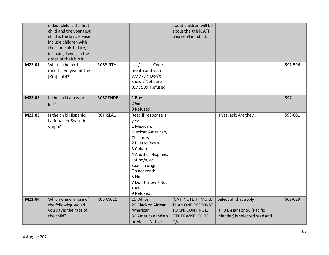|        | oldest child is the first<br>child and the youngest<br>child is the last. Please<br>include children with<br>the same birth date,<br>including twins, in the<br>order of their birth. |                 |                                                                                                                                                                                                                                      | about children will be<br>about the Xth [CATI:<br>please fill in] child.                |                                                                                         |         |
|--------|---------------------------------------------------------------------------------------------------------------------------------------------------------------------------------------|-----------------|--------------------------------------------------------------------------------------------------------------------------------------------------------------------------------------------------------------------------------------|-----------------------------------------------------------------------------------------|-----------------------------------------------------------------------------------------|---------|
| M22.01 | What is the birth<br>month and year of the<br>[Xth] child?                                                                                                                            | <b>RCSBIRTH</b> | Code<br>month and year<br>77/7777 Don't<br>know / Not sure<br>99/9999 Refused                                                                                                                                                        |                                                                                         |                                                                                         | 591-596 |
| M22.02 | Is the child a boy or a<br>girl?                                                                                                                                                      | <b>RCSGENDR</b> | 1 Boy<br>2 Girl<br>9 Refused                                                                                                                                                                                                         |                                                                                         |                                                                                         | 597     |
| M22.03 | Is the child Hispanic,<br>Latino/a, or Spanish<br>origin?                                                                                                                             | RCHISLA1        | Read if response is<br>yes:<br>1 Mexican,<br>Mexican American,<br>Chicano/a<br>2 Puerto Rican<br>3 Cuban<br>4 Another Hispanic,<br>Latino/a, or<br>Spanish origin<br>Do not read:<br>5 No<br>7 Don't know / Not<br>sure<br>9 Refused |                                                                                         | If yes, ask: Are they                                                                   | 598-601 |
| M22.04 | Which one or more of<br>the following would<br>you say is the race of<br>the child?                                                                                                   | RCSRACE1        | 10 White<br>20 Black or African<br>American<br>30 American Indian<br>or Alaska Native                                                                                                                                                | [CATI NOTE: IF MORE<br>THAN ONE RESPONSE<br>TO Q4; CONTINUE.<br>OTHERWISE, GOTO<br>Q6.] | Select all that apply<br>If 40 (Asian) or 50 (Pacific<br>Islander) is selected read and | 602-629 |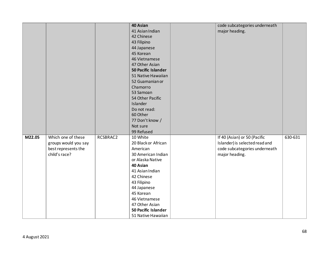|        |                      |          | 40 Asian                              | code subcategories underneath  |         |
|--------|----------------------|----------|---------------------------------------|--------------------------------|---------|
|        |                      |          | 41 Asian Indian                       | major heading.                 |         |
|        |                      |          | 42 Chinese                            |                                |         |
|        |                      |          | 43 Filipino                           |                                |         |
|        |                      |          | 44 Japanese                           |                                |         |
|        |                      |          | 45 Korean                             |                                |         |
|        |                      |          | 46 Vietnamese                         |                                |         |
|        |                      |          | 47 Other Asian                        |                                |         |
|        |                      |          | <b>50 Pacific Islander</b>            |                                |         |
|        |                      |          | 51 Native Hawaiian                    |                                |         |
|        |                      |          | 52 Guamanian or                       |                                |         |
|        |                      |          | Chamorro                              |                                |         |
|        |                      |          | 53 Samoan                             |                                |         |
|        |                      |          | 54 Other Pacific                      |                                |         |
|        |                      |          | Islander                              |                                |         |
|        |                      |          | Do not read:                          |                                |         |
|        |                      |          | 60 Other                              |                                |         |
|        |                      |          | 77 Don't know /                       |                                |         |
|        |                      |          | Not sure                              |                                |         |
|        |                      |          | 99 Refused                            |                                |         |
| M22.05 | Which one of these   | RCSBRAC2 | 10 White                              | If 40 (Asian) or 50 (Pacific   | 630-631 |
|        | groups would you say |          | 20 Black or African                   | Islander) is selected read and |         |
|        | best represents the  |          | American                              | code subcategories underneath  |         |
|        | child's race?        |          | 30 American Indian                    | major heading.                 |         |
|        |                      |          | or Alaska Native                      |                                |         |
|        |                      |          | 40 Asian                              |                                |         |
|        |                      |          | 41 Asian Indian                       |                                |         |
|        |                      |          | 42 Chinese                            |                                |         |
|        |                      |          | 43 Filipino                           |                                |         |
|        |                      |          | 44 Japanese                           |                                |         |
|        |                      |          | 45 Korean                             |                                |         |
|        |                      |          | 46 Vietnamese                         |                                |         |
|        |                      |          | 47 Other Asian<br>50 Pacific Islander |                                |         |
|        |                      |          |                                       |                                |         |
|        |                      |          | 51 Native Hawaiian                    |                                |         |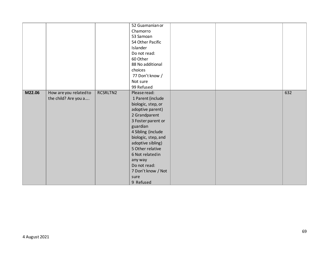|        |                        |          | 52 Guamanian or     |  |     |
|--------|------------------------|----------|---------------------|--|-----|
|        |                        |          | Chamorro            |  |     |
|        |                        |          | 53 Samoan           |  |     |
|        |                        |          | 54 Other Pacific    |  |     |
|        |                        |          | Islander            |  |     |
|        |                        |          | Do not read:        |  |     |
|        |                        |          | 60 Other            |  |     |
|        |                        |          | 88 No additional    |  |     |
|        |                        |          | choices             |  |     |
|        |                        |          | 77 Don't know /     |  |     |
|        |                        |          | Not sure            |  |     |
|        |                        |          | 99 Refused          |  |     |
| M22.06 | How are you related to | RCSRLTN2 | Please read:        |  | 632 |
|        | the child? Are you a   |          | 1 Parent (include   |  |     |
|        |                        |          | biologic, step, or  |  |     |
|        |                        |          | adoptive parent)    |  |     |
|        |                        |          | 2 Grandparent       |  |     |
|        |                        |          |                     |  |     |
|        |                        |          | 3 Foster parent or  |  |     |
|        |                        |          | guardian            |  |     |
|        |                        |          | 4 Sibling (include  |  |     |
|        |                        |          | biologic, step, and |  |     |
|        |                        |          | adoptive sibling)   |  |     |
|        |                        |          | 5 Other relative    |  |     |
|        |                        |          | 6 Not related in    |  |     |
|        |                        |          | any way             |  |     |
|        |                        |          | Do not read:        |  |     |
|        |                        |          | 7 Don't know / Not  |  |     |
|        |                        |          | sure                |  |     |
|        |                        |          | 9 Refused           |  |     |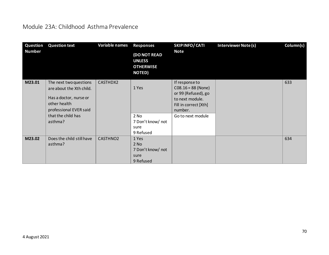#### Module 23A: Childhood Asthma Prevalence

| Question<br><b>Number</b> | <b>Question text</b>                                                                                                                                    | Variable names       | <b>Responses</b><br><b>(DO NOT READ</b><br><b>UNLESS</b><br><b>OTHERWISE</b><br><b>NOTED)</b> | SKIPINFO/CATI<br><b>Note</b>                                                                                                              | <b>Interviewer Note (s)</b> | Column(s) |
|---------------------------|---------------------------------------------------------------------------------------------------------------------------------------------------------|----------------------|-----------------------------------------------------------------------------------------------|-------------------------------------------------------------------------------------------------------------------------------------------|-----------------------------|-----------|
| M23.01                    | The next two questions<br>are about the Xth child.<br>Has a doctor, nurse or<br>other health<br>professional EVER said<br>that the child has<br>asthma? | CASTHDX2             | 1 Yes<br>2 No<br>7 Don't know/ not<br>sure<br>9 Refused                                       | If response to<br>$C08.16 = 88$ (None)<br>or 99 (Refused), go<br>to next module.<br>Fill in correct [Xth]<br>number.<br>Go to next module |                             | 633       |
| M23.02                    | Does the child still have<br>asthma?                                                                                                                    | CASTHNO <sub>2</sub> | 1 Yes<br>2 No<br>7 Don't know/ not<br>sure<br>9 Refused                                       |                                                                                                                                           |                             | 634       |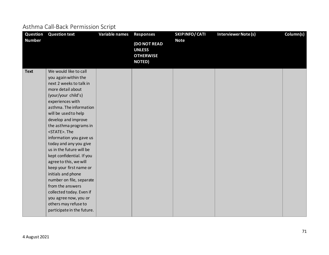### Asthma Call-Back Permission Script

| Question      | <b>Question text</b>       | Variable names | <b>Responses</b>                                                          | SKIPINFO/CATI | <b>Interviewer Note (s)</b> | Column(s) |
|---------------|----------------------------|----------------|---------------------------------------------------------------------------|---------------|-----------------------------|-----------|
| <b>Number</b> |                            |                | <b>(DO NOT READ</b><br><b>UNLESS</b><br><b>OTHERWISE</b><br><b>NOTED)</b> | <b>Note</b>   |                             |           |
| <b>Text</b>   | We would like to call      |                |                                                                           |               |                             |           |
|               | you again within the       |                |                                                                           |               |                             |           |
|               | next 2 weeks to talk in    |                |                                                                           |               |                             |           |
|               | more detail about          |                |                                                                           |               |                             |           |
|               | (your/your child's)        |                |                                                                           |               |                             |           |
|               | experiences with           |                |                                                                           |               |                             |           |
|               | asthma. The information    |                |                                                                           |               |                             |           |
|               | will be used to help       |                |                                                                           |               |                             |           |
|               | develop and improve        |                |                                                                           |               |                             |           |
|               | the asthma programs in     |                |                                                                           |               |                             |           |
|               | <state>. The</state>       |                |                                                                           |               |                             |           |
|               | information you gave us    |                |                                                                           |               |                             |           |
|               | today and any you give     |                |                                                                           |               |                             |           |
|               | us in the future will be   |                |                                                                           |               |                             |           |
|               | kept confidential. If you  |                |                                                                           |               |                             |           |
|               | agree to this, we will     |                |                                                                           |               |                             |           |
|               | keep your first name or    |                |                                                                           |               |                             |           |
|               | initials and phone         |                |                                                                           |               |                             |           |
|               | number on file, separate   |                |                                                                           |               |                             |           |
|               | from the answers           |                |                                                                           |               |                             |           |
|               | collected today. Even if   |                |                                                                           |               |                             |           |
|               | you agree now, you or      |                |                                                                           |               |                             |           |
|               | others may refuse to       |                |                                                                           |               |                             |           |
|               | participate in the future. |                |                                                                           |               |                             |           |
|               |                            |                |                                                                           |               |                             |           |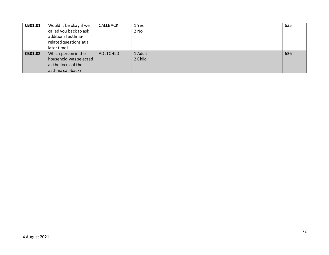| CB01.01 | Would it be okay if we | CALLBACK | 1 Yes   |  | 635 |
|---------|------------------------|----------|---------|--|-----|
|         | called you back to ask |          | 2 No    |  |     |
|         | additional asthma-     |          |         |  |     |
|         | related questions at a |          |         |  |     |
|         | later time?            |          |         |  |     |
| CB01.02 | Which person in the    | ADLTCHLD | 1 Adult |  | 636 |
|         | household was selected |          | 2 Child |  |     |
|         | as the focus of the    |          |         |  |     |
|         | asthma call-back?      |          |         |  |     |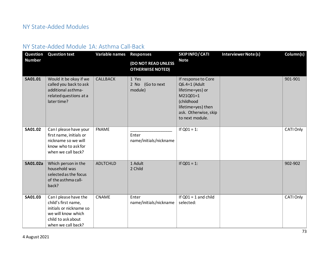#### NY State-Added Modules

#### NY State-Added Module 1A: Asthma Call-Back

| Question       | <b>Question text</b>                                                                                                                      | Variable names  | <b>Responses</b>                               | SKIPINFO/CATI                                                                                                                                       | <b>Interviewer Note (s)</b> | Column(s) |
|----------------|-------------------------------------------------------------------------------------------------------------------------------------------|-----------------|------------------------------------------------|-----------------------------------------------------------------------------------------------------------------------------------------------------|-----------------------------|-----------|
| <b>Number</b>  |                                                                                                                                           |                 | (DO NOT READ UNLESS<br><b>OTHERWISE NOTED)</b> | <b>Note</b>                                                                                                                                         |                             |           |
| SA01.01        | Would it be okay if we<br>called you back to ask<br>additional asthma-<br>related questions at a<br>later time?                           | <b>CALLBACK</b> | 1 Yes<br>2 No (Go to next<br>module)           | If response to Core<br>Q6.4=1 (Adult<br>lifetime=yes) or<br>M21Q01=1<br>(childhood<br>lifetime=yes) then<br>ask. Otherwise, skip<br>to next module. |                             | 901-901   |
| <b>SA01.02</b> | Can I please have your<br>first name, initials or<br>nickname so we will<br>know who to ask for<br>when we call back?                     | <b>FNAME</b>    | Enter<br>name/initials/nickname                | If $Q01 = 1$ :                                                                                                                                      |                             | CATI Only |
| SA01.02a       | Which person in the<br>household was<br>selected as the focus<br>of the asthma call-<br>back?                                             | <b>ADLTCHLD</b> | 1 Adult<br>2 Child                             | If $Q01 = 1$ :                                                                                                                                      |                             | 902-902   |
| SA01.03        | Can I please have the<br>child's first name,<br>initials or nickname so<br>we will know which<br>child to ask about<br>when we call back? | <b>CNAME</b>    | Enter<br>name/initials/nickname                | If $Q01 = 1$ and child<br>selected:                                                                                                                 |                             | CATI Only |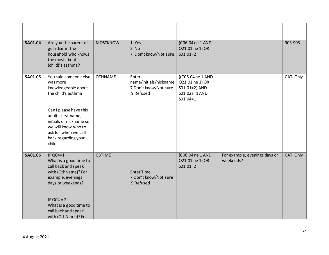| <b>SA01.04</b> | Are you the parent or<br>guardian in the<br>household who knows<br>the most about<br>(child)'s asthma?                                                                                                                                     | <b>MOSTKNOW</b> | 1 Yes<br>$2$ No<br>7 Don't know/Not sure                              | (C06.04 ne 1 AND<br>021.01 ne 1) OR<br>$SO1.01=2$                                   |                                            | 903-903   |
|----------------|--------------------------------------------------------------------------------------------------------------------------------------------------------------------------------------------------------------------------------------------|-----------------|-----------------------------------------------------------------------|-------------------------------------------------------------------------------------|--------------------------------------------|-----------|
| SA01.05        | You said someone else<br>was more<br>knowledgeable about<br>the child's asthma<br>Can I please have this<br>adult's first name,<br>initials or nickname so<br>we will know who to<br>ask for when we call<br>back regarding your<br>child. | <b>OTHNAME</b>  | Enter<br>name/initials/nickname<br>7 Don't know/Not sure<br>9 Refused | ((C06.04 ne 1 AND<br>021.01 ne 1) OR<br>S01.01=2) AND<br>S01.02a=1AND<br>$SO1.04=1$ |                                            | CATI Only |
| SA01.06        | IF Q04=1:<br>What is a good time to<br>call back and speak<br>with (OthName)? For<br>example, evenings,<br>days or weekends?<br>IF $Q04 = 2$ :<br>What is a good time to<br>call back and speak<br>with (OthName)? For                     | <b>CBTIME</b>   | <b>Enter Time</b><br>7 Don't know/Not sure<br>9 Refused               | (C06.04 ne 1 AND<br>021.01 ne 1) OR<br>$SO1.01=2$                                   | For example, evenings days or<br>weekends? | CATI Only |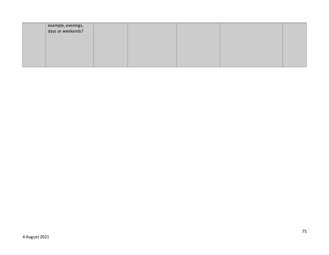| example, evenings,<br>days or weekends? |  |  |  |
|-----------------------------------------|--|--|--|
|                                         |  |  |  |
|                                         |  |  |  |
|                                         |  |  |  |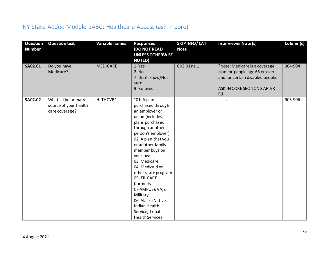## NY State-Added Module 2ABC: Healthcare Access (ask in core)

| Question<br><b>Number</b> | <b>Question text</b>                                           | Variable names  | <b>Responses</b><br><b>(DO NOT READ</b><br><b>UNLESS OTHERWISE</b><br><b>NOTED)</b>                                                                                                                                                                                                                                                                                                                             | <b>SKIPINFO/CATI</b><br><b>Note</b> | Interviewer Note (s)                                                                                                                      | Column(s) |
|---------------------------|----------------------------------------------------------------|-----------------|-----------------------------------------------------------------------------------------------------------------------------------------------------------------------------------------------------------------------------------------------------------------------------------------------------------------------------------------------------------------------------------------------------------------|-------------------------------------|-------------------------------------------------------------------------------------------------------------------------------------------|-----------|
| SA02.01                   | Do you have<br>Medicare?                                       | <b>MEDICARE</b> | 1 Yes<br>$2$ No<br>7 Don't know/Not<br>sure<br>9 Refused"                                                                                                                                                                                                                                                                                                                                                       | C03.01 ne 1                         | "Note: Medicare is a coverage<br>plan for people age 65 or over<br>and for certain disabled people.<br>ASK IN CORE SECTION 3 AFTER<br>Q1" | 904-904   |
| SA02.02                   | What is the primary<br>source of your health<br>care coverage? | HLTHCVR1        | "01 A plan<br>purchased through<br>an employer or<br>union (includes<br>plans purchased<br>through another<br>person's employer)<br>02 A plan that you<br>or another family<br>member buys on<br>your own<br>03 Medicare<br>04 Medicaid or<br>other state program<br>05 TRICARE<br>(formerly<br>CHAMPUS), VA, or<br>Military<br>06 Alaska Native,<br>Indian Health<br>Service, Tribal<br><b>Health Services</b> |                                     | Is it                                                                                                                                     | 905-906   |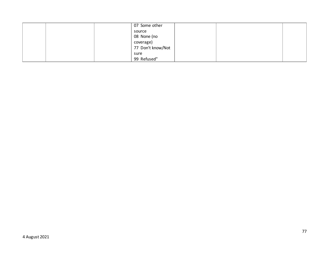|  | 07 Some other     |  |  |
|--|-------------------|--|--|
|  | source            |  |  |
|  | 08 None (no       |  |  |
|  | coverage)         |  |  |
|  | 77 Don't know/Not |  |  |
|  | sure              |  |  |
|  | 99 Refused"       |  |  |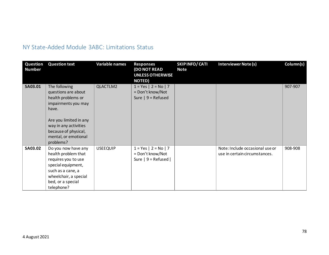### NY State-Added Module 3ABC: Limitations Status

| Question<br><b>Number</b> | <b>Question text</b>                                                                                                                                                                                       | <b>Variable names</b> | <b>Responses</b><br><b>DO NOT READ</b><br><b>UNLESS OTHERWISE</b><br><b>NOTED)</b> | <b>SKIPINFO/CATI</b><br><b>Note</b> | <b>Interviewer Note (s)</b>                                      | Column(s) |
|---------------------------|------------------------------------------------------------------------------------------------------------------------------------------------------------------------------------------------------------|-----------------------|------------------------------------------------------------------------------------|-------------------------------------|------------------------------------------------------------------|-----------|
| SA03.01                   | The following<br>questions are about<br>health problems or<br>impairments you may<br>have.<br>Are you limited in any<br>way in any activities<br>because of physical,<br>mental, or emotional<br>problems? | QLACTLM2              | $1 = Yes \mid 2 = No \mid 7$<br>= Don't know/Not<br>Sure $  9$ = Refused           |                                     |                                                                  | 907-907   |
| <b>SA03.02</b>            | Do you now have any<br>health problem that<br>requires you to use<br>special equipment,<br>such as a cane, a<br>wheelchair, a special<br>bed, or a special<br>telephone?                                   | <b>USEEQUIP</b>       | $1 = Yes \mid 2 = No \mid 7$<br>= Don't know/Not<br>Sure $ 9$ = Refused $ $        |                                     | Note: Include occasional use or<br>use in certain circumstances. | 908-908   |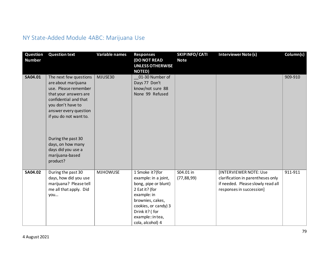## NY State-Added Module 4ABC: Marijuana Use

| Question<br><b>Number</b> | <b>Question text</b>                                                                                                                                                                                                                                                                            | <b>Variable names</b> | <b>Responses</b><br>(DO NOT READ<br><b>UNLESS OTHERWISE</b><br><b>NOTED)</b>                                                                                                                            | SKIP INFO/ CATI<br><b>Note</b> | <b>Interviewer Note (s)</b>                                                                                                         | Column(s) |
|---------------------------|-------------------------------------------------------------------------------------------------------------------------------------------------------------------------------------------------------------------------------------------------------------------------------------------------|-----------------------|---------------------------------------------------------------------------------------------------------------------------------------------------------------------------------------------------------|--------------------------------|-------------------------------------------------------------------------------------------------------------------------------------|-----------|
| SA04.01                   | The next few questions<br>are about marijuana<br>use. Please remember<br>that your answers are<br>confidential and that<br>you don't have to<br>answer every question<br>if you do not want to.<br>During the past 30<br>days, on how many<br>days did you use a<br>marijuana-based<br>product? | MJUSE30               | 01-30 Number of<br>Days 77 Don't<br>know/not sure 88<br>None 99 Refused                                                                                                                                 |                                |                                                                                                                                     | 909-910   |
| SA04.02                   | During the past 30<br>days, how did you use<br>marijuana? Please tell<br>me all that apply. Did<br>you                                                                                                                                                                                          | <b>MJHOWUSE</b>       | 1 Smoke it?(for<br>example: in a joint,<br>bong, pipe or blunt)<br>2 Eat it? (for<br>example: in<br>brownies, cakes,<br>cookies, or candy) 3<br>Drink it? (for<br>example:: in tea,<br>cola, alcohol) 4 | S04.01 in<br>(77, 88, 99)      | <b>[INTERVIEWER NOTE: Use</b><br>clarification in parentheses only<br>if needed. Please slowly read all<br>responses in succession] | 911-911   |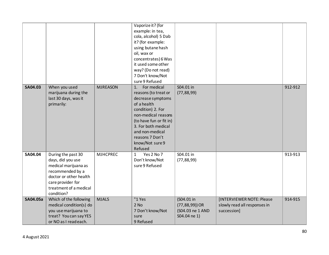|                |                                                                             |                 | Vaporize it? (for<br>example: in tea,<br>cola, alcohol) 5 Dab<br>it? (for example:<br>using butane hash<br>oil, wax or                                                                                                               |                                  |                              |         |
|----------------|-----------------------------------------------------------------------------|-----------------|--------------------------------------------------------------------------------------------------------------------------------------------------------------------------------------------------------------------------------------|----------------------------------|------------------------------|---------|
|                |                                                                             |                 | concentrates) 6 Was<br>it used some other                                                                                                                                                                                            |                                  |                              |         |
|                |                                                                             |                 | way? (Do not read)                                                                                                                                                                                                                   |                                  |                              |         |
|                |                                                                             |                 | 7 Don't know/Not                                                                                                                                                                                                                     |                                  |                              |         |
|                |                                                                             |                 | sure 9 Refused                                                                                                                                                                                                                       |                                  |                              |         |
| <b>SA04.03</b> | When you used<br>marijuana during the<br>last 30 days, was it<br>primarily: | <b>MJREASON</b> | For medical<br>1.<br>reasons (to treat or<br>decrease symptoms<br>of a health<br>condition) 2. For<br>non-medical reasons<br>(to have fun or fit in)<br>3. For both medical<br>and non-medical<br>reasons 7 Don't<br>know/Not sure 9 | S04.01 in<br>(77, 88, 99)        |                              | 912-912 |
| SA04.04        | During the past 30                                                          | <b>MJHCPREC</b> | Refused<br>Yes 2 No 7<br>$\mathbf{1}$                                                                                                                                                                                                | $SO4.01$ in                      |                              | 913-913 |
|                | days, did you use<br>medical marijuana as                                   |                 | Don't know/Not<br>sure 9 Refused                                                                                                                                                                                                     | (77, 88, 99)                     |                              |         |
|                | recommended by a                                                            |                 |                                                                                                                                                                                                                                      |                                  |                              |         |
|                | doctor or other health                                                      |                 |                                                                                                                                                                                                                                      |                                  |                              |         |
|                | care provider for<br>treatment of a medical                                 |                 |                                                                                                                                                                                                                                      |                                  |                              |         |
|                | condition?                                                                  |                 |                                                                                                                                                                                                                                      |                                  |                              |         |
| SA04.05a       | Which of the following                                                      | <b>MJALS</b>    | "1 Yes                                                                                                                                                                                                                               | (S04.01 in                       | [INTERVIEWER NOTE: Please    | 914-915 |
|                | medical condition(s) do                                                     |                 | $2$ No                                                                                                                                                                                                                               | $(77, 88, 99)$ ) OR              | slowly read all responses in |         |
|                | you use marijuana to<br>treat? You can say YES                              |                 | 7 Don't know/Not<br>sure                                                                                                                                                                                                             | (S04.03 ne 1 AND<br>S04.04 ne 1) | succession]                  |         |
|                | or NO as I readeach.                                                        |                 | 9 Refused                                                                                                                                                                                                                            |                                  |                              |         |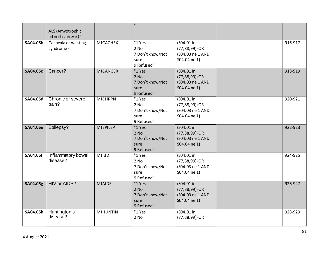|                 | ALS (Amyotrophic                 |                 | $\mathbf{H}$                                                 |                                                                       |         |
|-----------------|----------------------------------|-----------------|--------------------------------------------------------------|-----------------------------------------------------------------------|---------|
|                 | lateral sclerosis)?              |                 |                                                              |                                                                       |         |
| SA04.05b        | Cachexia or wasting<br>syndrome? | <b>MJCACHEX</b> | "1 Yes<br>$2$ No<br>7 Don't know/Not<br>sure<br>9 Refused"   | (S04.01 in<br>$(77, 88, 99)$ ) OR<br>(S04.03 ne 1 AND<br>S04.04 ne 1) | 916-917 |
| <b>SA04.05c</b> | Cancer?                          | <b>MJCANCER</b> | "1 Yes<br>$2$ No<br>7 Don't know/Not<br>sure<br>9 Refused"   | (S04.01 in<br>$(77, 88, 99)$ ) OR<br>(S04.03 ne 1 AND<br>S04.04 ne 1) | 918-919 |
| SA04.05d        | Chronic or severe<br>pain?       | <b>MJCHRPN</b>  | "1 Yes<br>$2$ No<br>7 Don't know/Not<br>sure<br>9 Refused"   | (S04.01 in<br>$(77, 88, 99)$ ) OR<br>(S04.03 ne 1 AND<br>S04.04 ne 1) | 920-921 |
| <b>SA04.05e</b> | Epilepsy?                        | <b>MJEPILEP</b> | "1 Yes<br>$2$ No<br>7 Don't know/Not<br>sure<br>9 Refused"   | (S04.01 in<br>$(77, 88, 99)$ ) OR<br>(S04.03 ne 1 AND<br>S04.04 ne 1) | 922-923 |
| <b>SA04.05f</b> | Inflammatory bowel<br>disease?   | <b>MJIBD</b>    | $"1$ Yes<br>$2$ No<br>7 Don't know/Not<br>sure<br>9 Refused" | (S04.01 in<br>$(77, 88, 99)$ ) OR<br>(S04.03 ne 1 AND<br>S04.04 ne 1) | 924-925 |
| SA04.05g        | <b>HIV or AIDS?</b>              | <b>MJAIDS</b>   | "1 Yes<br>$2$ No<br>7 Don't know/Not<br>sure<br>9 Refused"   | (S04.01 in<br>$(77, 88, 99)$ ) OR<br>(S04.03 ne 1 AND<br>S04.04 ne 1) | 926-927 |
| SA04.05h        | Huntington's<br>disease?         | <b>MJHUNTIN</b> | "1 Yes<br>2 No                                               | (S04.01 in<br>$(77, 88, 99)$ ) OR                                     | 928-929 |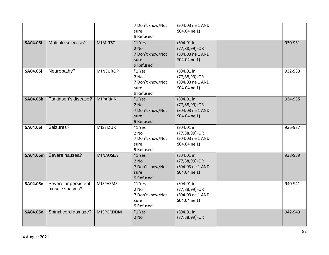|                 |                                        |                  | 7 Don't know/Not<br>sure<br>9 Refused"                     | (S04.03 ne 1 AND<br>S04.04 ne 1)                                      |         |
|-----------------|----------------------------------------|------------------|------------------------------------------------------------|-----------------------------------------------------------------------|---------|
| <b>SA04.05i</b> | Multiple sclerosis?                    | <b>MJMLTSCL</b>  | "1 Yes<br>$2$ No<br>7 Don't know/Not<br>sure<br>9 Refused" | (S04.01 in<br>$(77, 88, 99)$ ) OR<br>(S04.03 ne 1 AND<br>S04.04 ne 1) | 930-931 |
| <b>SA04.05j</b> | Neuropathy?                            | <b>MJNEUROP</b>  | "1 Yes<br>$2$ No<br>7 Don't know/Not<br>sure<br>9 Refused" | (S04.01 in<br>$(77, 88, 99)$ ) OR<br>(S04.03 ne 1 AND<br>S04.04 ne 1) | 932-933 |
| <b>SA04.05k</b> | Parkinson's disease?                   | <b>MJPARKIN</b>  | "1 Yes<br>2 No<br>7 Don't know/Not<br>sure<br>9 Refused"   | (S04.01 in<br>$(77, 88, 99)$ ) OR<br>(S04.03 ne 1 AND<br>S04.04 ne 1) | 934-935 |
| <b>SA04.05I</b> | Seizures?                              | <b>MJSEIZUR</b>  | "1 Yes<br>$2$ No<br>7 Don't know/Not<br>sure<br>9 Refused" | (S04.01 in<br>$(77, 88, 99)$ ) OR<br>(S04.03 ne 1 AND<br>S04.04 ne 1) | 936-937 |
| SA04.05m        | Severe nausea?                         | <b>MJNAUSEA</b>  | "1 Yes<br>$2$ No<br>7 Don't know/Not<br>sure<br>9 Refused" | (S04.01 in<br>$(77, 88, 99)$ ) OR<br>(S04.03 ne 1 AND<br>S04.04 ne 1) | 938-939 |
| SA04.05n        | Severe or persistent<br>muscle spasms? | <b>MJSPASMS</b>  | "1 Yes<br>$2$ No<br>7 Don't know/Not<br>sure<br>9 Refused" | (S04.01 in<br>$(77, 88, 99)$ ) OR<br>(S04.03 ne 1 AND<br>S04.04 ne 1) | 940-941 |
| <b>SA04.05o</b> | Spinal cord damage?                    | <b>MJSPCRDDM</b> | "1 Yes<br>2 No                                             | (S04.01 in<br>$(77, 88, 99)$ ) OR                                     | 942-943 |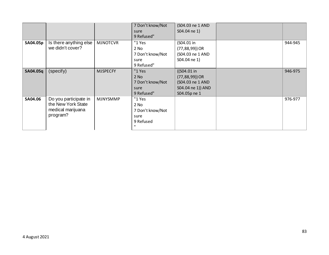|          |                                                                              |                 | 7 Don't know/Not<br>sure<br>9 Refused"                                      | (S04.03 ne 1 AND<br>S04.04 ne 1)                                                            |         |
|----------|------------------------------------------------------------------------------|-----------------|-----------------------------------------------------------------------------|---------------------------------------------------------------------------------------------|---------|
| SA04.05p | Is there anything else<br>we didn't cover?                                   | <b>MJNOTCVR</b> | $"1$ Yes<br>$2$ No<br>7 Don't know/Not<br>sure<br>9 Refused"                | (S04.01 in<br>$(77, 88, 99)$ ) OR<br>(S04.03 ne 1 AND<br>S04.04 ne 1)                       | 944-945 |
| SA04.05q | (specify)                                                                    | <b>MJSPECFY</b> | "1 Yes<br>$2$ No<br>7 Don't know/Not<br>sure<br>9 Refused"                  | ((S04.01 in<br>$(77, 88, 99)$ ) OR<br>(S04.03 ne 1 AND<br>S04.04 ne 1)) AND<br>S04.05p ne 1 | 946-975 |
| SA04.06  | Do you participate in<br>the New York State<br>medical marijuana<br>program? | <b>MJNYSMMP</b> | $"1$ Yes<br>2 No<br>7 Don't know/Not<br>sure<br>9 Refused<br>$\blacksquare$ |                                                                                             | 976-977 |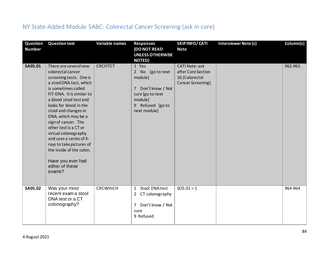## NY State-Added Module 5ABC: Colorectal Cancer Screening (ask in core)

| Question<br><b>Number</b> | <b>Question text</b>                                                                                                                                                                                                                                                                                                                                                                                                                                                 | Variable names  | <b>Responses</b><br>(DO NOT READ<br><b>UNLESS OTHERWISE</b><br><b>NOTED)</b>                                                 | SKIP INFO/ CATI<br><b>Note</b>                                                     | Interviewer Note (s) | Column(s) |
|---------------------------|----------------------------------------------------------------------------------------------------------------------------------------------------------------------------------------------------------------------------------------------------------------------------------------------------------------------------------------------------------------------------------------------------------------------------------------------------------------------|-----------------|------------------------------------------------------------------------------------------------------------------------------|------------------------------------------------------------------------------------|----------------------|-----------|
| <b>SA05.01</b>            | There are several new<br>colorectal cancer<br>screening tests. One is<br>a stool DNA test, which<br>is sometimes called<br>FIT-DNA. It is similar to<br>a blood stool test and<br>looks for blood in the<br>stool and changes in<br>DNA, which may be a<br>sign of cancer. The<br>other test is a CT or<br>virtual colonography<br>and uses a series of X-<br>rays to take pictures of<br>the inside of the colon.<br>Have you ever had<br>either of these<br>exams? | <b>CRCFITCT</b> | 1 Yes<br>2 No [go to next<br>module]<br>7 Don't know / Not<br>sure [go to next<br>module]<br>9 Refused [goto<br>next module] | <b>CATI Note: ask</b><br>after Core Section<br>16 (Colorectal<br>Cancer Screening) |                      | 962-963   |
| <b>SA05.02</b>            | Was your most<br>recent exam a stool<br>DNA test or a CT<br>colonography?                                                                                                                                                                                                                                                                                                                                                                                            | CRCWHICH        | Stool DNA test<br>$\mathbf{1}$<br>2 CT colonography<br>Don't know / Not<br>7<br>sure<br>9 Refused                            | $SO5.01 = 1$                                                                       |                      | 964-964   |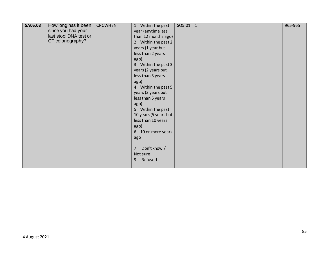| SA05.03 | How long has it been   | <b>CRCWHEN</b> | 1 Within the past              | $SO5.01 = 1$ | 965-965 |
|---------|------------------------|----------------|--------------------------------|--------------|---------|
|         | since you had your     |                | year (anytime less             |              |         |
|         | last stool DNA test or |                | than 12 months ago)            |              |         |
|         | CT colonography?       |                | 2 Within the past 2            |              |         |
|         |                        |                | years (1 year but              |              |         |
|         |                        |                | less than 2 years              |              |         |
|         |                        |                | ago)                           |              |         |
|         |                        |                | 3 Within the past 3            |              |         |
|         |                        |                | years (2 years but             |              |         |
|         |                        |                | less than 3 years              |              |         |
|         |                        |                | ago)                           |              |         |
|         |                        |                | 4 Within the past 5            |              |         |
|         |                        |                | years (3 years but             |              |         |
|         |                        |                | less than 5 years              |              |         |
|         |                        |                | ago)                           |              |         |
|         |                        |                | 5 Within the past              |              |         |
|         |                        |                | 10 years (5 years but          |              |         |
|         |                        |                | less than 10 years             |              |         |
|         |                        |                | ago)                           |              |         |
|         |                        |                | 6 10 or more years             |              |         |
|         |                        |                | ago                            |              |         |
|         |                        |                |                                |              |         |
|         |                        |                | Don't know /<br>$\overline{7}$ |              |         |
|         |                        |                | Not sure                       |              |         |
|         |                        |                | Refused<br>9                   |              |         |
|         |                        |                |                                |              |         |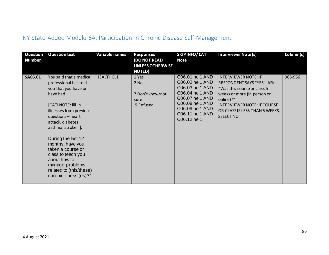## NY State-Added Module 6A: Participation in Chronic Disease Self-Management

| Question<br><b>Number</b> | <b>Question text</b>                                                                                                                                                                                                                                                                                                                                                              | <b>Variable names</b> | <b>Responses</b><br>(DO NOT READ<br><b>UNLESS OTHERWISE</b><br><b>NOTED)</b> | SKIPINFO/CATI<br><b>Note</b>                                                                                                                                        | <b>Interviewer Note (s)</b>                                                                                                                                                                                                       | Column(s) |
|---------------------------|-----------------------------------------------------------------------------------------------------------------------------------------------------------------------------------------------------------------------------------------------------------------------------------------------------------------------------------------------------------------------------------|-----------------------|------------------------------------------------------------------------------|---------------------------------------------------------------------------------------------------------------------------------------------------------------------|-----------------------------------------------------------------------------------------------------------------------------------------------------------------------------------------------------------------------------------|-----------|
| SA06.01                   | You said that a medical<br>professional has told<br>you that you have or<br>have had<br>[CATI NOTE: fill in<br>illnesses from previous<br>questions - heart<br>attack, diabetes,<br>asthma, stroke].<br>During the last 12<br>months, have you<br>taken a course or<br>class to teach you<br>about how to<br>manage problems<br>related to (this/these)<br>chronic illness (es)?" | <b>HEALTHCL1</b>      | 1 Yes<br>$2$ No<br>7 Don't know/not<br>sure<br>9 Refused                     | C06.01 ne 1 AND<br>C06.02 ne 1 AND<br>C06.03 ne 1 AND<br>C06.04 ne 1 AND<br>C06.07 ne 1 AND<br>C06.08 ne 1 AND<br>C06.09 ne 1 AND<br>C06.11 ne 1 AND<br>C06.12 ne 1 | <b>INTERVIEWER NOTE: IF</b><br>RESPONDENT SAYS "YES", ASK:<br>"Was this course or class 6<br>weeks or more (in person or<br>online)?"<br><b>INTERVIEWER NOTE: IF COURSE</b><br>OR CLASS IS LESS THAN 6 WEEKS,<br><b>SELECT NO</b> | 966-966   |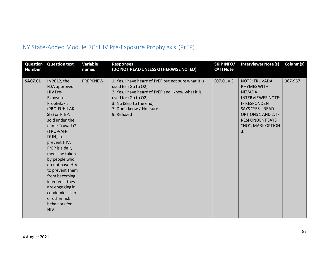## NY State-Added Module 7C: HIV Pre-Exposure Prophylaxis (PrEP)

| Question<br><b>Number</b> | <b>Question text</b>                                                                                                                                                                                                                                                                                                                                                                                          | Variable<br>names | <b>Responses</b><br>(DO NOT READ UNLESS OTHERWISE NOTED)                                                                                                                                                                      | SKIPINFO/<br><b>CATI Note</b> | <b>Interviewer Note (s)</b>                                                                                                                                                                       | Column(s) |
|---------------------------|---------------------------------------------------------------------------------------------------------------------------------------------------------------------------------------------------------------------------------------------------------------------------------------------------------------------------------------------------------------------------------------------------------------|-------------------|-------------------------------------------------------------------------------------------------------------------------------------------------------------------------------------------------------------------------------|-------------------------------|---------------------------------------------------------------------------------------------------------------------------------------------------------------------------------------------------|-----------|
| SA07.01                   | In 2012, the<br>FDA approved<br>HIV Pre-<br>Exposure<br>Prophylaxis<br>(PRO-FUH-LAK-<br>SIS) or PrEP,<br>sold under the<br>name Truvada <sup>®</sup><br>(TRU-VAH-<br>DUH), to<br>prevent HIV.<br>PrEP is a daily<br>medicine taken<br>by people who<br>do not have HIV<br>to prevent them<br>from becoming<br>infected if they<br>are engaging in<br>condomless sex<br>or other risk<br>behaviors for<br>HIV. | <b>PREPKNEW</b>   | 1. Yes, I have heard of PrEP but not sure what it is<br>used for (Go to Q2)<br>2. Yes, I have heard of PrEP and I know what it is<br>used for (Go to Q2)<br>3. No (Skip to the end)<br>7. Don't know / Not sure<br>9. Refused | $SO7.01 = 3$                  | NOTE; TRUVADA<br><b>RHYMES WITH</b><br><b>NEVADA</b><br><b>INTERVIEWER NOTE:</b><br>IF RESPONDENT<br>SAYS "YES", READ<br>OPTIONS 1 AND 2. IF<br><b>RESPONDENT SAYS</b><br>"NO", MARK OPTION<br>3. | 967-967   |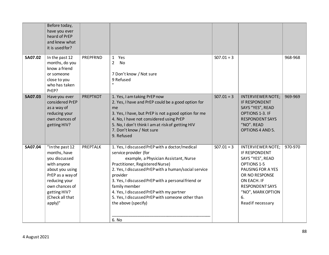|                | Before today,<br>have you ever<br>heard of PrEP<br>and knew what<br>it is used for?                                                                                                     |                 |                                                                                                                                                                                                                                                                                                                                                                                                                                |              |                                                                                                                                                                                                              |         |
|----------------|-----------------------------------------------------------------------------------------------------------------------------------------------------------------------------------------|-----------------|--------------------------------------------------------------------------------------------------------------------------------------------------------------------------------------------------------------------------------------------------------------------------------------------------------------------------------------------------------------------------------------------------------------------------------|--------------|--------------------------------------------------------------------------------------------------------------------------------------------------------------------------------------------------------------|---------|
| <b>SA07.02</b> | In the past 12<br>months, do you<br>know a friend<br>or someone<br>close to you<br>who has taken<br>PrEP?                                                                               | PREPFRND        | 1 Yes<br>$2^{\circ}$<br>No<br>7 Don't know / Not sure<br>9 Refused<br>$\mathbf{H}$                                                                                                                                                                                                                                                                                                                                             | $SO7.01 = 3$ |                                                                                                                                                                                                              | 968-968 |
| <b>SA07.03</b> | Have you ever<br>considered PrEP<br>as a way of<br>reducing your<br>own chances of<br>getting HIV?                                                                                      | <b>PREPTKOT</b> | 1. Yes, I am taking PrEP now<br>2. Yes, I have and PrEP could be a good option for<br>me<br>3. Yes, I have, but PrEP is not a good option for me<br>4. No, I have not considered using PrEP<br>5. No, I don't think I am at risk of getting HIV<br>7. Don't know / Not sure<br>9. Refused                                                                                                                                      | $SO7.01 = 3$ | <b>INTERVIEWER NOTE;</b><br>IF RESPONDENT<br>SAYS "YES", READ<br>OPTIONS 1-3. IF<br><b>RESPONDENT SAYS</b><br>"NO". READ<br><b>OPTIONS 4 AND 5.</b>                                                          | 969-969 |
| SA07.04        | "In the past 12<br>months, have<br>you discussed<br>with anyone<br>about you using<br>PrEP as a way of<br>reducing your<br>own chances of<br>getting HIV?<br>(Check all that<br>apply)" | <b>PREPTALK</b> | 1. Yes, I discussed PrEP with a doctor/medical<br>service provider (for<br>example, a Physician Assistant, Nurse<br>Practitioner, Registered Nurse)<br>2. Yes, I discussed PrEP with a human/social service<br>provider<br>3. Yes, I discussed PrEP with a personal friend or<br>family member<br>4. Yes, I discussed PrEP with my partner<br>5. Yes, I discussed PrEP with someone other than<br>the above (specify)<br>6. No | $SO7.01 = 3$ | <b>INTERVIEWER NOTE:</b><br>IF RESPONDENT<br>SAYS "YES", READ<br>OPTIONS 1-5<br>PAUSING FOR A YES<br>OR NO RESPONSE<br>ON EACH. IF<br><b>RESPONDENT SAYS</b><br>"NO", MARK OPTION<br>6.<br>Read if necessary | 970-970 |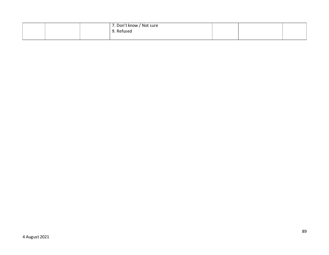|  | 17. Don't know / Not sure |  |  |
|--|---------------------------|--|--|
|  | 9. Refused                |  |  |
|  |                           |  |  |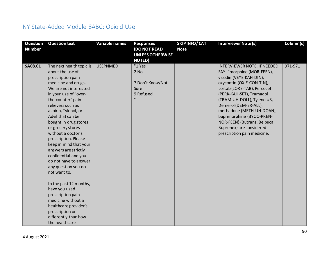## NY State-Added Module 8ABC: Opioid Use

| Question<br><b>Number</b> | <b>Question text</b>                                                                                                                                                                                                                                                                                                                                                                                                                                                                                                                                                                                                                                | Variable names  | <b>Responses</b><br><b>(DO NOT READ</b><br><b>UNLESS OTHERWISE</b><br><b>NOTED)</b> | <b>SKIPINFO/CATI</b><br><b>Note</b> | Interviewer Note (s)                                                                                                                                                                                                                                                                                                                                                                      | Column(s) |
|---------------------------|-----------------------------------------------------------------------------------------------------------------------------------------------------------------------------------------------------------------------------------------------------------------------------------------------------------------------------------------------------------------------------------------------------------------------------------------------------------------------------------------------------------------------------------------------------------------------------------------------------------------------------------------------------|-----------------|-------------------------------------------------------------------------------------|-------------------------------------|-------------------------------------------------------------------------------------------------------------------------------------------------------------------------------------------------------------------------------------------------------------------------------------------------------------------------------------------------------------------------------------------|-----------|
| <b>SA08.01</b>            | The next health topic is<br>about the use of<br>prescription pain<br>medicine and drugs.<br>We are not interested<br>in your use of "over-<br>the-counter" pain<br>relievers such as<br>aspirin, Tylenol, or<br>Advil that can be<br>bought in drug stores<br>or grocery stores<br>without a doctor's<br>prescription. Please<br>keep in mind that your<br>answers are strictly<br>confidential and you<br>do not have to answer<br>any question you do<br>not want to.<br>In the past 12 months,<br>have you used<br>prescription pain<br>medicine without a<br>healthcare provider's<br>prescription or<br>differently than how<br>the healthcare | <b>USEPNMED</b> | "1 Yes<br>2 No<br>7 Don't Know/Not<br>Sure<br>9 Refused<br>$\mathbf{H}$             |                                     | INTERVIEWER NOTE, IF NEEDED<br>SAY: "morphine (MOR-FEEN),<br>vicodin (VEYE-KAH-DIN),<br>oxycontin (OX-E-CON-TIN),<br>Lortab (LORE-TAB), Percocet<br>(PERK-KAH-SET), Tramadol<br>(TRAM-UH-DOLL), Tylenol #3,<br>Demerol (DEM-ER-ALL),<br>methadone (METH-UH-DOAN),<br>buprenorphine (BYOO-PREN-<br>NOR-FEEN) (Butrans, Belbuca,<br>Buprenex) are considered<br>prescription pain medicine. | 971-971   |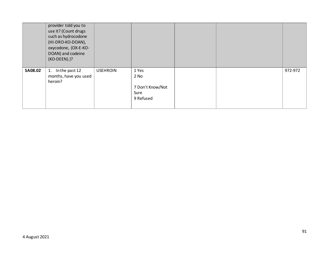|                | provider told you to<br>use it? (Count drugs<br>such as hydrocodone<br>(HI-DRO-KO-DOAN),<br>oxycodone, (OX-E-KO-<br>DOAN) and codeine<br>(KO-DEEN).)? |                 |                                             |  |         |
|----------------|-------------------------------------------------------------------------------------------------------------------------------------------------------|-----------------|---------------------------------------------|--|---------|
| <b>SA08.02</b> | In the past 12<br>1.<br>months, have you used<br>heroin?                                                                                              | <b>USEHROIN</b> | 1 Yes<br>$2$ No<br>7 Don't Know/Not<br>Sure |  | 972-972 |
|                |                                                                                                                                                       |                 | 9 Refused                                   |  |         |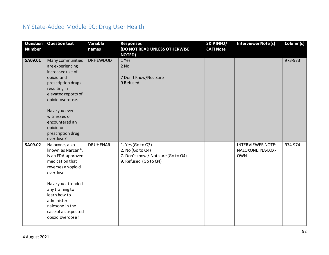## NY State-Added Module 9C: Drug User Health

| Question<br><b>Number</b> | <b>Question text</b>                                                                                                                                                                                                                                             | Variable<br>names | <b>Responses</b><br>(DO NOT READ UNLESS OTHERWISE<br><b>NOTED)</b>                                    | SKIPINFO/<br><b>CATI Note</b> | Interviewer Note (s)                                        | Column(s) |
|---------------------------|------------------------------------------------------------------------------------------------------------------------------------------------------------------------------------------------------------------------------------------------------------------|-------------------|-------------------------------------------------------------------------------------------------------|-------------------------------|-------------------------------------------------------------|-----------|
| SA09.01                   | Many communities<br>are experiencing<br>increased use of<br>opioid and<br>prescription drugs<br>resulting in<br>elevated reports of<br>opioid overdose.<br>Have you ever<br>witnessed or<br>encountered an<br>opioid or<br>prescription drug<br>overdose?        | <b>DRHEWDOD</b>   | 1 Yes<br>$2$ No<br>7 Don't Know/Not Sure<br>9 Refused                                                 |                               |                                                             | 973-973   |
| SA09.02                   | Naloxone, also<br>known as Narcan <sup>®</sup> ,<br>is an FDA-approved<br>medication that<br>reverses an opioid<br>overdose.<br>Have you attended<br>any training to<br>learn how to<br>administer<br>naloxone in the<br>case of a suspected<br>opioid overdose? | <b>DRUHENAR</b>   | 1. Yes (Go to Q3)<br>2. No (Go to Q4)<br>7. Don't know / Not sure (Go to Q4)<br>9. Refused (Go to Q4) |                               | <b>INTERVIEWER NOTE:</b><br>NALOXONE: NA-LOX-<br><b>OWN</b> | 974-974   |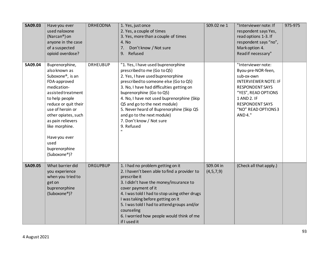| SA09.03        | Have you ever<br>used naloxone<br>(Narcan®) on<br>anyone in the case<br>of a suspected<br>opioid overdose?                                                                                                                                                                                                  | <b>DRHEODNA</b> | 1. Yes, just once<br>2. Yes, a couple of times<br>3. Yes, more than a couple of times<br>4. No<br>Don't know / Not sure<br>7.<br>9. Refused                                                                                                                                                                                                                                                                                                 | S09.02 ne 1               | "Interviewer note: If<br>respondent says Yes,<br>read options 1-3. If<br>respondent says "no",<br>Mark option 4.<br>Read if necessary"                                                                           | 975-975 |
|----------------|-------------------------------------------------------------------------------------------------------------------------------------------------------------------------------------------------------------------------------------------------------------------------------------------------------------|-----------------|---------------------------------------------------------------------------------------------------------------------------------------------------------------------------------------------------------------------------------------------------------------------------------------------------------------------------------------------------------------------------------------------------------------------------------------------|---------------------------|------------------------------------------------------------------------------------------------------------------------------------------------------------------------------------------------------------------|---------|
| SA09.04        | Buprenorphine,<br>also known as<br>Suboxone <sup>®</sup> , is an<br>FDA-approved<br>medication-<br>assisted treatment<br>to help people<br>reduce or quit their<br>use of heroin or<br>other opiates, such<br>as pain relievers<br>like morphine.<br>Have you ever<br>used<br>buprenorphine<br>(Suboxone®)? | <b>DRHEUBUP</b> | "1. Yes, I have used buprenorphine<br>prescribed to me (Go to Q5)<br>2. Yes, I have used buprenorphine<br>prescribed to someone else (Go to Q5)<br>3. No, I have had difficulties getting on<br>buprenorphine (Go to Q5)<br>4. No, I have not used buprenorphine (Skip<br>Q5 and go to the next module)<br>5. Never heard of Buprenorphine (Skip Q5<br>and go to the next module)<br>7. Don't know / Not sure<br>9. Refused<br>$\mathbf{u}$ |                           | "Interviewer note:<br>Byou-pre-NOR-feen,<br>sub-ox-own<br><b>INTERVIEWER NOTE: IF</b><br><b>RESPONDENT SAYS</b><br>"YES", READ OPTIONS<br>1 AND 2. IF<br><b>RESPONDENT SAYS</b><br>"NO" READ OPTIONS3<br>AND 4." |         |
| <b>SA09.05</b> | What barrier did<br>you experience<br>when you tried to<br>get on<br>buprenorphine<br>(Suboxone®)?                                                                                                                                                                                                          | <b>DRGUPBUP</b> | 1. I had no problem getting on it<br>2. I haven't been able to find a provider to<br>prescribe it<br>3. I didn't have the money/insurance to<br>cover payment of it<br>4. I was told I had to stop using other drugs<br>I was taking before getting on it<br>5. I was told I had to attend groups and/or<br>counseling<br>6. I worried how people would think of me<br>if I used it                                                         | S09.04 in<br>(4, 5, 7, 9) | (Check all that apply.)                                                                                                                                                                                          |         |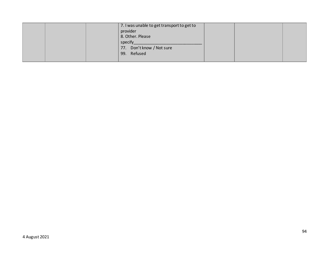|  | 7. I was unable to get transport to get to |  |  |
|--|--------------------------------------------|--|--|
|  | provider                                   |  |  |
|  | 8. Other. Please                           |  |  |
|  | specify                                    |  |  |
|  | 77. Don't know / Not sure                  |  |  |
|  | 99. Refused                                |  |  |
|  |                                            |  |  |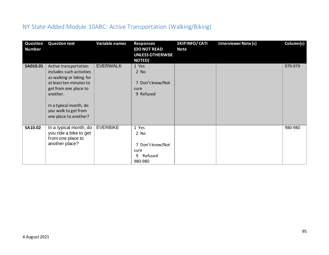## NY State-Added Module 10ABC: Active Transportation (Walking/Biking)

| <b>Question</b><br>Number | <b>Question text</b>                                                                                                                                                                                                     | <b>Variable names</b> | <b>Responses</b><br><b>(DO NOT READ</b><br><b>UNLESS OTHERWISE</b><br><b>NOTED)</b> | SKIPINFO/CATI<br><b>Note</b> | <b>Interviewer Note (s)</b> | Column(s) |
|---------------------------|--------------------------------------------------------------------------------------------------------------------------------------------------------------------------------------------------------------------------|-----------------------|-------------------------------------------------------------------------------------|------------------------------|-----------------------------|-----------|
| SA010.01                  | Active transportation<br>includes such activities<br>as walking or biking for<br>at least ten minutes to<br>get from one place to<br>another.<br>In a typical month, do<br>you walk to get from<br>one place to another? | <b>EVERWALK</b>       | 1 Yes<br>2 No<br>7 Don't know/Not<br>sure<br>9 Refused                              |                              |                             | 979-979   |
| SA10.02                   | In a typical month, do<br>you ride a bike to get<br>from one place to<br>another place?                                                                                                                                  | <b>EVERBIKE</b>       | 1 Yes<br>2 No<br>7 Don't know/Not<br>sure<br>Refused<br>9<br>980-980                |                              |                             | 980-980   |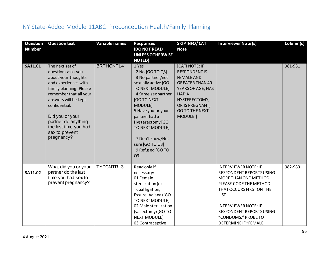## NY State-Added Module 11ABC: Preconception Health/Family Planning

| Question<br><b>Number</b> | <b>Question text</b>                                                                                                                                                                                                                                                                  | <b>Variable names</b> | <b>Responses</b><br>(DO NOT READ<br><b>UNLESS OTHERWISE</b><br><b>NOTED)</b>                                                                                                                                                                                                                      | SKIPINFO/CATI<br><b>Note</b>                                                                                                                                                                      | <b>Interviewer Note (s)</b>                                                                                                                                                                                                                                      | Column(s) |
|---------------------------|---------------------------------------------------------------------------------------------------------------------------------------------------------------------------------------------------------------------------------------------------------------------------------------|-----------------------|---------------------------------------------------------------------------------------------------------------------------------------------------------------------------------------------------------------------------------------------------------------------------------------------------|---------------------------------------------------------------------------------------------------------------------------------------------------------------------------------------------------|------------------------------------------------------------------------------------------------------------------------------------------------------------------------------------------------------------------------------------------------------------------|-----------|
| SA11.01                   | The next set of<br>questions asks you<br>about your thoughts<br>and experiences with<br>family planning. Please<br>remember that all your<br>answers will be kept<br>confidential.<br>Did you or your<br>partner do anything<br>the last time you had<br>sex to prevent<br>pregnancy? | <b>BRTHCNTL4</b>      | 1 Yes<br>2 No [GO TO Q3]<br>3 No partner/not<br>sexually active [GO<br>TO NEXT MODULE]<br>4 Same sex partner<br><b>IGO TO NEXT</b><br>MODULE]<br>5 Have you or your<br>partner had a<br>Hysterectomy [GO<br>TO NEXT MODULE]<br>7 Don't know/Not<br>sure [GO TO Q3]<br>9 Refused [GO TO<br>$Q3$ ]. | [CATI NOTE: IF<br><b>RESPONDENTIS</b><br><b>FEMALE AND</b><br><b>GREATER THAN 49</b><br>YEARS OF AGE, HAS<br><b>HADA</b><br>HYSTERECTOMY,<br>OR IS PREGNANT,<br><b>GO TO THE NEXT</b><br>MODULE.] |                                                                                                                                                                                                                                                                  | 981-981   |
| SA11.02                   | What did you or your<br>partner do the last<br>time you had sex to<br>prevent pregnancy?                                                                                                                                                                                              | TYPCNTRL3             | Read only if<br>necessary:<br>01 Female<br>sterilization (ex.<br>Tubal ligation,<br>Essure, Adiana) [GO<br>TO NEXT MODULE]<br>02 Male sterilization<br>(vasectomy) [GO TO<br><b>NEXT MODULE]</b><br>03 Contraceptive                                                                              |                                                                                                                                                                                                   | <b>INTERVIEWER NOTE: IF</b><br>RESPONDENT REPORTS USING<br>MORE THAN ONE METHOD,<br>PLEASE CODE THE METHOD<br>THAT OCCURS FIRST ON THE<br>LIST.<br><b>INTERVIEWER NOTE: IF</b><br>RESPONDENT REPORTS USING<br>"CONDOMS," PROBE TO<br><b>DETERMINE IF "FEMALE</b> | 982-983   |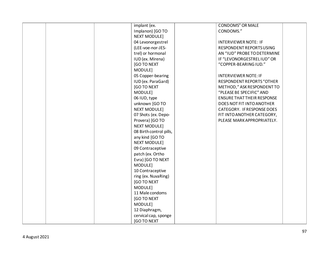|  | implant (ex.            | <b>CONDOMS" OR MALE</b>           |  |
|--|-------------------------|-----------------------------------|--|
|  | Implanon) [GO TO        | CONDOMS."                         |  |
|  | <b>NEXT MODULE]</b>     |                                   |  |
|  | 04 Levonorgestrel       | <b>INTERVIEWER NOTE: IF</b>       |  |
|  | (LEE-voe-nor-JES-       | RESPONDENT REPORTS USING          |  |
|  | trel) or hormonal       | AN "IUD" PROBE TO DETERMINE       |  |
|  | IUD (ex. Mirena)        | IF "LEVONORGESTRELIUD" OR         |  |
|  | [GO TO NEXT             | "COPPER-BEARING IUD."             |  |
|  | MODULE]                 |                                   |  |
|  | 05 Copper-bearing       | <b>INTERVIEWER NOTE: IF</b>       |  |
|  | IUD (ex. ParaGard)      | <b>RESPONDENT REPORTS "OTHER</b>  |  |
|  | [GO TO NEXT             | METHOD," ASK RESPONDENT TO        |  |
|  | MODULE]                 | "PLEASE BE SPECIFIC" AND          |  |
|  | 06 IUD, type            | <b>ENSURE THAT THEIR RESPONSE</b> |  |
|  | unknown [GO TO          | DOES NOT FIT INTO ANOTHER         |  |
|  | <b>NEXT MODULE]</b>     | CATEGORY. IF RESPONSE DOES        |  |
|  | 07 Shots (ex. Depo-     | FIT INTO ANOTHER CATEGORY,        |  |
|  | Provera) [GO TO         | PLEASE MARK APPROPRIATELY.        |  |
|  | <b>NEXT MODULE]</b>     |                                   |  |
|  | 08 Birth control pills, |                                   |  |
|  | any kind [GO TO         |                                   |  |
|  | <b>NEXT MODULE]</b>     |                                   |  |
|  | 09 Contraceptive        |                                   |  |
|  | patch (ex. Ortho        |                                   |  |
|  | Evra) [GO TO NEXT       |                                   |  |
|  | MODULE]                 |                                   |  |
|  | 10 Contraceptive        |                                   |  |
|  | ring (ex. NuvaRing)     |                                   |  |
|  | [GO TO NEXT             |                                   |  |
|  | MODULE]                 |                                   |  |
|  | 11 Male condoms         |                                   |  |
|  | [GO TO NEXT             |                                   |  |
|  | MODULE]                 |                                   |  |
|  | 12 Diaphragm,           |                                   |  |
|  | cervical cap, sponge    |                                   |  |
|  | [GO TO NEXT             |                                   |  |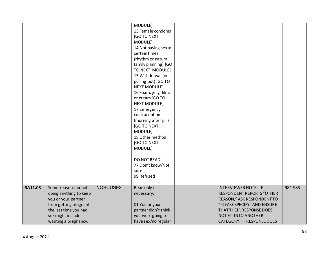|                |                                                                                                                                                                      |          | MODULE]<br>13 Female condoms<br><b>[GO TO NEXT</b><br>MODULE]<br>14 Not having sex at<br>certain times<br>(rhythm or natural<br>family planning) [GO<br>TO NEXT MODULE]<br>15 Withdrawal (or<br>pulling out) [GO TO<br><b>NEXT MODULE]</b><br>16 Foam, jelly, film,<br>or cream [GO TO<br><b>NEXT MODULE]</b><br>17 Emergency<br>contraception<br>(morning after pill)<br>[GO TO NEXT<br>MODULE]<br>18 Other method<br><b>[GO TO NEXT</b><br>MODULE] |                                                                                                                                                                                                                       |         |
|----------------|----------------------------------------------------------------------------------------------------------------------------------------------------------------------|----------|------------------------------------------------------------------------------------------------------------------------------------------------------------------------------------------------------------------------------------------------------------------------------------------------------------------------------------------------------------------------------------------------------------------------------------------------------|-----------------------------------------------------------------------------------------------------------------------------------------------------------------------------------------------------------------------|---------|
|                |                                                                                                                                                                      |          | DO NOT READ:<br>77 Don't know/Not<br>sure<br>99 Refused                                                                                                                                                                                                                                                                                                                                                                                              |                                                                                                                                                                                                                       |         |
| <b>SA11.03</b> | Some reasons for not<br>doing anything to keep<br>you or your partner<br>from getting pregnant<br>the last time you had<br>sex might include<br>wanting a pregnancy, | NOBCUSE2 | Read only if<br>necessary:<br>01 You or your<br>partner didn't think<br>you were going to<br>have sex/no regular                                                                                                                                                                                                                                                                                                                                     | <b>INTERVIEWER NOTE: IF</b><br><b>RESPONDENT REPORTS "OTHER</b><br>REASON," ASK RESPONDENT TO<br>"PLEASE SPECIFY" AND ENSURE<br>THAT THEIR RESPONSE DOES<br>NOT FIT INTO ANOTHER<br><b>CATEGORY. IF RESPONSE DOES</b> | 984-985 |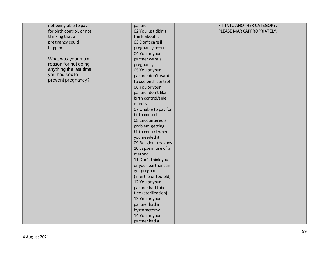| not being able to pay     | partner                | FIT INTO ANOTHER CATEGORY, |
|---------------------------|------------------------|----------------------------|
| for birth control, or not | 02 You just didn't     | PLEASE MARK APPROPRIATELY. |
| thinking that a           | think about it         |                            |
| pregnancy could           | 03 Don't care if       |                            |
| happen.                   | pregnancy occurs       |                            |
|                           | 04 You or your         |                            |
| What was your main        | partner want a         |                            |
| reason for not doing      | pregnancy              |                            |
| anything the last time    | 05 You or your         |                            |
| you had sex to            | partner don't want     |                            |
| prevent pregnancy?        | to use birth control   |                            |
|                           | 06 You or your         |                            |
|                           | partner don't like     |                            |
|                           | birth control/side     |                            |
|                           | effects                |                            |
|                           | 07 Unable to pay for   |                            |
|                           | birth control          |                            |
|                           | 08 Encountered a       |                            |
|                           | problem getting        |                            |
|                           | birth control when     |                            |
|                           | you needed it          |                            |
|                           | 09 Religious reasons   |                            |
|                           | 10 Lapse in use of a   |                            |
|                           | method                 |                            |
|                           | 11 Don't think you     |                            |
|                           | or your partner can    |                            |
|                           | get pregnant           |                            |
|                           | (infertile or too old) |                            |
|                           | 12 You or your         |                            |
|                           | partner had tubes      |                            |
|                           | tied (sterilization)   |                            |
|                           | 13 You or your         |                            |
|                           | partner had a          |                            |
|                           | hysterectomy           |                            |
|                           | 14 You or your         |                            |
|                           | partner had a          |                            |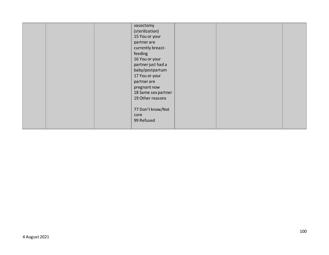|  | vasectomy<br>(sterilization)<br>15 You or your<br>partner are<br>currently breast-<br>feeding<br>16 You or your<br>partner just had a<br>baby/postpartum<br>17 You or your<br>partner are<br>pregnant now<br>18 Same sex partner<br>19 Other reasons<br>77 Don't know/Not<br>sure<br>99 Refused |  |  |  |
|--|-------------------------------------------------------------------------------------------------------------------------------------------------------------------------------------------------------------------------------------------------------------------------------------------------|--|--|--|
|--|-------------------------------------------------------------------------------------------------------------------------------------------------------------------------------------------------------------------------------------------------------------------------------------------------|--|--|--|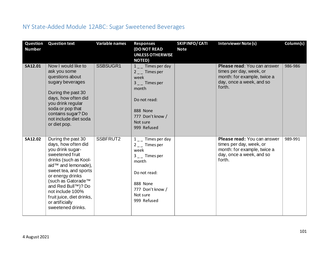## NY State-Added Module 12ABC: Sugar Sweetened Beverages

| Question<br><b>Number</b> | <b>Question text</b>                                                                                                                                                                                                                                                                                               | <b>Variable names</b> | <b>Responses</b><br><b>(DO NOT READ</b><br><b>UNLESS OTHERWISE</b><br><b>NOTED)</b>                                                                               | SKIPINFO/CATI<br><b>Note</b> | <b>Interviewer Note (s)</b>                                                                                                 | Column(s) |
|---------------------------|--------------------------------------------------------------------------------------------------------------------------------------------------------------------------------------------------------------------------------------------------------------------------------------------------------------------|-----------------------|-------------------------------------------------------------------------------------------------------------------------------------------------------------------|------------------------------|-----------------------------------------------------------------------------------------------------------------------------|-----------|
| SA12.01                   | Now I would like to<br>ask you some<br>questions about<br>sugary beverages<br>During the past 30<br>days, how often did<br>you drink regular<br>soda or pop that<br>contains sugar? Do<br>not include diet soda<br>or diet pop.                                                                                    | SSBSUGR1              | $1_{-}$ Times per day<br>$2 -$ Times per<br>week<br>$3 -$ Times per<br>month<br>Do not read:<br>888 None<br>777 Don't know /<br>Not sure<br>999 Refused           |                              | Please read: You can answer<br>times per day, week, or<br>month: for example, twice a<br>day, once a week, and so<br>forth. | 986-986   |
| SA12.02                   | During the past 30<br>days, how often did<br>you drink sugar-<br>sweetened fruit<br>drinks (such as Kool-<br>aid™ and lemonade),<br>sweet tea, and sports<br>or energy drinks<br>(such as Gatorade™<br>and Red Bull™)? Do<br>not include 100%<br>fruit juice, diet drinks,<br>or artificially<br>sweetened drinks. | SSBFRUT2              | $1_{-}$ Times per day<br>$2 -$ Times per<br>week<br>3 <sub>_</sub> _Times per<br>month<br>Do not read:<br>888 None<br>777 Don't know /<br>Not sure<br>999 Refused |                              | Please read: You can answer<br>times per day, week, or<br>month: for example, twice a<br>day, once a week, and so<br>forth. | 989-991   |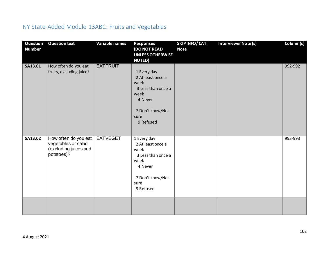## NY State-Added Module 13ABC: Fruits and Vegetables

| Question<br><b>Number</b> | <b>Question text</b>                                                               | <b>Variable names</b> | <b>Responses</b><br><b>(DO NOT READ</b><br><b>UNLESS OTHERWISE</b><br><b>NOTED)</b>                                        | <b>SKIPINFO/CATI</b><br><b>Note</b> | <b>Interviewer Note (s)</b> | Column(s) |
|---------------------------|------------------------------------------------------------------------------------|-----------------------|----------------------------------------------------------------------------------------------------------------------------|-------------------------------------|-----------------------------|-----------|
| SA13.01                   | How often do you eat<br>fruits, excluding juice?                                   | <b>EATFRUIT</b>       | 1 Every day<br>2 At least once a<br>week<br>3 Less than once a<br>week<br>4 Never<br>7 Don't know/Not<br>sure<br>9 Refused |                                     |                             | 992-992   |
| SA13.02                   | How often do you eat<br>vegetables or salad<br>(excluding juices and<br>potatoes)? | <b>EATVEGET</b>       | 1 Every day<br>2 At least once a<br>week<br>3 Less than once a<br>week<br>4 Never<br>7 Don't know/Not<br>sure<br>9 Refused |                                     |                             | 993-993   |
|                           |                                                                                    |                       |                                                                                                                            |                                     |                             |           |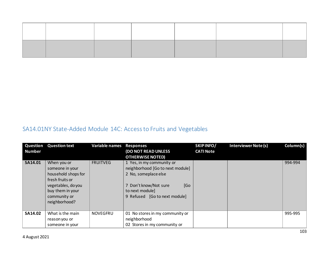## SA14.01NY State-Added Module 14C: Access to Fruits and Vegetables

| Question<br><b>Number</b> | <b>Question text</b>                                                                                                                                | <b>Variable names</b> | <b>Responses</b><br>(DO NOT READ UNLESS<br><b>OTHERWISE NOTED)</b>                                                                                                        | SKIP INFO/<br><b>CATI Note</b> | <b>Interviewer Note (s)</b> | Column(s) |
|---------------------------|-----------------------------------------------------------------------------------------------------------------------------------------------------|-----------------------|---------------------------------------------------------------------------------------------------------------------------------------------------------------------------|--------------------------------|-----------------------------|-----------|
| <b>SA14.01</b>            | When you or<br>someone in your<br>household shops for<br>fresh fruits or<br>vegetables, do you<br>buy them in your<br>community or<br>neighborhood? | <b>FRUITVEG</b>       | 1 Yes, in my community or<br>neighborhood [Go to next module]<br>2 No, someplace else<br>7 Don't know/Not sure<br>[Go<br>to next module]<br>9 Refused [Go to next module] |                                |                             | 994-994   |
| SA14.02                   | What is the main<br>reason you or<br>someone in your                                                                                                | <b>NOVEGFRU</b>       | 01 No stores in my community or<br>neighborhood<br>02 Stores in my community or                                                                                           |                                |                             | 995-995   |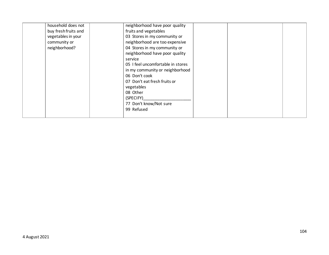| household does not   | neighborhood have poor quality    |  |
|----------------------|-----------------------------------|--|
| buy fresh fruits and | fruits and vegetables             |  |
| vegetables in your   | 03 Stores in my community or      |  |
| community or         | neighborhood are too expensive    |  |
| neighborhood?        | 04 Stores in my community or      |  |
|                      | neighborhood have poor quality    |  |
|                      | service                           |  |
|                      | 05 I feel uncomfortable in stores |  |
|                      | in my community or neighborhood   |  |
|                      | 06 Don't cook                     |  |
|                      | 07 Don't eat fresh fruits or      |  |
|                      | vegetables                        |  |
|                      | 08 Other                          |  |
|                      | (SPECIFY)                         |  |
|                      | 77 Don't know/Not sure            |  |
|                      | 99 Refused                        |  |
|                      |                                   |  |
|                      |                                   |  |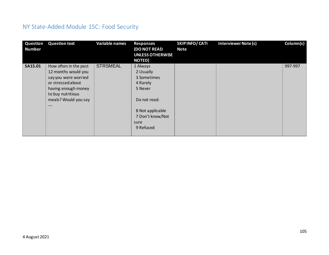# NY State-Added Module 15C: Food Security

| <b>Question</b><br><b>Number</b> | <b>Question text</b>  | <b>Variable names</b> | <b>Responses</b><br><b>(DO NOT READ</b> | SKIPINFO/CATI<br><b>Note</b> | <b>Interviewer Note (s)</b> | Column(s) |
|----------------------------------|-----------------------|-----------------------|-----------------------------------------|------------------------------|-----------------------------|-----------|
|                                  |                       |                       | <b>UNLESS OTHERWISE</b>                 |                              |                             |           |
|                                  |                       |                       | <b>NOTED)</b>                           |                              |                             |           |
| SA15.01                          | How often in the past | <b>STRSMEAL</b>       | 1 Always                                |                              |                             | 997-997   |
|                                  | 12 months would you   |                       | 2 Usually                               |                              |                             |           |
|                                  | say you were worried  |                       | 3 Sometimes                             |                              |                             |           |
|                                  | or stressed about     |                       | 4 Rarely                                |                              |                             |           |
|                                  | having enough money   |                       | 5 Never                                 |                              |                             |           |
|                                  | to buy nutritious     |                       |                                         |                              |                             |           |
|                                  | meals? Would you say  |                       | Do not read:                            |                              |                             |           |
|                                  | ---                   |                       |                                         |                              |                             |           |
|                                  |                       |                       | 8 Not applicable                        |                              |                             |           |
|                                  |                       |                       | 7 Don't know/Not                        |                              |                             |           |
|                                  |                       |                       | sure                                    |                              |                             |           |
|                                  |                       |                       | 9 Refused                               |                              |                             |           |
|                                  |                       |                       |                                         |                              |                             |           |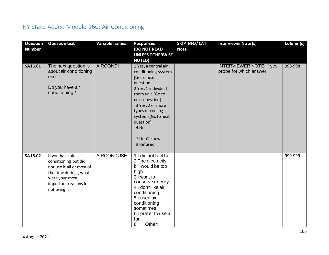## NY State-Added Module 16C: Air Conditioning

| Question<br><b>Number</b> | <b>Question text</b>                                                                                                                                      | Variable names    | <b>Responses</b><br>(DO NOT READ<br><b>UNLESS OTHERWISE</b><br><b>NOTED)</b>                                                                                                                                                                       | <b>SKIPINFO/CATI</b><br><b>Note</b> | Interviewer Note (s)                                       | Column(s) |
|---------------------------|-----------------------------------------------------------------------------------------------------------------------------------------------------------|-------------------|----------------------------------------------------------------------------------------------------------------------------------------------------------------------------------------------------------------------------------------------------|-------------------------------------|------------------------------------------------------------|-----------|
| SA16.01                   | The next question is<br>about air conditioning<br>use.<br>Do you have air<br>conditioning?                                                                | <b>AIRCONDI</b>   | 1 Yes, a central air<br>conditioning system<br>[Go to next<br>question]<br>2 Yes, 1 individual<br>room unit [Go to<br>next question]<br>3 Yes, 2 or more<br>types of cooling<br>systems[Gotonext<br>question]<br>4 No<br>7 Don't know<br>9 Refused |                                     | <b>INTERVIEWER NOTE: if yes,</b><br>probe for which answer | 998-998   |
| SA16.02                   | If you have air<br>conditioning but did<br>not use it all or most of<br>the time during, what<br>were your most<br>important reasons for<br>not using it? | <b>AIRCONDUSE</b> | 1 I did not feel hot<br>2 The electricity<br>bill would be too<br>high<br>3 I want to<br>conserve energy<br>4 I don't like air<br>conditioning<br>5 I used air<br>conditioning<br>sometimes<br>6 I prefer to use a<br>fan<br>8<br>Other:           |                                     |                                                            | 999-999   |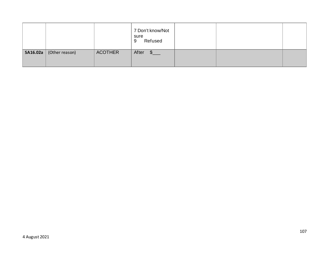|          |                |                | 7 Don't know/Not<br>sure<br>Refused<br>9 |  |  |
|----------|----------------|----------------|------------------------------------------|--|--|
| SA16.02a | (Other reason) | <b>ACOTHER</b> | After<br>$S_{\perp}$                     |  |  |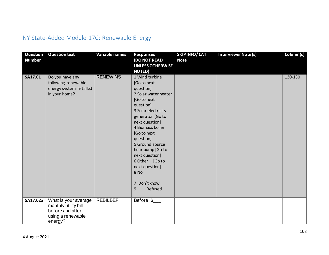## NY State-Added Module 17C: Renewable Energy

| Question<br><b>Number</b> | <b>Question text</b>                                                                             | Variable names  | <b>Responses</b><br><b>(DO NOT READ</b><br><b>UNLESS OTHERWISE</b><br><b>NOTED)</b>                                                                                                                                                                                                                                                              | SKIPINFO/CATI<br><b>Note</b> | <b>Interviewer Note (s)</b> | Column(s) |
|---------------------------|--------------------------------------------------------------------------------------------------|-----------------|--------------------------------------------------------------------------------------------------------------------------------------------------------------------------------------------------------------------------------------------------------------------------------------------------------------------------------------------------|------------------------------|-----------------------------|-----------|
| SA17.01                   | Do you have any<br>following renewable<br>energy system installed<br>in your home?               | <b>RENEWINS</b> | 1 Wind turbine<br>[Go to next<br>question]<br>2 Solar water heater<br>[Go to next<br>question]<br>3 Solar electricity<br>generator [Go to<br>next question]<br>4 Biomass boiler<br>[Go to next<br>question]<br>5 Ground source<br>hear pump [Go to<br>next question]<br>6 Other [Go to<br>next question]<br>8 No<br>7 Don't know<br>9<br>Refused |                              |                             | 130-130   |
| SA17.02a                  | What is your average<br>monthly utility bill<br>before and after<br>using a renewable<br>energy? | <b>REBILBEF</b> | Before \$                                                                                                                                                                                                                                                                                                                                        |                              |                             |           |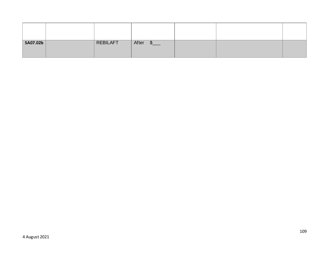| SA07.02b | <b>REBILAFT</b> | After \$___ |  |  |
|----------|-----------------|-------------|--|--|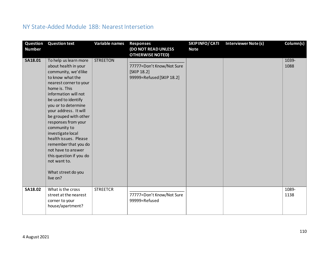## NY State-Added Module 18B: Nearest Intersetion

| Question<br><b>Number</b> | <b>Question text</b>                                                                                                                                                                                                                                                                                                                                                                                                                                                         | <b>Variable names</b> | <b>Responses</b><br>(DO NOT READ UNLESS                                                         | <b>SKIPINFO/CATI</b><br><b>Note</b> | <b>Interviewer Note (s)</b> | Column(s)     |
|---------------------------|------------------------------------------------------------------------------------------------------------------------------------------------------------------------------------------------------------------------------------------------------------------------------------------------------------------------------------------------------------------------------------------------------------------------------------------------------------------------------|-----------------------|-------------------------------------------------------------------------------------------------|-------------------------------------|-----------------------------|---------------|
| SA18.01                   | To help us learn more<br>about health in your<br>community, we'd like<br>to know what the<br>nearest corner to your<br>home is. This<br>information will not<br>be used to identify<br>you or to determine<br>your address. It will<br>be grouped with other<br>responses from your<br>community to<br>investigate local<br>health issues. Please<br>remember that you do<br>not have to answer<br>this question if you do<br>not want to.<br>What street do you<br>live on? | <b>STREETON</b>       | <b>OTHERWISE NOTED</b><br>77777=Don't Know/Not Sure<br>[SKIP 18.2]<br>99999=Refused [SKIP 18.2] |                                     |                             | 1039-<br>1088 |
| SA18.02                   | What is the cross<br>street at the nearest<br>corner to your<br>house/apartment?                                                                                                                                                                                                                                                                                                                                                                                             | <b>STREETCR</b>       | 77777=Don't Know/Not Sure<br>99999=Refused                                                      |                                     |                             | 1089-<br>1138 |